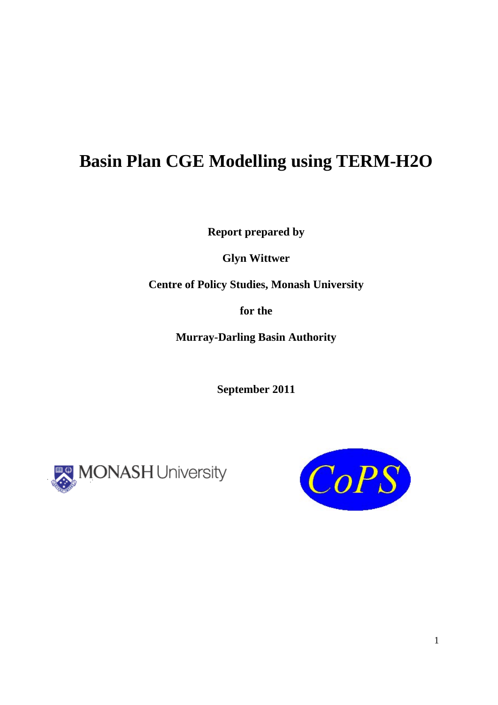# **Basin Plan CGE Modelling using TERM-H2O**

**Report prepared by** 

**Glyn Wittwer** 

**Centre of Policy Studies, Monash University** 

**for the** 

**Murray-Darling Basin Authority** 

**September 2011** 



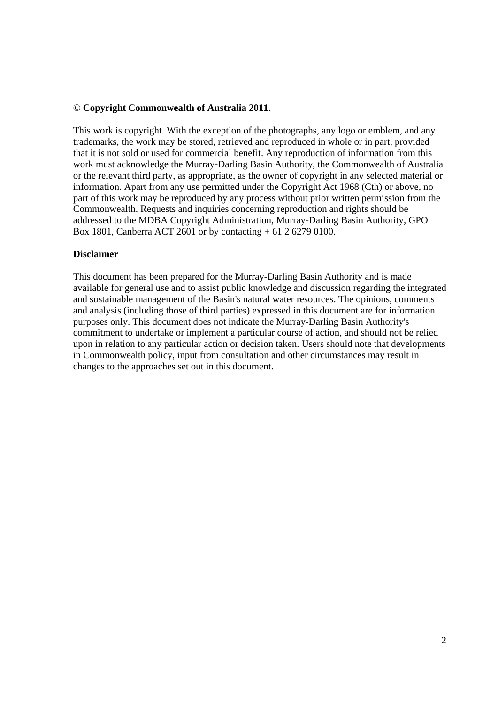### © **Copyright Commonwealth of Australia 2011.**

This work is copyright. With the exception of the photographs, any logo or emblem, and any trademarks, the work may be stored, retrieved and reproduced in whole or in part, provided that it is not sold or used for commercial benefit. Any reproduction of information from this work must acknowledge the Murray-Darling Basin Authority, the Commonwealth of Australia or the relevant third party, as appropriate, as the owner of copyright in any selected material or information. Apart from any use permitted under the Copyright Act 1968 (Cth) or above, no part of this work may be reproduced by any process without prior written permission from the Commonwealth. Requests and inquiries concerning reproduction and rights should be addressed to the MDBA Copyright Administration, Murray-Darling Basin Authority, GPO Box 1801, Canberra ACT 2601 or by contacting + 61 2 6279 0100.

### **Disclaimer**

This document has been prepared for the Murray-Darling Basin Authority and is made available for general use and to assist public knowledge and discussion regarding the integrated and sustainable management of the Basin's natural water resources. The opinions, comments and analysis (including those of third parties) expressed in this document are for information purposes only. This document does not indicate the Murray-Darling Basin Authority's commitment to undertake or implement a particular course of action, and should not be relied upon in relation to any particular action or decision taken. Users should note that developments in Commonwealth policy, input from consultation and other circumstances may result in changes to the approaches set out in this document.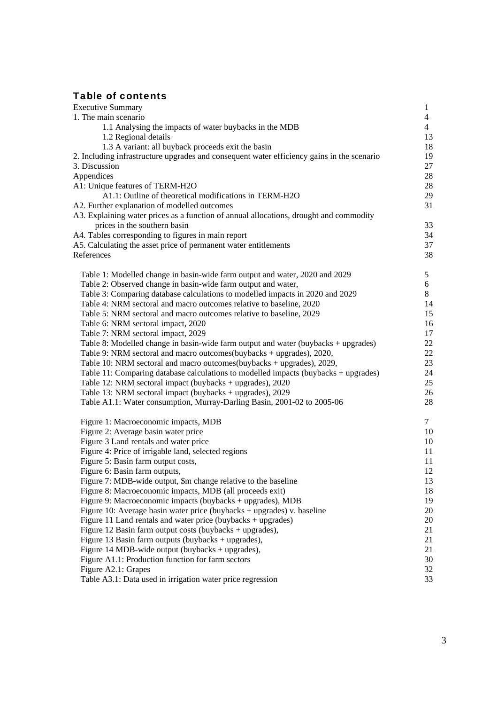# Table of contents

| <b>Executive Summary</b>                                                                   | $\mathbf{1}$   |
|--------------------------------------------------------------------------------------------|----------------|
| 1. The main scenario                                                                       | $\overline{4}$ |
| 1.1 Analysing the impacts of water buybacks in the MDB                                     | $\overline{4}$ |
| 1.2 Regional details                                                                       | 13             |
| 1.3 A variant: all buyback proceeds exit the basin                                         | 18             |
| 2. Including infrastructure upgrades and consequent water efficiency gains in the scenario | 19             |
| 3. Discussion                                                                              | 27             |
| Appendices                                                                                 | 28             |
| A1: Unique features of TERM-H2O                                                            | 28             |
| A1.1: Outline of theoretical modifications in TERM-H2O                                     | 29             |
| A2. Further explanation of modelled outcomes                                               | 31             |
| A3. Explaining water prices as a function of annual allocations, drought and commodity     |                |
| prices in the southern basin                                                               | 33             |
| A4. Tables corresponding to figures in main report                                         | 34             |
| A5. Calculating the asset price of permanent water entitlements                            | 37             |
| References                                                                                 | 38             |
| Table 1: Modelled change in basin-wide farm output and water, 2020 and 2029                | 5              |
| Table 2: Observed change in basin-wide farm output and water,                              | 6              |
| Table 3: Comparing database calculations to modelled impacts in 2020 and 2029              | 8              |
| Table 4: NRM sectoral and macro outcomes relative to baseline, 2020                        | 14             |
| Table 5: NRM sectoral and macro outcomes relative to baseline, 2029                        | 15             |
| Table 6: NRM sectoral impact, 2020                                                         | 16             |
| Table 7: NRM sectoral impact, 2029                                                         | 17             |
| Table 8: Modelled change in basin-wide farm output and water (buybacks + upgrades)         | 22             |
| Table 9: NRM sectoral and macro outcomes(buybacks + upgrades), 2020,                       | 22             |
| Table 10: NRM sectoral and macro outcomes(buybacks + upgrades), 2029,                      | 23             |
| Table 11: Comparing database calculations to modelled impacts (buybacks + upgrades)        | 24             |
| Table 12: NRM sectoral impact (buybacks + upgrades), 2020                                  | 25             |
| Table 13: NRM sectoral impact (buybacks + upgrades), 2029                                  | 26             |
| Table A1.1: Water consumption, Murray-Darling Basin, 2001-02 to 2005-06                    | 28             |
|                                                                                            |                |
| Figure 1: Macroeconomic impacts, MDB                                                       | 7              |
| Figure 2: Average basin water price                                                        | 10             |
| Figure 3 Land rentals and water price                                                      | 10             |
| Figure 4: Price of irrigable land, selected regions                                        | 11             |
| Figure 5: Basin farm output costs,                                                         | 11             |
| Figure 6: Basin farm outputs,                                                              | 12             |
| Figure 7: MDB-wide output, \$m change relative to the baseline                             | 13<br>18       |
| Figure 8: Macroeconomic impacts, MDB (all proceeds exit)                                   |                |
| Figure 9: Macroeconomic impacts (buybacks + upgrades), MDB                                 | 19             |
| Figure 10: Average basin water price (buybacks $+$ upgrades) v. baseline                   | 20             |
| Figure 11 Land rentals and water price (buybacks + upgrades)                               | 20             |
| Figure 12 Basin farm output costs (buybacks + upgrades),                                   | 21             |
| Figure 13 Basin farm outputs (buybacks + upgrades),                                        | 21             |
| Figure 14 MDB-wide output (buybacks $+$ upgrades),                                         | 21             |
| Figure A1.1: Production function for farm sectors                                          | 30             |
| Figure A2.1: Grapes                                                                        | 32<br>33       |
| Table A3.1: Data used in irrigation water price regression                                 |                |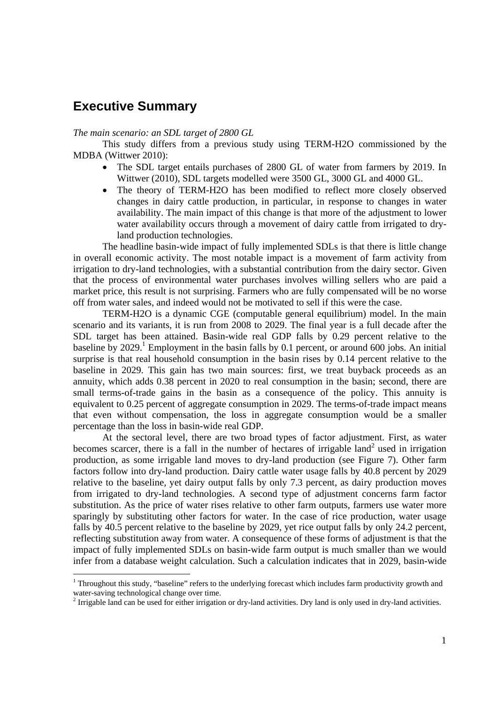# **Executive Summary**

### *The main scenario: an SDL target of 2800 GL*

This study differs from a previous study using TERM-H2O commissioned by the MDBA (Wittwer 2010):

- The SDL target entails purchases of 2800 GL of water from farmers by 2019. In Wittwer (2010), SDL targets modelled were 3500 GL, 3000 GL and 4000 GL.
- The theory of TERM-H2O has been modified to reflect more closely observed changes in dairy cattle production, in particular, in response to changes in water availability. The main impact of this change is that more of the adjustment to lower water availability occurs through a movement of dairy cattle from irrigated to dryland production technologies.

The headline basin-wide impact of fully implemented SDLs is that there is little change in overall economic activity. The most notable impact is a movement of farm activity from irrigation to dry-land technologies, with a substantial contribution from the dairy sector. Given that the process of environmental water purchases involves willing sellers who are paid a market price, this result is not surprising. Farmers who are fully compensated will be no worse off from water sales, and indeed would not be motivated to sell if this were the case.

TERM-H2O is a dynamic CGE (computable general equilibrium) model. In the main scenario and its variants, it is run from 2008 to 2029. The final year is a full decade after the SDL target has been attained. Basin-wide real GDP falls by 0.29 percent relative to the baseline by 2029.<sup>1</sup> Employment in the basin falls by 0.1 percent, or around 600 jobs. An initial surprise is that real household consumption in the basin rises by 0.14 percent relative to the baseline in 2029. This gain has two main sources: first, we treat buyback proceeds as an annuity, which adds 0.38 percent in 2020 to real consumption in the basin; second, there are small terms-of-trade gains in the basin as a consequence of the policy. This annuity is equivalent to 0.25 percent of aggregate consumption in 2029. The terms-of-trade impact means that even without compensation, the loss in aggregate consumption would be a smaller percentage than the loss in basin-wide real GDP.

At the sectoral level, there are two broad types of factor adjustment. First, as water becomes scarcer, there is a fall in the number of hectares of irrigable land<sup>2</sup> used in irrigation production, as some irrigable land moves to dry-land production (see Figure 7). Other farm factors follow into dry-land production. Dairy cattle water usage falls by 40.8 percent by 2029 relative to the baseline, yet dairy output falls by only 7.3 percent, as dairy production moves from irrigated to dry-land technologies. A second type of adjustment concerns farm factor substitution. As the price of water rises relative to other farm outputs, farmers use water more sparingly by substituting other factors for water. In the case of rice production, water usage falls by 40.5 percent relative to the baseline by 2029, yet rice output falls by only 24.2 percent, reflecting substitution away from water. A consequence of these forms of adjustment is that the impact of fully implemented SDLs on basin-wide farm output is much smaller than we would infer from a database weight calculation. Such a calculation indicates that in 2029, basin-wide

<sup>&</sup>lt;sup>1</sup> Throughout this study, "baseline" refers to the underlying forecast which includes farm productivity growth and water-saving technological change over time.

 $2$  Irrigable land can be used for either irrigation or dry-land activities. Dry land is only used in dry-land activities.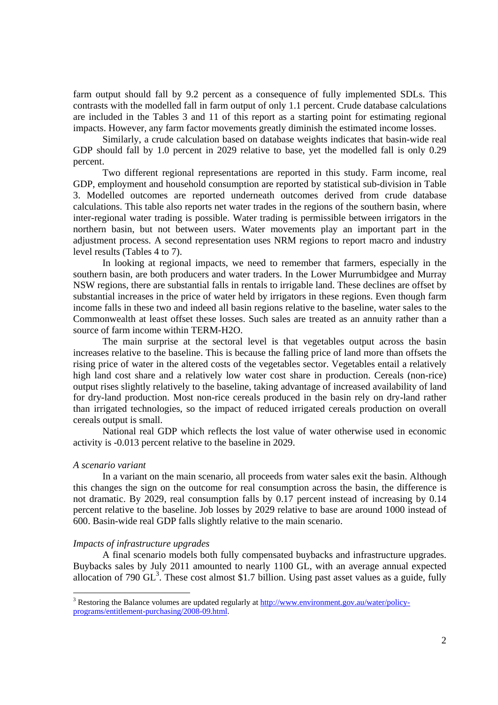farm output should fall by 9.2 percent as a consequence of fully implemented SDLs. This contrasts with the modelled fall in farm output of only 1.1 percent. Crude database calculations are included in the Tables 3 and 11 of this report as a starting point for estimating regional impacts. However, any farm factor movements greatly diminish the estimated income losses.

Similarly, a crude calculation based on database weights indicates that basin-wide real GDP should fall by 1.0 percent in 2029 relative to base, yet the modelled fall is only 0.29 percent.

Two different regional representations are reported in this study. Farm income, real GDP, employment and household consumption are reported by statistical sub-division in Table 3. Modelled outcomes are reported underneath outcomes derived from crude database calculations. This table also reports net water trades in the regions of the southern basin, where inter-regional water trading is possible. Water trading is permissible between irrigators in the northern basin, but not between users. Water movements play an important part in the adjustment process. A second representation uses NRM regions to report macro and industry level results (Tables 4 to 7).

In looking at regional impacts, we need to remember that farmers, especially in the southern basin, are both producers and water traders. In the Lower Murrumbidgee and Murray NSW regions, there are substantial falls in rentals to irrigable land. These declines are offset by substantial increases in the price of water held by irrigators in these regions. Even though farm income falls in these two and indeed all basin regions relative to the baseline, water sales to the Commonwealth at least offset these losses. Such sales are treated as an annuity rather than a source of farm income within TERM-H2O.

The main surprise at the sectoral level is that vegetables output across the basin increases relative to the baseline. This is because the falling price of land more than offsets the rising price of water in the altered costs of the vegetables sector. Vegetables entail a relatively high land cost share and a relatively low water cost share in production. Cereals (non-rice) output rises slightly relatively to the baseline, taking advantage of increased availability of land for dry-land production. Most non-rice cereals produced in the basin rely on dry-land rather than irrigated technologies, so the impact of reduced irrigated cereals production on overall cereals output is small.

National real GDP which reflects the lost value of water otherwise used in economic activity is -0.013 percent relative to the baseline in 2029.

#### *A scenario variant*

In a variant on the main scenario, all proceeds from water sales exit the basin. Although this changes the sign on the outcome for real consumption across the basin, the difference is not dramatic. By 2029, real consumption falls by 0.17 percent instead of increasing by 0.14 percent relative to the baseline. Job losses by 2029 relative to base are around 1000 instead of 600. Basin-wide real GDP falls slightly relative to the main scenario.

#### *Impacts of infrastructure upgrades*

A final scenario models both fully compensated buybacks and infrastructure upgrades. Buybacks sales by July 2011 amounted to nearly 1100 GL, with an average annual expected allocation of 790  $GL^3$ . These cost almost \$1.7 billion. Using past asset values as a guide, fully

<sup>&</sup>lt;sup>3</sup> Restoring the Balance volumes are updated regularly at http://www.environment.gov.au/water/policyprograms/entitlement-purchasing/2008-09.html.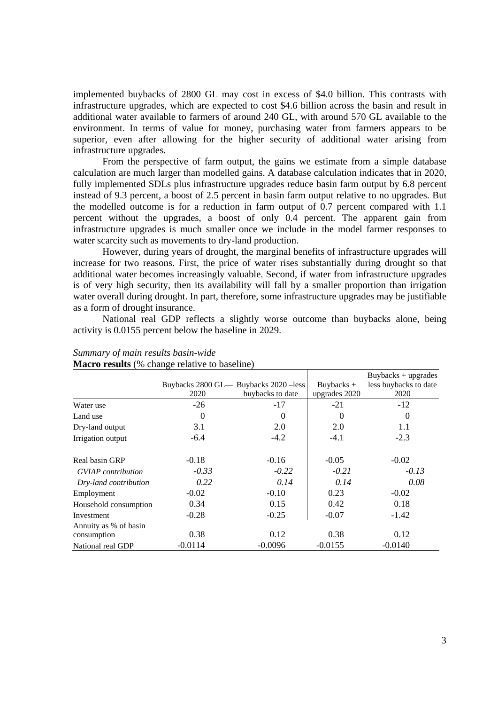implemented buybacks of 2800 GL may cost in excess of \$4.0 billion. This contrasts with infrastructure upgrades, which are expected to cost \$4.6 billion across the basin and result in additional water available to farmers of around 240 GL, with around 570 GL available to the environment. In terms of value for money, purchasing water from farmers appears to be superior, even after allowing for the higher security of additional water arising from infrastructure upgrades.

From the perspective of farm output, the gains we estimate from a simple database calculation are much larger than modelled gains. A database calculation indicates that in 2020, fully implemented SDLs plus infrastructure upgrades reduce basin farm output by 6.8 percent instead of 9.3 percent, a boost of 2.5 percent in basin farm output relative to no upgrades. But the modelled outcome is for a reduction in farm output of 0.7 percent compared with 1.1 percent without the upgrades, a boost of only 0.4 percent. The apparent gain from infrastructure upgrades is much smaller once we include in the model farmer responses to water scarcity such as movements to dry-land production.

However, during years of drought, the marginal benefits of infrastructure upgrades will increase for two reasons. First, the price of water rises substantially during drought so that additional water becomes increasingly valuable. Second, if water from infrastructure upgrades is of very high security, then its availability will fall by a smaller proportion than irrigation water overall during drought. In part, therefore, some infrastructure upgrades may be justifiable as a form of drought insurance.

National real GDP reflects a slightly worse outcome than buybacks alone, being activity is 0.0155 percent below the baseline in 2029.

| <b>Matro results</b> (70 change relative to baseline) |           |                                        |               |                       |  |  |  |  |  |  |  |  |
|-------------------------------------------------------|-----------|----------------------------------------|---------------|-----------------------|--|--|--|--|--|--|--|--|
|                                                       |           |                                        |               | $Buybacks + upgrades$ |  |  |  |  |  |  |  |  |
|                                                       |           | Buybacks 2800 GL - Buybacks 2020 -less | Buybacks $+$  | less buybacks to date |  |  |  |  |  |  |  |  |
|                                                       | 2020      | buybacks to date                       | upgrades 2020 | 2020                  |  |  |  |  |  |  |  |  |
| Water use                                             | $-26$     | $-17$                                  | $-21$         | $-12$                 |  |  |  |  |  |  |  |  |
| Land use                                              | $\theta$  | 0                                      | $\Omega$      | $\theta$              |  |  |  |  |  |  |  |  |
| Dry-land output                                       | 3.1       | 2.0                                    | 2.0           | 1.1                   |  |  |  |  |  |  |  |  |
| Irrigation output                                     | $-6.4$    | $-4.2$                                 | $-4.1$        | $-2.3$                |  |  |  |  |  |  |  |  |
|                                                       |           |                                        |               |                       |  |  |  |  |  |  |  |  |
| Real basin GRP                                        | $-0.18$   | $-0.16$                                | $-0.05$       | $-0.02$               |  |  |  |  |  |  |  |  |
| <b>GVIAP</b> contribution                             | $-0.33$   | $-0.22$                                | $-0.21$       | $-0.13$               |  |  |  |  |  |  |  |  |
| Dry-land contribution                                 | 0.22      | 0.14                                   | 0.14          | 0.08                  |  |  |  |  |  |  |  |  |
| Employment                                            | $-0.02$   | $-0.10$                                | 0.23          | $-0.02$               |  |  |  |  |  |  |  |  |
| Household consumption                                 | 0.34      | 0.15                                   | 0.42          | 0.18                  |  |  |  |  |  |  |  |  |
| Investment                                            | $-0.28$   | $-0.25$                                | $-0.07$       | $-1.42$               |  |  |  |  |  |  |  |  |
| Annuity as % of basin                                 |           |                                        |               |                       |  |  |  |  |  |  |  |  |
| consumption                                           | 0.38      | 0.12                                   | 0.38          | 0.12                  |  |  |  |  |  |  |  |  |
| National real GDP                                     | $-0.0114$ | $-0.0096$                              | $-0.0155$     | $-0.0140$             |  |  |  |  |  |  |  |  |

*Summary of main results basin-wide*  **Macro results** (% change relative to baseline)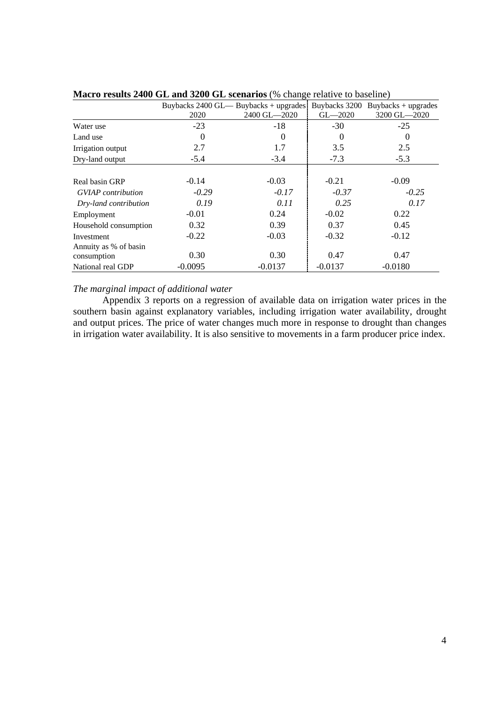|                           |           | Buybacks 2400 GL— Buybacks + upgrades |             | Buybacks $3200$ Buybacks + upgrades |
|---------------------------|-----------|---------------------------------------|-------------|-------------------------------------|
|                           | 2020      | 2400 GL-2020                          | $GL - 2020$ | 3200 GL-2020                        |
| Water use                 | $-23$     | $-18$                                 | $-30$       | $-25$                               |
| Land use                  | 0         | $\Omega$                              | $\Omega$    | 0                                   |
| Irrigation output         | 2.7       | 1.7                                   | 3.5         | 2.5                                 |
| Dry-land output           | $-5.4$    | $-3.4$                                | $-7.3$      | $-5.3$                              |
|                           |           |                                       |             |                                     |
| Real basin GRP            | $-0.14$   | $-0.03$                               | $-0.21$     | $-0.09$                             |
| <b>GVIAP</b> contribution | $-0.29$   | $-0.17$                               | $-0.37$     | $-0.25$                             |
| Dry-land contribution     | 0.19      | 0.11                                  | 0.25        | 0.17                                |
| Employment                | $-0.01$   | 0.24                                  | $-0.02$     | 0.22                                |
| Household consumption     | 0.32      | 0.39                                  | 0.37        | 0.45                                |
| Investment                | $-0.22$   | $-0.03$                               | $-0.32$     | $-0.12$                             |
| Annuity as % of basin     |           |                                       |             |                                     |
| consumption               | 0.30      | 0.30                                  | 0.47        | 0.47                                |
| National real GDP         | $-0.0095$ | $-0.0137$                             | $-0.0137$   | $-0.0180$                           |

**Macro results 2400 GL and 3200 GL scenarios** (% change relative to baseline)

### *The marginal impact of additional water*

Appendix 3 reports on a regression of available data on irrigation water prices in the southern basin against explanatory variables, including irrigation water availability, drought and output prices. The price of water changes much more in response to drought than changes in irrigation water availability. It is also sensitive to movements in a farm producer price index.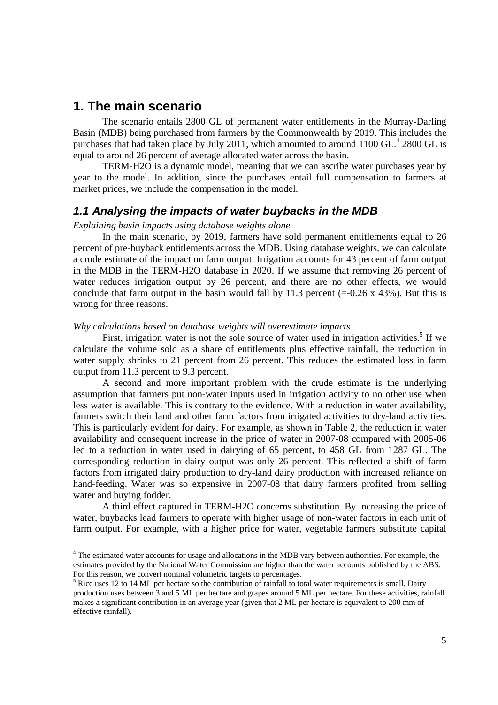# **1. The main scenario**

l

The scenario entails 2800 GL of permanent water entitlements in the Murray-Darling Basin (MDB) being purchased from farmers by the Commonwealth by 2019. This includes the purchases that had taken place by July 2011, which amounted to around 1100 GL.<sup>4</sup> 2800 GL is equal to around 26 percent of average allocated water across the basin.

TERM-H2O is a dynamic model, meaning that we can ascribe water purchases year by year to the model. In addition, since the purchases entail full compensation to farmers at market prices, we include the compensation in the model.

### *1.1 Analysing the impacts of water buybacks in the MDB*

### *Explaining basin impacts using database weights alone*

In the main scenario, by 2019, farmers have sold permanent entitlements equal to 26 percent of pre-buyback entitlements across the MDB. Using database weights, we can calculate a crude estimate of the impact on farm output. Irrigation accounts for 43 percent of farm output in the MDB in the TERM-H2O database in 2020. If we assume that removing 26 percent of water reduces irrigation output by 26 percent, and there are no other effects, we would conclude that farm output in the basin would fall by 11.3 percent  $(=0.26 \times 43\%)$ . But this is wrong for three reasons.

### *Why calculations based on database weights will overestimate impacts*

First, irrigation water is not the sole source of water used in irrigation activities.<sup>5</sup> If we calculate the volume sold as a share of entitlements plus effective rainfall, the reduction in water supply shrinks to 21 percent from 26 percent. This reduces the estimated loss in farm output from 11.3 percent to 9.3 percent.

A second and more important problem with the crude estimate is the underlying assumption that farmers put non-water inputs used in irrigation activity to no other use when less water is available. This is contrary to the evidence. With a reduction in water availability, farmers switch their land and other farm factors from irrigated activities to dry-land activities. This is particularly evident for dairy. For example, as shown in Table 2, the reduction in water availability and consequent increase in the price of water in 2007-08 compared with 2005-06 led to a reduction in water used in dairying of 65 percent, to 458 GL from 1287 GL. The corresponding reduction in dairy output was only 26 percent. This reflected a shift of farm factors from irrigated dairy production to dry-land dairy production with increased reliance on hand-feeding. Water was so expensive in 2007-08 that dairy farmers profited from selling water and buying fodder.

A third effect captured in TERM-H2O concerns substitution. By increasing the price of water, buybacks lead farmers to operate with higher usage of non-water factors in each unit of farm output. For example, with a higher price for water, vegetable farmers substitute capital

<sup>&</sup>lt;sup>4</sup> The estimated water accounts for usage and allocations in the MDB vary between authorities. For example, the estimates provided by the National Water Commission are higher than the water accounts published by the ABS. For this reason, we convert nominal volumetric targets to percentages.

 $<sup>5</sup>$  Rice uses 12 to 14 ML per hectare so the contribution of rainfall to total water requirements is small. Dairy</sup> production uses between 3 and 5 ML per hectare and grapes around 5 ML per hectare. For these activities, rainfall makes a significant contribution in an average year (given that 2 ML per hectare is equivalent to 200 mm of effective rainfall).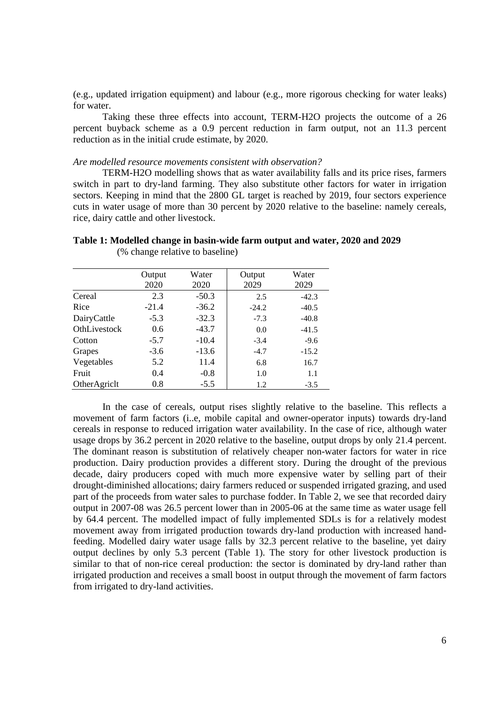(e.g., updated irrigation equipment) and labour (e.g., more rigorous checking for water leaks) for water.

Taking these three effects into account, TERM-H2O projects the outcome of a 26 percent buyback scheme as a 0.9 percent reduction in farm output, not an 11.3 percent reduction as in the initial crude estimate, by 2020.

#### *Are modelled resource movements consistent with observation?*

TERM-H2O modelling shows that as water availability falls and its price rises, farmers switch in part to dry-land farming. They also substitute other factors for water in irrigation sectors. Keeping in mind that the 2800 GL target is reached by 2019, four sectors experience cuts in water usage of more than 30 percent by 2020 relative to the baseline: namely cereals, rice, dairy cattle and other livestock.

**Table 1: Modelled change in basin-wide farm output and water, 2020 and 2029** 

|              | Output  | Water   | Output  | Water   |
|--------------|---------|---------|---------|---------|
|              | 2020    | 2020    | 2029    | 2029    |
| Cereal       | 2.3     | $-50.3$ | 2.5     | $-42.3$ |
| Rice         | $-21.4$ | $-36.2$ | $-24.2$ | $-40.5$ |
| DairyCattle  | $-5.3$  | $-32.3$ | $-7.3$  | $-40.8$ |
| OthLivestock | 0.6     | $-43.7$ | 0.0     | $-41.5$ |
| Cotton       | $-5.7$  | $-10.4$ | $-3.4$  | $-9.6$  |
| Grapes       | $-3.6$  | $-13.6$ | $-4.7$  | $-15.2$ |
| Vegetables   | 5.2     | 11.4    | 6.8     | 16.7    |
| Fruit        | 0.4     | $-0.8$  | 1.0     | 1.1     |
| OtherAgricht | 0.8     | $-5.5$  | 1.2     | $-3.5$  |

(% change relative to baseline)

In the case of cereals, output rises slightly relative to the baseline. This reflects a movement of farm factors (i..e, mobile capital and owner-operator inputs) towards dry-land cereals in response to reduced irrigation water availability. In the case of rice, although water usage drops by 36.2 percent in 2020 relative to the baseline, output drops by only 21.4 percent. The dominant reason is substitution of relatively cheaper non-water factors for water in rice production. Dairy production provides a different story. During the drought of the previous decade, dairy producers coped with much more expensive water by selling part of their drought-diminished allocations; dairy farmers reduced or suspended irrigated grazing, and used part of the proceeds from water sales to purchase fodder. In Table 2, we see that recorded dairy output in 2007-08 was 26.5 percent lower than in 2005-06 at the same time as water usage fell by 64.4 percent. The modelled impact of fully implemented SDLs is for a relatively modest movement away from irrigated production towards dry-land production with increased handfeeding. Modelled dairy water usage falls by 32.3 percent relative to the baseline, yet dairy output declines by only 5.3 percent (Table 1). The story for other livestock production is similar to that of non-rice cereal production: the sector is dominated by dry-land rather than irrigated production and receives a small boost in output through the movement of farm factors from irrigated to dry-land activities.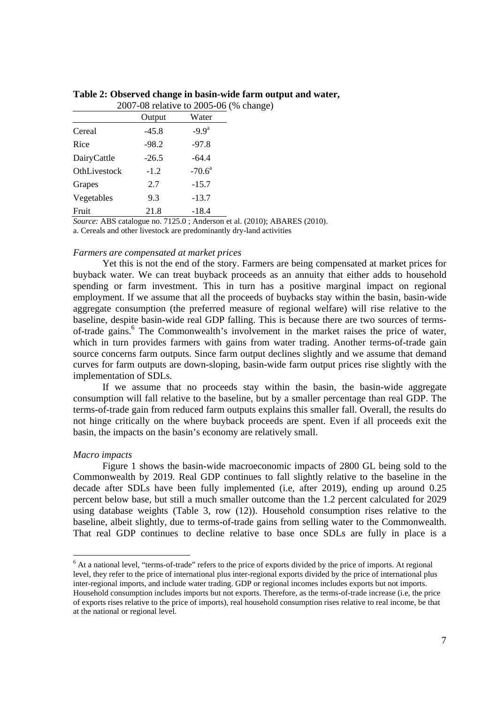|              |         | 2007-08 relative to 2005-06 (% change) |  |
|--------------|---------|----------------------------------------|--|
|              | Output  | Water                                  |  |
| Cereal       | $-45.8$ | $-9.9a$                                |  |
| Rice         | $-98.2$ | $-97.8$                                |  |
| DairyCattle  | $-26.5$ | $-64.4$                                |  |
| OthLivestock | $-1.2$  | $-70.6^{\circ}$                        |  |
| Grapes       | 2.7     | $-15.7$                                |  |
| Vegetables   | 9.3     | $-13.7$                                |  |
| Fruit        | 21.8    | $-18.4$                                |  |

**Table 2: Observed change in basin-wide farm output and water,** 

*Source:* ABS catalogue no. 7125.0 ; Anderson et al. (2010); ABARES (2010). a. Cereals and other livestock are predominantly dry-land activities

### *Farmers are compensated at market prices*

Yet this is not the end of the story. Farmers are being compensated at market prices for buyback water. We can treat buyback proceeds as an annuity that either adds to household spending or farm investment. This in turn has a positive marginal impact on regional employment. If we assume that all the proceeds of buybacks stay within the basin, basin-wide aggregate consumption (the preferred measure of regional welfare) will rise relative to the baseline, despite basin-wide real GDP falling. This is because there are two sources of termsof-trade gains.<sup>6</sup> The Commonwealth's involvement in the market raises the price of water, which in turn provides farmers with gains from water trading. Another terms-of-trade gain source concerns farm outputs. Since farm output declines slightly and we assume that demand curves for farm outputs are down-sloping, basin-wide farm output prices rise slightly with the implementation of SDLs.

If we assume that no proceeds stay within the basin, the basin-wide aggregate consumption will fall relative to the baseline, but by a smaller percentage than real GDP. The terms-of-trade gain from reduced farm outputs explains this smaller fall. Overall, the results do not hinge critically on the where buyback proceeds are spent. Even if all proceeds exit the basin, the impacts on the basin's economy are relatively small.

### *Macro impacts*

Figure 1 shows the basin-wide macroeconomic impacts of 2800 GL being sold to the Commonwealth by 2019. Real GDP continues to fall slightly relative to the baseline in the decade after SDLs have been fully implemented (i.e, after 2019), ending up around 0.25 percent below base, but still a much smaller outcome than the 1.2 percent calculated for 2029 using database weights (Table 3, row (12)). Household consumption rises relative to the baseline, albeit slightly, due to terms-of-trade gains from selling water to the Commonwealth. That real GDP continues to decline relative to base once SDLs are fully in place is a

<sup>&</sup>lt;sup>6</sup> At a national level, "terms-of-trade" refers to the price of exports divided by the price of imports. At regional level, they refer to the price of international plus inter-regional exports divided by the price of international plus inter-regional imports, and include water trading. GDP or regional incomes includes exports but not imports. Household consumption includes imports but not exports. Therefore, as the terms-of-trade increase (i.e, the price of exports rises relative to the price of imports), real household consumption rises relative to real income, be that at the national or regional level.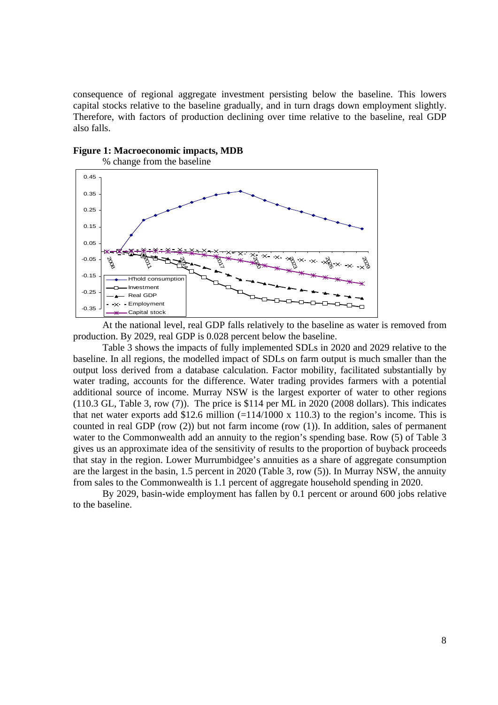consequence of regional aggregate investment persisting below the baseline. This lowers capital stocks relative to the baseline gradually, and in turn drags down employment slightly. Therefore, with factors of production declining over time relative to the baseline, real GDP also falls.





At the national level, real GDP falls relatively to the baseline as water is removed from production. By 2029, real GDP is 0.028 percent below the baseline.

Table 3 shows the impacts of fully implemented SDLs in 2020 and 2029 relative to the baseline. In all regions, the modelled impact of SDLs on farm output is much smaller than the output loss derived from a database calculation. Factor mobility, facilitated substantially by water trading, accounts for the difference. Water trading provides farmers with a potential additional source of income. Murray NSW is the largest exporter of water to other regions (110.3 GL, Table 3, row (7)). The price is \$114 per ML in 2020 (2008 dollars). This indicates that net water exports add \$12.6 million  $(=114/1000 \times 110.3)$  to the region's income. This is counted in real GDP (row (2)) but not farm income (row (1)). In addition, sales of permanent water to the Commonwealth add an annuity to the region's spending base. Row (5) of Table 3 gives us an approximate idea of the sensitivity of results to the proportion of buyback proceeds that stay in the region. Lower Murrumbidgee's annuities as a share of aggregate consumption are the largest in the basin, 1.5 percent in 2020 (Table 3, row (5)). In Murray NSW, the annuity from sales to the Commonwealth is 1.1 percent of aggregate household spending in 2020.

By 2029, basin-wide employment has fallen by 0.1 percent or around 600 jobs relative to the baseline.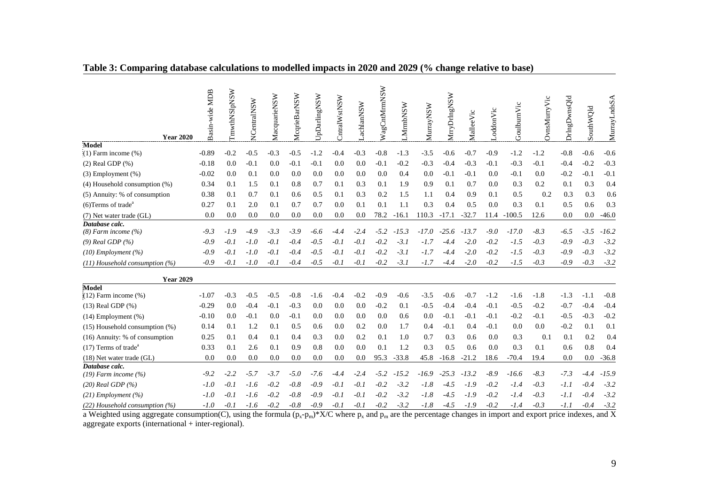|  |  |  |  | Table 3: Comparing database calculations to modelled impacts in 2020 and 2029 (% change relative to base) |
|--|--|--|--|-----------------------------------------------------------------------------------------------------------|
|  |  |  |  |                                                                                                           |

| <b>Year 2020</b>                                                | Basin-wide MDB  | TmwthNSlpNSW | NCentralNSW      | MacquarieNSW     | McqrieBarNSW     | UpDarlingNSW | Cntral WstNSW | achlanNSW     | WagCntMrmNSW | MmbNSW     | MurrayNSW     | WrryDrlngNSW     | MalleeVic        | oddonVic         | GoulburnVic      | <b>OvnsMurryVic</b> | DrIngDwnsQld     | SouthWQld        | MurrayLndsSA     |
|-----------------------------------------------------------------|-----------------|--------------|------------------|------------------|------------------|--------------|---------------|---------------|--------------|------------|---------------|------------------|------------------|------------------|------------------|---------------------|------------------|------------------|------------------|
| Model<br>$(1)$ Farm income $(\%)$                               | $-0.89$         | $-0.2$       | $-0.5$           | $-0.3$           | $-0.5$           | $-1.2$       | $-0.4$        | $-0.3$        | $-0.8$       | $-1.3$     | $-3.5$        | $-0.6$           | $-0.7$           | $-0.9$           | $-1.2$           | $-1.2$              | $-0.8$           | $-0.6$           | $-0.6$           |
| $(2)$ Real GDP $(\%)$                                           | $-0.18$         | 0.0          | $-0.1$           | 0.0              | $-0.1$           | $-0.1$       | 0.0           | 0.0           | $-0.1$       | $-0.2$     | $-0.3$        | $-0.4$           | $-0.3$           | $-0.1$           | $-0.3$           | $-0.1$              | $-0.4$           | $-0.2$           | $-0.3$           |
| $(3)$ Employment $(\%)$                                         | $-0.02$         | 0.0          | 0.1              | 0.0              | 0.0              | 0.0          | 0.0           | 0.0           | 0.0          | 0.4        | 0.0           | $-0.1$           | $-0.1$           | 0.0              | $-0.1$           | 0.0                 | $-0.2$           | $-0.1$           | $-0.1$           |
| $(4)$ Household consumption $(\%)$                              | 0.34            | 0.1          | 1.5              | 0.1              | 0.8              | 0.7          | 0.1           | 0.3           | 0.1          | 1.9        | 0.9           | 0.1              | 0.7              | 0.0              | 0.3              | 0.2                 | 0.1              | 0.3              | 0.4              |
| (5) Annuity: % of consumption                                   | 0.38            | 0.1          | 0.7              | 0.1              | 0.6              | 0.5          | 0.1           | 0.3           | 0.2          | 1.5        | 1.1           | 0.4              | 0.9              | 0.1              | 0.5              | 0.2                 | 0.3              | 0.3              | 0.6              |
| $(6)$ Terms of trade <sup>a</sup>                               | 0.27            | 0.1          | 2.0              | 0.1              | 0.7              | 0.7          | 0.0           | 0.1           | 0.1          | 1.1        | 0.3           | 0.4              | 0.5              | 0.0              | 0.3              | 0.1                 | 0.5              | 0.6              | 0.3              |
| (7) Net water trade (GL)                                        | 0.0             | 0.0          | 0.0              | 0.0              | 0.0              | 0.0          | 0.0           | 0.0           | 78.2         | $-16.1$    | 110.3         | $-17.1$          | $-32.7$          | 11.4             | $-100.5$         | 12.6                | 0.0              | 0.0              | $-46.0$          |
| Database calc.<br>$(8)$ Farm income $(%$                        | $-9.3$          | $-1.9$       | $-4.9$           | $-3.3$           | $-3.9$           | $-6.6$       | $-4.4$        | $-2.4$        | $-5.2$       | $-15.3$    | $-17.0$       | $-25.6$          | $-13.7$          | $-9.0$           | $-17.0$          | $-8.3$              | $-6.5$           | $-3.5$           | $-16.2$          |
| $(9)$ Real GDP $(%$                                             | $-0.9$          | $-0.1$       | $-1.0$           | $-0.1$           | $-0.4$           | $-0.5$       | $-0.1$        | $-0.1$        | $-0.2$       | $-3.1$     | $-1.7$        |                  | $-2.0$           | $-0.2$           | $-1.5$           | $-0.3$              | $-0.9$           | $-0.3$           | $-3.2$           |
| $(10)$ Employment $(%)$                                         | $-0.9$          | $-0.1$       | $-1.0$           | $-0.1$           | $-0.4$           | $-0.5$       | $-0.1$        | $-0.1$        | $-0.2$       | $-3.1$     | $-1.7$        | -4.4             | $-2.0$           | $-0.2$           | $-1.5$           | $-0.3$              | $-0.9$           | $-0.3$           | $-3.2$           |
| $(11)$ Household consumption $(%)$                              | $-0.9$          | $-0.1$       | $-1.0$           | $-0.1$           | $-0.4$           | $-0.5$       | $-0.1$        | $-0.1$        | $-0.2$       | $-3.1$     | $-1.7$        | $-4.4$           | $-2.0$           | $-0.2$           | $-1.5$           | $-0.3$              | $-0.9$           | $-0.3$           | $-3.2$           |
| <b>Year 2029</b>                                                |                 |              |                  |                  |                  |              |               |               |              |            |               |                  |                  |                  |                  |                     |                  |                  |                  |
| Model                                                           |                 |              |                  |                  |                  |              |               |               |              |            |               |                  |                  |                  |                  |                     |                  |                  |                  |
| $(12)$ Farm income $(\%)$                                       | $-1.07$         | $-0.3$       | $-0.5$           | $-0.5$<br>$-0.1$ | $-0.8$           | $-1.6$       | $-0.4$        | $-0.2$<br>0.0 | $-0.9$       | $-0.6$     | $-3.5$        | $-0.6$           | $-0.7$           | $-1.2$<br>$-0.1$ | $-1.6$           | $-1.8$              | $-1.3$           | $-1.1$           | $-0.8$           |
| $(13)$ Real GDP $(\%)$                                          | $-0.29$         | 0.0<br>0.0   | $-0.4$<br>$-0.1$ | 0.0              | $-0.3$<br>$-0.1$ | 0.0<br>0.0   | 0.0           | 0.0           | $-0.2$       | 0.1<br>0.6 | $-0.5$<br>0.0 | $-0.4$<br>$-0.1$ | $-0.4$<br>$-0.1$ | $-0.1$           | $-0.5$<br>$-0.2$ | $-0.2$<br>$-0.1$    | $-0.7$           | $-0.4$<br>$-0.3$ | $-0.4$<br>$-0.2$ |
| $(14)$ Employment $(\%)$<br>$(15)$ Household consumption $(\%)$ | $-0.10$<br>0.14 | 0.1          | 1.2              | 0.1              | 0.5              | 0.6          | 0.0<br>0.0    | 0.2           | 0.0<br>0.0   | 1.7        | 0.4           | $-0.1$           | 0.4              | $-0.1$           | 0.0              | 0.0                 | $-0.5$<br>$-0.2$ | 0.1              | 0.1              |
| (16) Annuity: % of consumption                                  | 0.25            | 0.1          | 0.4              | 0.1              | 0.4              | 0.3          | 0.0           | 0.2           | 0.1          | 1.0        | 0.7           | 0.3              | 0.6              | 0.0              | 0.3              | 0.1                 | 0.1              | 0.2              | 0.4              |
| $(17)$ Terms of trade <sup>a</sup>                              | 0.33            | 0.1          | 2.6              | 0.1              | 0.9              | 0.8          | 0.0           | 0.0           | 0.1          | 1.2        | 0.3           | 0.5              | 0.6              | 0.0              | 0.3              | 0.1                 | 0.6              | 0.8              | 0.4              |
| $(18)$ Net water trade $(GL)$                                   | 0.0             | 0.0          | 0.0              | 0.0              | 0.0              | 0.0          | 0.0           | 0.0           | 95.3         | $-33.8$    | 45.8          | $-16.8$          | $-21.2$          | 18.6             | $-70.4$          | 19.4                | 0.0              | 0.0              | $-36.8$          |
| Database calc.                                                  |                 |              |                  |                  |                  |              |               |               |              |            |               |                  |                  |                  |                  |                     |                  |                  |                  |
| $(19)$ Farm income $(%$                                         | $-9.2$          | $-2.2$       | $-5.7$           | $-3.7$           | $-5.0$           | $-7.6$       | $-4.4$        | $-2.4$        | $-5.2$       | $-15.2$    | $-16.9$       | $-25.3$          | $-13.2$          | $-8.9$           | $-16.6$          | $-8.3$              | $-7.3$           | -4.4             | $-15.9$          |
| $(20)$ Real GDP $(%)$                                           | $-1.0$          | $-0.1$       | $-1.6$           | $-0.2$           | $-0.8$           | $-0.9$       | $-0.1$        | $-0.1$        | $-0.2$       | $-3.2$     | $-1.8$        | $-4.5$           | $-1.9$           | $-0.2$           | $-1.4$           | $-0.3$              | $-1.1$           | $-0.4$           | $-3.2$           |
| $(21)$ Employment $(%)$                                         | -1.0            | $-0.1$       | $-1.6$           | $-0.2$           | $-0.8$           | $-0.9$       | $-0.1$        | $-0.1$        | $-0.2$       | $-3.2$     | $-1.8$        | $-4.5$           | $-1.9$           | $-0.2$           | $-1.4$           | $-0.3$              | $-1.1$           | $-0.4$           | $-3.2$           |
| $(22)$ Household consumption $(%)$                              | $-1.0$          | $-0.1$       | $-1.6$           | $-0.2$           | $-0.8$           | $-0.9$       | $-0.1$        | $-0.1$        | $-0.2$       | $-3.2$     | $-1.8$        | $-4.5$           | $-1.9$           | $-0.2$           | $-1.4$           | $-0.3$              | $-1.1$           | $-0.4$           | $-3.2$           |

a Weighted using aggregate consumption(C), using the formula  $(p_x-p_m)^*X/C$  where  $p_x$  and  $p_m$  are the percentage changes in import and export price indexes, and X aggregate exports (international + inter-regional).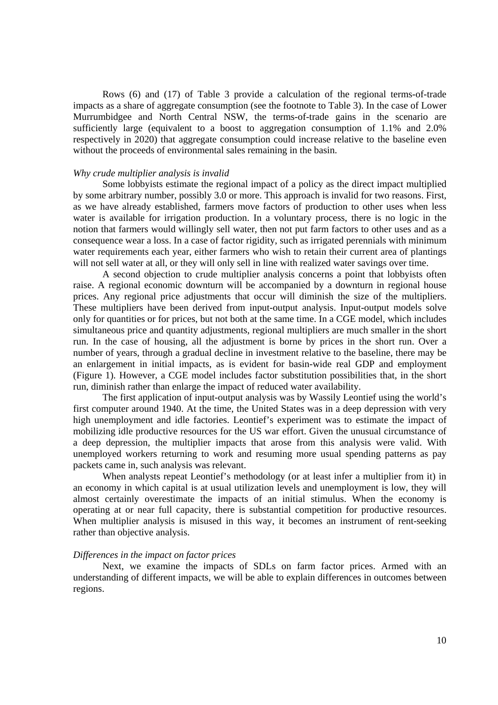Rows (6) and (17) of Table 3 provide a calculation of the regional terms-of-trade impacts as a share of aggregate consumption (see the footnote to Table 3). In the case of Lower Murrumbidgee and North Central NSW, the terms-of-trade gains in the scenario are sufficiently large (equivalent to a boost to aggregation consumption of 1.1% and 2.0% respectively in 2020) that aggregate consumption could increase relative to the baseline even without the proceeds of environmental sales remaining in the basin.

#### *Why crude multiplier analysis is invalid*

Some lobbyists estimate the regional impact of a policy as the direct impact multiplied by some arbitrary number, possibly 3.0 or more. This approach is invalid for two reasons. First, as we have already established, farmers move factors of production to other uses when less water is available for irrigation production. In a voluntary process, there is no logic in the notion that farmers would willingly sell water, then not put farm factors to other uses and as a consequence wear a loss. In a case of factor rigidity, such as irrigated perennials with minimum water requirements each year, either farmers who wish to retain their current area of plantings will not sell water at all, or they will only sell in line with realized water savings over time.

A second objection to crude multiplier analysis concerns a point that lobbyists often raise. A regional economic downturn will be accompanied by a downturn in regional house prices. Any regional price adjustments that occur will diminish the size of the multipliers. These multipliers have been derived from input-output analysis. Input-output models solve only for quantities or for prices, but not both at the same time. In a CGE model, which includes simultaneous price and quantity adjustments, regional multipliers are much smaller in the short run. In the case of housing, all the adjustment is borne by prices in the short run. Over a number of years, through a gradual decline in investment relative to the baseline, there may be an enlargement in initial impacts, as is evident for basin-wide real GDP and employment (Figure 1). However, a CGE model includes factor substitution possibilities that, in the short run, diminish rather than enlarge the impact of reduced water availability.

The first application of input-output analysis was by Wassily Leontief using the world's first computer around 1940. At the time, the United States was in a deep depression with very high unemployment and idle factories. Leontief's experiment was to estimate the impact of mobilizing idle productive resources for the US war effort. Given the unusual circumstance of a deep depression, the multiplier impacts that arose from this analysis were valid. With unemployed workers returning to work and resuming more usual spending patterns as pay packets came in, such analysis was relevant.

When analysts repeat Leontief's methodology (or at least infer a multiplier from it) in an economy in which capital is at usual utilization levels and unemployment is low, they will almost certainly overestimate the impacts of an initial stimulus. When the economy is operating at or near full capacity, there is substantial competition for productive resources. When multiplier analysis is misused in this way, it becomes an instrument of rent-seeking rather than objective analysis.

### *Differences in the impact on factor prices*

Next, we examine the impacts of SDLs on farm factor prices. Armed with an understanding of different impacts, we will be able to explain differences in outcomes between regions.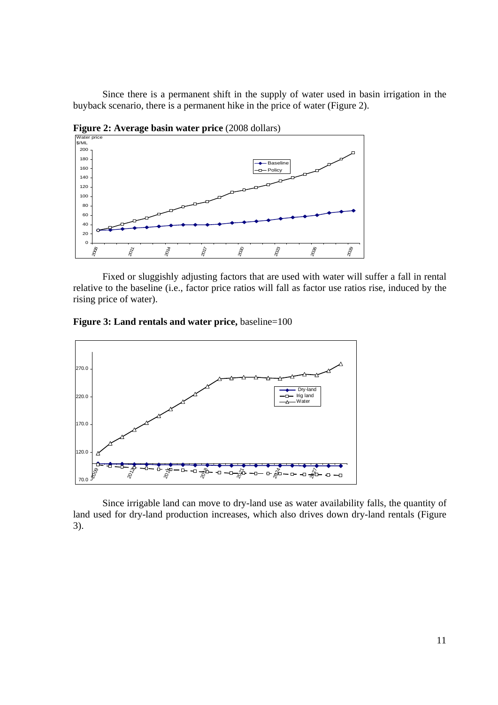Since there is a permanent shift in the supply of water used in basin irrigation in the buyback scenario, there is a permanent hike in the price of water (Figure 2).

**Figure 2: Average basin water price (2008 dollars)** 



Fixed or sluggishly adjusting factors that are used with water will suffer a fall in rental relative to the baseline (i.e., factor price ratios will fall as factor use ratios rise, induced by the rising price of water).





Since irrigable land can move to dry-land use as water availability falls, the quantity of land used for dry-land production increases, which also drives down dry-land rentals (Figure 3).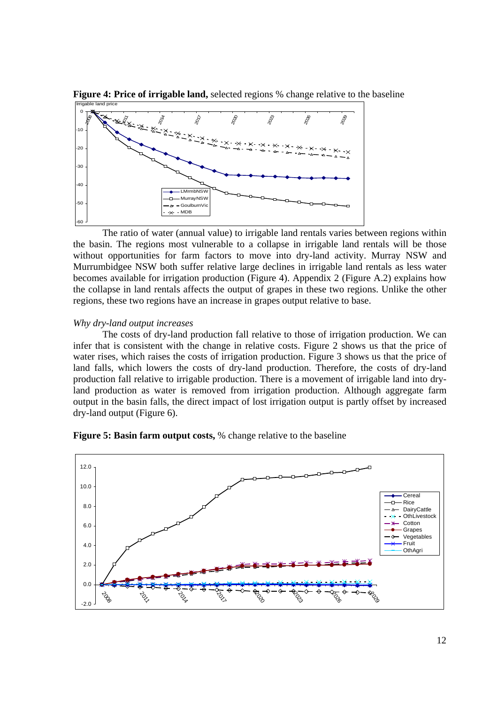

**Figure 4: Price of irrigable land,** selected regions % change relative to the baseline

The ratio of water (annual value) to irrigable land rentals varies between regions within the basin. The regions most vulnerable to a collapse in irrigable land rentals will be those without opportunities for farm factors to move into dry-land activity. Murray NSW and Murrumbidgee NSW both suffer relative large declines in irrigable land rentals as less water becomes available for irrigation production (Figure 4). Appendix 2 (Figure A.2) explains how the collapse in land rentals affects the output of grapes in these two regions. Unlike the other regions, these two regions have an increase in grapes output relative to base.

### *Why dry-land output increases*

The costs of dry-land production fall relative to those of irrigation production. We can infer that is consistent with the change in relative costs. Figure 2 shows us that the price of water rises, which raises the costs of irrigation production. Figure 3 shows us that the price of land falls, which lowers the costs of dry-land production. Therefore, the costs of dry-land production fall relative to irrigable production. There is a movement of irrigable land into dryland production as water is removed from irrigation production. Although aggregate farm output in the basin falls, the direct impact of lost irrigation output is partly offset by increased dry-land output (Figure 6).



**Figure 5: Basin farm output costs,** % change relative to the baseline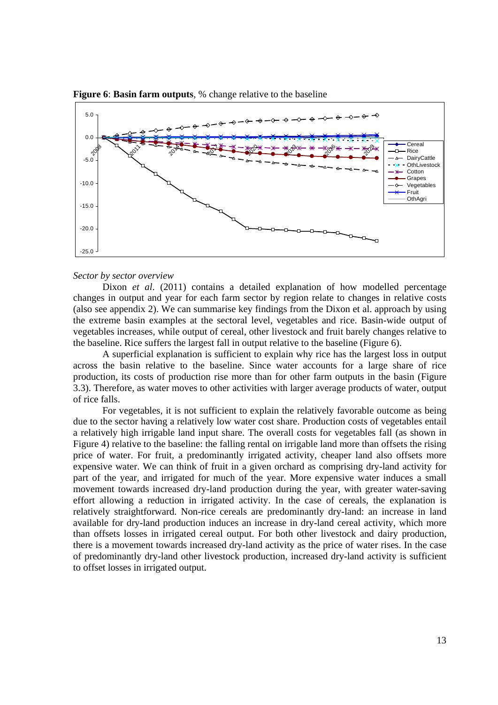

**Figure 6**: **Basin farm outputs**, % change relative to the baseline

#### *Sector by sector overview*

Dixon *et al.* (2011) contains a detailed explanation of how modelled percentage changes in output and year for each farm sector by region relate to changes in relative costs (also see appendix 2). We can summarise key findings from the Dixon et al. approach by using the extreme basin examples at the sectoral level, vegetables and rice. Basin-wide output of vegetables increases, while output of cereal, other livestock and fruit barely changes relative to the baseline. Rice suffers the largest fall in output relative to the baseline (Figure 6).

A superficial explanation is sufficient to explain why rice has the largest loss in output across the basin relative to the baseline. Since water accounts for a large share of rice production, its costs of production rise more than for other farm outputs in the basin (Figure 3.3). Therefore, as water moves to other activities with larger average products of water, output of rice falls.

For vegetables, it is not sufficient to explain the relatively favorable outcome as being due to the sector having a relatively low water cost share. Production costs of vegetables entail a relatively high irrigable land input share. The overall costs for vegetables fall (as shown in Figure 4) relative to the baseline: the falling rental on irrigable land more than offsets the rising price of water. For fruit, a predominantly irrigated activity, cheaper land also offsets more expensive water. We can think of fruit in a given orchard as comprising dry-land activity for part of the year, and irrigated for much of the year. More expensive water induces a small movement towards increased dry-land production during the year, with greater water-saving effort allowing a reduction in irrigated activity. In the case of cereals, the explanation is relatively straightforward. Non-rice cereals are predominantly dry-land: an increase in land available for dry-land production induces an increase in dry-land cereal activity, which more than offsets losses in irrigated cereal output. For both other livestock and dairy production, there is a movement towards increased dry-land activity as the price of water rises. In the case of predominantly dry-land other livestock production, increased dry-land activity is sufficient to offset losses in irrigated output.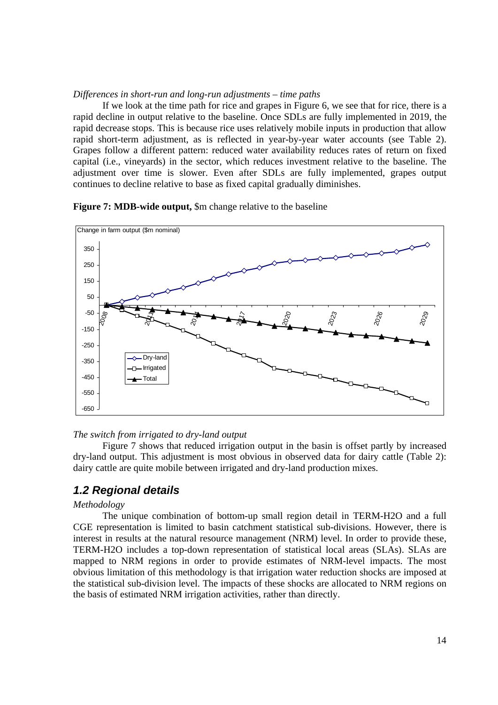### *Differences in short-run and long-run adjustments – time paths*

If we look at the time path for rice and grapes in Figure 6, we see that for rice, there is a rapid decline in output relative to the baseline. Once SDLs are fully implemented in 2019, the rapid decrease stops. This is because rice uses relatively mobile inputs in production that allow rapid short-term adjustment, as is reflected in year-by-year water accounts (see Table 2). Grapes follow a different pattern: reduced water availability reduces rates of return on fixed capital (i.e., vineyards) in the sector, which reduces investment relative to the baseline. The adjustment over time is slower. Even after SDLs are fully implemented, grapes output continues to decline relative to base as fixed capital gradually diminishes.

### **Figure 7: MDB-wide output,** \$m change relative to the baseline



#### *The switch from irrigated to dry-land output*

Figure 7 shows that reduced irrigation output in the basin is offset partly by increased dry-land output. This adjustment is most obvious in observed data for dairy cattle (Table 2): dairy cattle are quite mobile between irrigated and dry-land production mixes.

### *1.2 Regional details*

### *Methodology*

The unique combination of bottom-up small region detail in TERM-H2O and a full CGE representation is limited to basin catchment statistical sub-divisions. However, there is interest in results at the natural resource management (NRM) level. In order to provide these, TERM-H2O includes a top-down representation of statistical local areas (SLAs). SLAs are mapped to NRM regions in order to provide estimates of NRM-level impacts. The most obvious limitation of this methodology is that irrigation water reduction shocks are imposed at the statistical sub-division level. The impacts of these shocks are allocated to NRM regions on the basis of estimated NRM irrigation activities, rather than directly.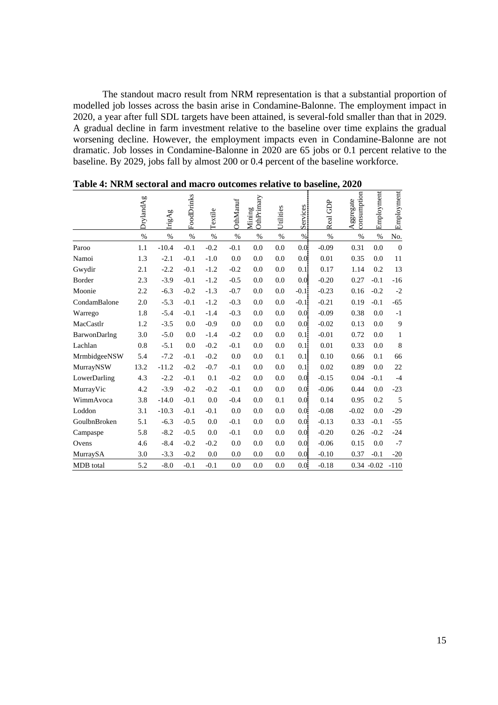The standout macro result from NRM representation is that a substantial proportion of modelled job losses across the basin arise in Condamine-Balonne. The employment impact in 2020, a year after full SDL targets have been attained, is several-fold smaller than that in 2029. A gradual decline in farm investment relative to the baseline over time explains the gradual worsening decline. However, the employment impacts even in Condamine-Balonne are not dramatic. Job losses in Condamine-Balonne in 2020 are 65 jobs or 0.1 percent relative to the baseline. By 2029, jobs fall by almost 200 or 0.4 percent of the baseline workforce.

|                  | DrylandAg | IrigAg  | FoodDrinks | Textile | OthManuf | OthPrimary<br>Mining | Utilities | Services | Real GDP | consumption<br>Aggregate | Employment    | Employment     |
|------------------|-----------|---------|------------|---------|----------|----------------------|-----------|----------|----------|--------------------------|---------------|----------------|
|                  | $\%$      | $\%$    | $\%$       | $\%$    | $\%$     | %                    | $\%$      | %        | $\%$     | $\%$                     | %             | No.            |
| Paroo            | 1.1       | $-10.4$ | $-0.1$     | $-0.2$  | $-0.1$   | 0.0                  | 0.0       | 0.0      | $-0.09$  | 0.31                     | 0.0           | $\mathbf{0}$   |
| Namoi            | 1.3       | $-2.1$  | $-0.1$     | $-1.0$  | 0.0      | 0.0                  | 0.0       | 0.0      | 0.01     | 0.35                     | 0.0           | 11             |
| Gwydir           | 2.1       | $-2.2$  | $-0.1$     | $-1.2$  | $-0.2$   | 0.0                  | 0.0       | 0.1      | 0.17     | 1.14                     | 0.2           | 13             |
| Border           | 2.3       | $-3.9$  | $-0.1$     | $-1.2$  | $-0.5$   | 0.0                  | 0.0       | 0.0      | $-0.20$  | 0.27                     | $-0.1$        | $-16$          |
| Moonie           | 2.2       | $-6.3$  | $-0.2$     | $-1.3$  | $-0.7$   | 0.0                  | 0.0       | $-0.1$   | $-0.23$  | 0.16                     | $-0.2$        | $-2$           |
| CondamBalone     | 2.0       | $-5.3$  | $-0.1$     | $-1.2$  | $-0.3$   | 0.0                  | 0.0       | $-0.1$   | $-0.21$  | 0.19                     | $-0.1$        | $-65$          |
| Warrego          | 1.8       | $-5.4$  | $-0.1$     | $-1.4$  | $-0.3$   | 0.0                  | 0.0       | 0.0      | $-0.09$  | 0.38                     | 0.0           | $-1$           |
| MacCastlr        | 1.2       | $-3.5$  | 0.0        | $-0.9$  | 0.0      | 0.0                  | 0.0       | 0.0      | $-0.02$  | 0.13                     | 0.0           | $\overline{9}$ |
| BarwonDarlng     | 3.0       | $-5.0$  | 0.0        | $-1.4$  | $-0.2$   | 0.0                  | 0.0       | 0.1      | $-0.01$  | 0.72                     | 0.0           | $\mathbf{1}$   |
| Lachlan          | 0.8       | $-5.1$  | 0.0        | $-0.2$  | $-0.1$   | 0.0                  | 0.0       | 0.1      | 0.01     | 0.33                     | 0.0           | $\,8\,$        |
| MrmbidgeeNSW     | 5.4       | $-7.2$  | $-0.1$     | $-0.2$  | 0.0      | 0.0                  | 0.1       | 0.1      | 0.10     | 0.66                     | 0.1           | 66             |
| MurrayNSW        | 13.2      | $-11.2$ | $-0.2$     | $-0.7$  | $-0.1$   | 0.0                  | 0.0       | 0.11     | 0.02     | 0.89                     | 0.0           | 22             |
| LowerDarling     | 4.3       | $-2.2$  | $-0.1$     | 0.1     | $-0.2$   | 0.0                  | 0.0       | 0.0      | $-0.15$  | 0.04                     | $-0.1$        | $-4$           |
| MurrayVic        | 4.2       | $-3.9$  | $-0.2$     | $-0.2$  | $-0.1$   | 0.0                  | 0.0       | 0.0      | $-0.06$  | 0.44                     | 0.0           | $-23$          |
| WimmAvoca        | 3.8       | $-14.0$ | $-0.1$     | 0.0     | $-0.4$   | 0.0                  | 0.1       | 0.0      | 0.14     | 0.95                     | 0.2           | 5              |
| Loddon           | 3.1       | $-10.3$ | $-0.1$     | $-0.1$  | 0.0      | 0.0                  | 0.0       | 0.0.     | $-0.08$  | $-0.02$                  | 0.0           | $-29$          |
| GoulbnBroken     | 5.1       | $-6.3$  | $-0.5$     | 0.0     | $-0.1$   | 0.0                  | 0.0       | 0.0      | $-0.13$  | 0.33                     | $-0.1$        | $-55$          |
| Campaspe         | 5.8       | $-8.2$  | $-0.5$     | 0.0     | $-0.1$   | 0.0                  | 0.0       | 0.0      | $-0.20$  | 0.26                     | $-0.2$        | $-24$          |
| Ovens            | 4.6       | $-8.4$  | $-0.2$     | $-0.2$  | 0.0      | 0.0                  | 0.0       | 0.0.     | $-0.06$  | 0.15                     | 0.0           | $-7$           |
| MurraySA         | 3.0       | $-3.3$  | $-0.2$     | 0.0     | 0.0      | 0.0                  | 0.0       | 0.0      | $-0.10$  | 0.37                     | $-0.1$        | $-20$          |
| <b>MDB</b> total | 5.2       | $-8.0$  | $-0.1$     | $-0.1$  | 0.0      | 0.0                  | 0.0       | 0.0      | $-0.18$  |                          | $0.34 - 0.02$ | $-110$         |

**Table 4: NRM sectoral and macro outcomes relative to baseline, 2020**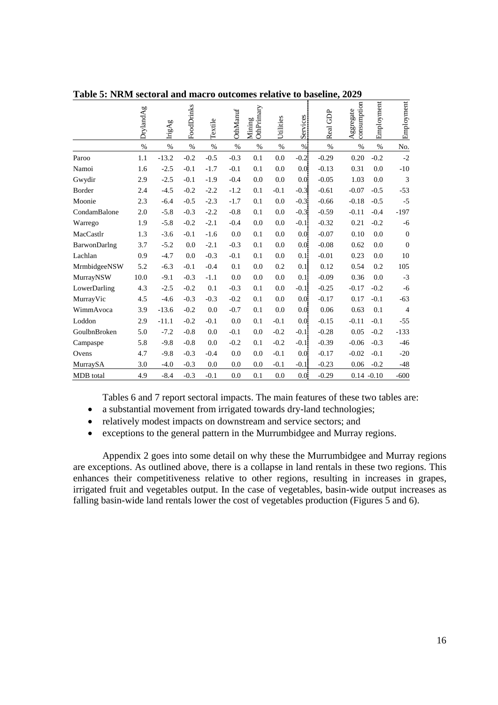|              | DrylandAg | IrigAg  | FoodDrinks | Textile | <b>OthManuf</b> | OthPrimary<br>Mining | Utilities | Services | Real GDP | consumption<br>Aggregate | Employment | Employment       |
|--------------|-----------|---------|------------|---------|-----------------|----------------------|-----------|----------|----------|--------------------------|------------|------------------|
|              | $\%$      | %       | $\%$       | $\%$    | $\%$            | $\%$                 | $\%$      | %        | $\%$     | $\%$                     | $\%$       | No.              |
| Paroo        | 1.1       | $-13.2$ | $-0.2$     | $-0.5$  | $-0.3$          | 0.1                  | 0.0       | $-0.21$  | $-0.29$  | 0.20                     | $-0.2$     | $-2$             |
| Namoi        | 1.6       | $-2.5$  | $-0.1$     | $-1.7$  | $-0.1$          | 0.1                  | 0.0       | 0.0      | $-0.13$  | 0.31                     | 0.0        | $-10$            |
| Gwydir       | 2.9       | $-2.5$  | $-0.1$     | $-1.9$  | $-0.4$          | 0.0                  | 0.0       | 0.0      | $-0.05$  | 1.03                     | 0.0        | 3                |
| Border       | 2.4       | $-4.5$  | $-0.2$     | $-2.2$  | $-1.2$          | 0.1                  | $-0.1$    | $-0.3$   | $-0.61$  | $-0.07$                  | $-0.5$     | $-53$            |
| Moonie       | 2.3       | $-6.4$  | $-0.5$     | $-2.3$  | $-1.7$          | 0.1                  | 0.0       | $-0.3$   | $-0.66$  | $-0.18$                  | $-0.5$     | $-5$             |
| CondamBalone | 2.0       | $-5.8$  | $-0.3$     | $-2.2$  | $-0.8$          | 0.1                  | 0.0       | $-0.3$   | $-0.59$  | $-0.11$                  | $-0.4$     | $-197$           |
| Warrego      | 1.9       | $-5.8$  | $-0.2$     | $-2.1$  | $-0.4$          | 0.0                  | 0.0       | $-0.1$   | $-0.32$  | 0.21                     | $-0.2$     | $-6$             |
| MacCastlr    | 1.3       | $-3.6$  | $-0.1$     | $-1.6$  | 0.0             | 0.1                  | 0.0       | 0.0      | $-0.07$  | 0.10                     | 0.0        | $\boldsymbol{0}$ |
| BarwonDarlng | 3.7       | $-5.2$  | 0.0        | $-2.1$  | $-0.3$          | 0.1                  | 0.0       | 0.0      | $-0.08$  | 0.62                     | 0.0        | $\boldsymbol{0}$ |
| Lachlan      | 0.9       | $-4.7$  | 0.0        | $-0.3$  | $-0.1$          | 0.1                  | 0.0       | 0.1!     | $-0.01$  | 0.23                     | 0.0        | 10               |
| MrmbidgeeNSW | 5.2       | $-6.3$  | $-0.1$     | $-0.4$  | 0.1             | 0.0                  | 0.2       | 0.1      | 0.12     | 0.54                     | 0.2        | 105              |
| MurrayNSW    | 10.0      | $-9.1$  | $-0.3$     | $-1.1$  | 0.0             | 0.0                  | 0.0       | 0.1      | $-0.09$  | 0.36                     | 0.0        | $-3$             |
| LowerDarling | 4.3       | $-2.5$  | $-0.2$     | 0.1     | $-0.3$          | 0.1                  | 0.0       | $-0.1$   | $-0.25$  | $-0.17$                  | $-0.2$     | $-6$             |
| MurrayVic    | 4.5       | $-4.6$  | $-0.3$     | $-0.3$  | $-0.2$          | 0.1                  | 0.0       | 0.0      | $-0.17$  | 0.17                     | $-0.1$     | $-63$            |
| WimmAvoca    | 3.9       | $-13.6$ | $-0.2$     | 0.0     | $-0.7$          | 0.1                  | 0.0       | 0.0      | 0.06     | 0.63                     | 0.1        | $\overline{4}$   |
| Loddon       | 2.9       | $-11.1$ | $-0.2$     | $-0.1$  | 0.0             | 0.1                  | $-0.1$    | 0.0      | $-0.15$  | $-0.11$                  | $-0.1$     | $-55$            |
| GoulbnBroken | 5.0       | $-7.2$  | $-0.8$     | 0.0     | $-0.1$          | 0.0                  | $-0.2$    | $-0.11$  | $-0.28$  | 0.05                     | $-0.2$     | $-133$           |
| Campaspe     | 5.8       | $-9.8$  | $-0.8$     | 0.0     | $-0.2$          | 0.1                  | $-0.2$    | $-0.1$   | $-0.39$  | $-0.06$                  | $-0.3$     | $-46$            |
| Ovens        | 4.7       | $-9.8$  | $-0.3$     | $-0.4$  | 0.0             | 0.0                  | $-0.1$    | 0.0      | $-0.17$  | $-0.02$                  | $-0.1$     | $-20$            |
| MurraySA     | 3.0       | $-4.0$  | $-0.3$     | 0.0     | 0.0             | 0.0                  | $-0.1$    | $-0.1$   | $-0.23$  | 0.06                     | $-0.2$     | $-48$            |
| MDB total    | 4.9       | $-8.4$  | $-0.3$     | $-0.1$  | 0.0             | 0.1                  | 0.0       | 0.0      | $-0.29$  | $0.14 - 0.10$            |            | $-600$           |

**Table 5: NRM sectoral and macro outcomes relative to baseline, 2029** 

Tables 6 and 7 report sectoral impacts. The main features of these two tables are:

- a substantial movement from irrigated towards dry-land technologies;
- relatively modest impacts on downstream and service sectors; and
- exceptions to the general pattern in the Murrumbidgee and Murray regions.

Appendix 2 goes into some detail on why these the Murrumbidgee and Murray regions are exceptions. As outlined above, there is a collapse in land rentals in these two regions. This enhances their competitiveness relative to other regions, resulting in increases in grapes, irrigated fruit and vegetables output. In the case of vegetables, basin-wide output increases as falling basin-wide land rentals lower the cost of vegetables production (Figures 5 and 6).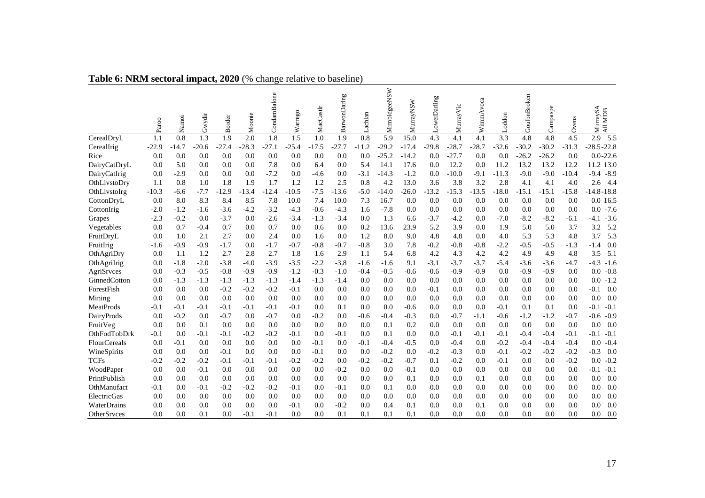|                  | Paroo   | Namoi   | Gwydir  | <b>Border</b> | Moonie  | CondamBalone | Warrego | MacCastlr | BarwonDarlng | Lachlan | MrmbidgeeNSW | MurrayNSW | LowerDarling | MurrayVic | WimmAvoca | Loddon  | GoulbnBroken | Campaspe | Ovens   | MurraySA<br><b>NDB</b><br>$\overline{AB}$ |
|------------------|---------|---------|---------|---------------|---------|--------------|---------|-----------|--------------|---------|--------------|-----------|--------------|-----------|-----------|---------|--------------|----------|---------|-------------------------------------------|
| CerealDryL       | 1.1     | 0.8     | 1.3     | 1.9           | 2.0     | 1.8          | 1.5     | 1.0       | 1.9          | 0.8     | 5.9          | 15.0      | 4.3          | 4.1       | 4.1       | 3.3     | 4.8          | 4.8      | 4.5     | 2.9<br>5.5                                |
| CerealIrig       | $-22.9$ | $-14.7$ | $-20.6$ | $-27.4$       | $-28.3$ | $-27.1$      | $-25.4$ | $-17.5$   | $-27.7$      | $-11.2$ | $-29.2$      | $-17.4$   | $-29.8$      | $-28.7$   | $-28.7$   | $-32.6$ | $-30.2$      | $-30.2$  | $-31.3$ | $-28.5 - 22.8$                            |
| Rice             | 0.0     | 0.0     | 0.0     | 0.0           | 0.0     | 0.0          | 0.0     | 0.0       | 0.0          | 0.0     | $-25.2$      | $-14.2$   | 0.0          | $-27.7$   | 0.0       | 0.0     | $-26.2$      | $-26.2$  | 0.0     | $0.0 - 22.6$                              |
| DairyCatDryL     | 0.0     | 5.0     | 0.0     | 0.0           | 0.0     | 7.8          | 0.0     | 6.4       | 0.0          | 5.4     | 14.1         | 17.6      | 0.0          | 12.2      | 0.0       | 11.2    | 13.2         | 13.2     | 12.2    | 11.2 13.0                                 |
| DairyCatIrig     | 0.0     | $-2.9$  | 0.0     | 0.0           | 0.0     | $-7.2$       | 0.0     | -4.6      | 0.0          | $-3.1$  | $-14.3$      | $-1.2$    | 0.0          | $-10.0$   | $-9.1$    | $-11.3$ | $-9.0$       | $-9.0$   | $-10.4$ | $-9.4$<br>$-8.9$                          |
| OthLivstoDry     | 1.1     | 0.8     | 1.0     | 1.8           | 1.9     | 1.7          | 1.2     | 1.2       | 2.5          | 0.8     | 4.2          | 13.0      | 3.6          | 3.8       | 3.2       | 2.8     | 4.1          | 4.1      | 4.0     | 2.6<br>-4.4                               |
| OthLivstoIrg     | $-10.3$ | -6.6    | $-7.7$  | $-12.9$       | $-13.4$ | $-12.4$      | $-10.5$ | $-7.5$    | $-13.6$      | $-5.0$  | $-14.0$      | $-26.0$   | $-13.2$      | $-15.3$   | $-13.5$   | $-18.0$ | $-15.1$      | $-15.1$  | $-15.8$ | $-14.8 - 18.8$                            |
| CottonDryL       | 0.0     | 8.0     | 8.3     | 8.4           | 8.5     | 7.8          | 10.0    | 7.4       | 10.0         | 7.3     | 16.7         | 0.0       | 0.0          | 0.0       | 0.0       | 0.0     | 0.0          | 0.0      | 0.0     | 0.0 16.5                                  |
| CottonIrig       | $-2.0$  | $-1.2$  | -1.6    | $-3.6$        | $-4.2$  | $-3.2$       | $-4.3$  | $-0.6$    | $-4.3$       | 1.6     | $-7.8$       | 0.0       | 0.0          | 0.0       | 0.0       | 0.0     | 0.0          | 0.0      | 0.0     | $-7.6$<br>0.0                             |
| Grapes           | $-2.3$  | $-0.2$  | 0.0     | $-3.7$        | 0.0     | $-2.6$       | $-3.4$  | $-1.3$    | $-3.4$       | 0.0     | 1.3          | 6.6       | $-3.7$       | $-4.2$    | 0.0       | $-7.0$  | $-8.2$       | $-8.2$   | $-6.1$  | $-3.6$<br>-4.1                            |
| Vegetables       | 0.0     | 0.7     | $-0.4$  | 0.7           | 0.0     | 0.7          | 0.0     | 0.6       | 0.0          | 0.2     | 13.6         | 23.9      | 5.2          | 3.9       | 0.0       | 1.9     | 5.0          | 5.0      | 3.7     | 3.2<br>5.2                                |
| FruitDryL        | 0.0     | 1.0     | 2.1     | 2.7           | 0.0     | 2.4          | 0.0     | 1.6       | 0.0          | 1.2     | 8.0          | 9.0       | 4.8          | 4.8       | 0.0       | 4.0     | 5.3          | 5.3      | 4.8     | 5.3<br>3.7                                |
| FruitIrig        | $-1.6$  | $-0.9$  | $-0.9$  | $-1.7$        | 0.0     | $-1.7$       | $-0.7$  | $-0.8$    | $-0.7$       | $-0.8$  | 3.0          | 7.8       | $-0.2$       | $-0.8$    | $-0.8$    | $-2.2$  | $-0.5$       | $-0.5$   | $-1.3$  | 0.0<br>$-1.4$                             |
| OthAgriDry       | 0.0     | 1.1     | 1.2     | 2.7           | 2.8     | 2.7          | 1.8     | 1.6       | 2.9          | 1.1     | 5.4          | 6.8       | 4.2          | 4.3       | 4.2       | 4.2     | 4.9          | 4.9      | 4.8     | 3.5<br>5.1                                |
| OthAgriIrig      | 0.0     | $-1.8$  | $-2.0$  | $-3.8$        | $-4.0$  | $-3.9$       | $-3.5$  | $-2.2$    | $-3.8$       | -1.6    | $-1.6$       | 9.1       | $-3.1$       | $-3.7$    | $-3.7$    | $-5.4$  | $-3.6$       | $-3.6$   | $-4.7$  | $-4.3$<br>$-1.6$                          |
| AgriSrvces       | 0.0     | $-0.3$  | $-0.5$  | $-0.8$        | $-0.9$  | $-0.9$       | $-1.2$  | $-0.3$    | $-1.0$       | $-0.4$  | $-0.5$       | $-0.6$    | $-0.6$       | $-0.9$    | $-0.9$    | 0.0     | $-0.9$       | $-0.9$   | 0.0     | $-0.8$<br>0.0                             |
| GinnedCotton     | 0.0     | $-1.3$  | $-1.3$  | $-1.3$        | $-1.3$  | $-1.3$       | $-1.4$  | $-1.3$    | $-1.4$       | 0.0     | 0.0          | 0.0       | 0.0          | 0.0       | 0.0       | 0.0     | 0.0          | 0.0      | 0.0     | $-1.2$<br>0.0                             |
| ForestFish       | 0.0     | 0.0     | 0.0     | $-0.2$        | $-0.2$  | $-0.2$       | $-0.1$  | 0.0       | 0.0          | 0.0     | 0.0          | 0.0       | $-0.1$       | 0.0       | 0.0       | 0.0     | 0.0          | 0.0      | 0.0     | $-0.1$<br>0.0                             |
| Mining           | 0.0     | 0.0     | 0.0     | 0.0           | 0.0     | 0.0          | 0.0     | 0.0       | 0.0          | 0.0     | 0.0          | 0.0       | 0.0          | 0.0       | 0.0       | 0.0     | 0.0          | 0.0      | 0.0     | 0.0<br>0.0                                |
| <b>MeatProds</b> | $-0.1$  | $-0.1$  | $-0.1$  | $-0.1$        | $-0.1$  | $-0.1$       | $-0.1$  | 0.0       | 0.1          | 0.0     | 0.0          | $-0.6$    | 0.0          | 0.0       | 0.0       | $-0.1$  | 0.1          | 0.1      | 0.0     | $-0.1$<br>$-0.1$                          |
| DairyProds       | 0.0     | $-0.2$  | 0.0     | $-0.7$        | 0.0     | $-0.7$       | 0.0     | $-0.2$    | 0.0          | $-0.6$  | $-0.4$       | $-0.3$    | 0.0          | $-0.7$    | -1.1      | $-0.6$  | $-1.2$       | $-1.2$   | $-0.7$  | $-0.6$<br>$-0.9$                          |
| FruitVeg         | 0.0     | 0.0     | 0.1     | 0.0           | 0.0     | 0.0          | 0.0     | 0.0       | 0.0          | 0.0     | 0.1          | 0.2       | 0.0          | 0.0       | 0.0       | 0.0     | 0.0          | 0.0      | 0.0     | 0.0<br>0.0                                |
| OthFodTobDrk     | $-0.1$  | 0.0     | $-0.1$  | $-0.1$        | $-0.2$  | $-0.2$       | $-0.1$  | 0.0       | $-0.1$       | 0.0     | 0.1          | 0.0       | 0.0          | $-0.1$    | $-0.1$    | $-0.1$  | $-0.4$       | $-0.4$   | $-0.1$  | $-0.1$<br>$-0.1$                          |
| FlourCereals     | 0.0     | $-0.1$  | 0.0     | 0.0           | 0.0     | 0.0          | 0.0     | $-0.1$    | 0.0          | $-0.1$  | $-0.4$       | $-0.5$    | 0.0          | $-0.4$    | 0.0       | $-0.2$  | $-0.4$       | $-0.4$   | $-0.4$  | $-0.4$<br>0.0                             |
| WineSpirits      | 0.0     | 0.0     | 0.0     | $-0.1$        | 0.0     | 0.0          | 0.0     | $-0.1$    | 0.0          | 0.0     | $-0.2$       | 0.0       | $-0.2$       | $-0.3$    | 0.0       | $-0.1$  | $-0.2$       | $-0.2$   | $-0.2$  | $-0.3$<br>0.0                             |
| <b>TCFs</b>      | $-0.2$  | $-0.2$  | $-0.2$  | $-0.1$        | $-0.1$  | $-0.1$       | $-0.2$  | $-0.2$    | 0.0          | $-0.2$  | $-0.2$       | $-0.7$    | 0.1          | $-0.2$    | 0.0       | $-0.1$  | 0.0          | 0.0      | $-0.2$  | $-0.2$<br>0.0                             |
| WoodPaper        | 0.0     | 0.0     | $-0.1$  | 0.0           | 0.0     | 0.0          | 0.0     | 0.0       | $-0.2$       | 0.0     | 0.0          | $-0.1$    | 0.0          | 0.0       | 0.0       | 0.0     | 0.0          | 0.0      | 0.0     | $-0.1$<br>$-0.1$                          |
| PrintPublish     | 0.0     | 0.0     | 0.0     | 0.0           | 0.0     | 0.0          | 0.0     | 0.0       | 0.0          | 0.0     | 0.0          | 0.1       | 0.0          | 0.0       | 0.1       | 0.0     | 0.0          | 0.0      | 0.0     | 0.0<br>0.0                                |
| OthManufact      | $-0.1$  | 0.0     | $-0.1$  | $-0.2$        | $-0.2$  | $-0.2$       | $-0.1$  | 0.0       | $-0.1$       | $0.0\,$ | 0.1          | 0.0       | 0.0          | 0.0       | 0.0       | 0.0     | 0.0          | 0.0      | 0.0     | 0.0<br>0.0                                |
| ElectricGas      | 0.0     | 0.0     | 0.0     | 0.0           | 0.0     | 0.0          | 0.0     | 0.0       | 0.0          | 0.0     | 0.0          | 0.0       | 0.0          | 0.0       | 0.0       | 0.0     | 0.0          | 0.0      | 0.0     | 0.0<br>0.0                                |
| WaterDrains      | 0.0     | 0.0     | 0.0     | 0.0           | 0.0     | 0.0          | $-0.1$  | 0.0       | $-0.2$       | 0.0     | 0.4          | 0.1       | 0.0          | 0.0       | 0.1       | 0.0     | 0.0          | 0.0      | 0.0     | 0.0<br>0.0                                |
| OtherSrvces      | 0.0     | 0.0     | 0.1     | 0.0           | $-0.1$  | $-0.1$       | 0.0     | 0.0       | 0.1          | 0.1     | 0.1          | 0.1       | 0.0          | 0.0       | 0.0       | 0.0     | 0.0          | 0.0      | 0.0     | 0.0<br>0.0                                |

# **Table 6: NRM sectoral impact, 2020** (% change relative to baseline)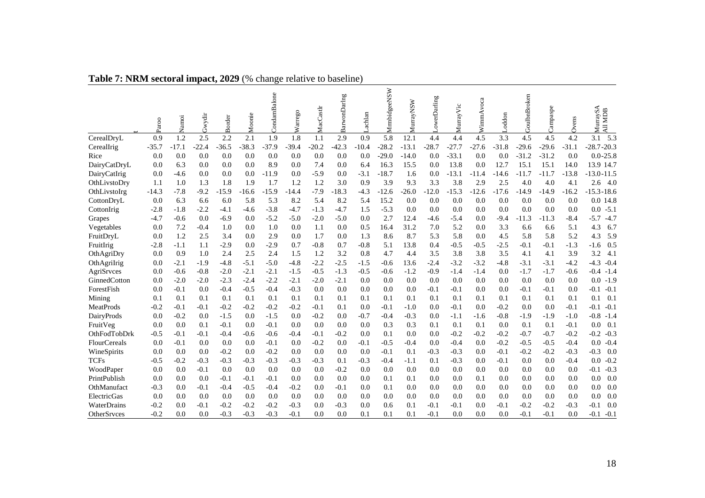|                  | Paroo   | Namoi   | Gwydir  | <b>Border</b> | Moonie  | CondamBalone | Warrego | MacCastlr | BarwonDarlng | Lachlan | MrmbidgeeNSW | MurrayNSW | LowerDarling | MurrayVic | WimmAvoca | Loddon  | GoulbnBroken | Campaspe | Ovens   | MurraySA<br><b>MDB</b><br>$\overline{AB}$ |
|------------------|---------|---------|---------|---------------|---------|--------------|---------|-----------|--------------|---------|--------------|-----------|--------------|-----------|-----------|---------|--------------|----------|---------|-------------------------------------------|
| CerealDryL       | 0.9     | 1.2     | 2.5     | 2.2           | 2.1     | 1.9          | 1.8     | 1.1       | 2.9          | 0.9     | 5.8          | 12.1      | 4.4          | 4.4       | 4.5       | 3.3     | 4.5          | 4.5      | 4.2     | 5.3<br>3.1                                |
| CerealIrig       | $-35.7$ | $-17.1$ | $-22.4$ | $-36.5$       | $-38.3$ | $-37.9$      | $-39.4$ | $-20.2$   | $-42.3$      | $-10.4$ | $-28.2$      | $-13.1$   | $-28.7$      | $-27.7$   | $-27.6$   | $-31.8$ | $-29.6$      | $-29.6$  | $-31.1$ | $-28.7 - 20.3$                            |
| Rice             | 0.0     | 0.0     | 0.0     | 0.0           | 0.0     | 0.0          | 0.0     | 0.0       | 0.0          | 0.0     | $-29.0$      | $-14.0$   | 0.0          | $-33.1$   | 0.0       | 0.0     | $-31.2$      | $-31.2$  | 0.0     | $0.0 - 25.8$                              |
| DairyCatDryL     | 0.0     | 6.3     | 0.0     | 0.0           | 0.0     | 8.9          | 0.0     | 7.4       | 0.0          | 6.4     | 16.3         | 15.5      | 0.0          | 13.8      | 0.0       | 12.7    | 15.1         | 15.1     | 14.0    | 13.9 14.7                                 |
| DairyCatIrig     | 0.0     | -4.6    | 0.0     | 0.0           | 0.0     | $-11.9$      | 0.0     | $-5.9$    | 0.0          | $-3.1$  | $-18.7$      | 1.6       | 0.0          | $-13.1$   | $-11.4$   | $-14.6$ | $-11.7$      | $-11.7$  | $-13.8$ | $-13.0 - 11.5$                            |
| OthLivstoDry     | 1.1     | 1.0     | 1.3     | 1.8           | 1.9     | 1.7          | 1.2     | 1.2       | 3.0          | 0.9     | 3.9          | 9.3       | 3.3          | 3.8       | 2.9       | 2.5     | 4.0          | 4.0      | 4.1     | 2.6<br>- 4.0                              |
| OthLivstoIrg     | $-14.3$ | $-7.8$  | $-9.2$  | $-15.9$       | -16.6   | $-15.9$      | $-14.4$ | $-7.9$    | $-18.3$      | $-4.3$  | $-12.6$      | $-26.0$   | $-12.0$      | $-15.3$   | $-12.6$   | $-17.6$ | $-14.9$      | -14.9    | $-16.2$ | $-15.3 - 18.6$                            |
| CottonDryL       | 0.0     | 6.3     | 6.6     | 6.0           | 5.8     | 5.3          | 8.2     | 5.4       | 8.2          | 5.4     | 15.2         | 0.0       | 0.0          | 0.0       | 0.0       | 0.0     | 0.0          | 0.0      | 0.0     | 0.0 14.8                                  |
| CottonIrig       | $-2.8$  | $-1.8$  | $-2.2$  | -4.1          | $-4.6$  | $-3.8$       | $-4.7$  | $-1.3$    | $-4.7$       | 1.5     | $-5.3$       | 0.0       | 0.0          | 0.0       | 0.0       | 0.0     | 0.0          | 0.0      | 0.0     | $-5.1$<br>0.0                             |
| Grapes           | $-4.7$  | $-0.6$  | 0.0     | $-6.9$        | 0.0     | $-5.2$       | $-5.0$  | $-2.0$    | $-5.0$       | 0.0     | 2.7          | 12.4      | -4.6         | $-5.4$    | 0.0       | $-9.4$  | $-11.3$      | -11.3    | $-8.4$  | $-5.7$<br>$-4.7$                          |
| Vegetables       | 0.0     | 7.2     | $-0.4$  | 1.0           | 0.0     | 1.0          | 0.0     | 1.1       | 0.0          | 0.5     | 16.4         | 31.2      | 7.0          | 5.2       | 0.0       | 3.3     | 6.6          | 6.6      | 5.1     | 4.3<br>6.7                                |
| FruitDryL        | 0.0     | 1.2     | 2.5     | 3.4           | 0.0     | 2.9          | 0.0     | 1.7       | 0.0          | 1.3     | 8.6          | 8.7       | 5.3          | 5.8       | 0.0       | 4.5     | 5.8          | 5.8      | 5.2     | 4.3<br>5.9                                |
| FruitIrig        | $-2.8$  | -1.1    | 1.1     | $-2.9$        | 0.0     | $-2.9$       | 0.7     | $-0.8$    | 0.7          | $-0.8$  | 5.1          | 13.8      | 0.4          | $-0.5$    | $-0.5$    | $-2.5$  | $-0.1$       | $-0.1$   | $-1.3$  | 0.5<br>$-1.6$                             |
| OthAgriDry       | 0.0     | 0.9     | 1.0     | 2.4           | 2.5     | 2.4          | 1.5     | 1.2       | 3.2          | 0.8     | 4.7          | 4.4       | 3.5          | 3.8       | 3.8       | 3.5     | 4.1          | 4.1      | 3.9     | 3.2<br>4.1                                |
| OthAgriIrig      | 0.0     | $-2.1$  | $-1.9$  | $-4.8$        | $-5.1$  | $-5.0$       | $-4.8$  | $-2.2$    | $-2.5$       | $-1.5$  | $-0.6$       | 13.6      | $-2.4$       | $-3.2$    | $-3.2$    | $-4.8$  | $-3.1$       | $-3.1$   | $-4.2$  | $-4.3$<br>$-0.4$                          |
| AgriSrvces       | 0.0     | $-0.6$  | $-0.8$  | $-2.0$        | $-2.1$  | $-2.1$       | $-1.5$  | $-0.5$    | $-1.3$       | $-0.5$  | $-0.6$       | $-1.2$    | $-0.9$       | $-1.4$    | $-1.4$    | 0.0     | $-1.7$       | $-1.7$   | $-0.6$  | $-0.4$<br>$-1.4$                          |
| GinnedCotton     | 0.0     | $-2.0$  | $-2.0$  | $-2.3$        | $-2.4$  | $-2.2$       | $-2.1$  | $-2.0$    | $-2.1$       | 0.0     | 0.0          | 0.0       | 0.0          | 0.0       | 0.0       | 0.0     | 0.0          | 0.0      | 0.0     | $-1.9$<br>0.0                             |
| ForestFish       | 0.0     | $-0.1$  | 0.0     | $-0.4$        | $-0.5$  | $-0.4$       | $-0.3$  | 0.0       | 0.0          | 0.0     | 0.0          | 0.0       | $-0.1$       | $-0.1$    | 0.0       | 0.0     | $-0.1$       | $-0.1$   | 0.0     | $-0.1$<br>$-0.1$                          |
| Mining           | 0.1     | 0.1     | 0.1     | 0.1           | 0.1     | 0.1          | 0.1     | 0.1       | 0.1          | 0.1     | 0.1          | 0.1       | 0.1          | 0.1       | 0.1       | 0.1     | 0.1          | 0.1      | 0.1     | 0.1<br>0.1                                |
| <b>MeatProds</b> | $-0.2$  | $-0.1$  | $-0.1$  | $-0.2$        | $-0.2$  | $-0.2$       | $-0.2$  | $-0.1$    | 0.1          | 0.0     | $-0.1$       | $-1.0$    | 0.0          | $-0.1$    | 0.0       | $-0.2$  | 0.0          | 0.0      | $-0.1$  | $-0.1$<br>$-0.1$                          |
| DairyProds       | 0.0     | $-0.2$  | 0.0     | $-1.5$        | 0.0     | $-1.5$       | 0.0     | $-0.2$    | 0.0          | $-0.7$  | $-0.4$       | $-0.3$    | 0.0          | $-1.1$    | $-1.6$    | $-0.8$  | $-1.9$       | $-1.9$   | $-1.0$  | $-0.8$<br>$-1.4$                          |
| FruitVeg         | 0.0     | 0.0     | 0.1     | $-0.1$        | 0.0     | $-0.1$       | 0.0     | 0.0       | 0.0          | 0.0     | 0.3          | 0.3       | 0.1          | 0.1       | 0.1       | 0.0     | 0.1          | 0.1      | $-0.1$  | 0.0<br>0.1                                |
| OthFodTobDrk     | $-0.5$  | $-0.1$  | $-0.1$  | $-0.4$        | $-0.6$  | $-0.6$       | $-0.4$  | $-0.1$    | $-0.2$       | 0.0     | 0.1          | 0.0       | 0.0          | $-0.2$    | $-0.2$    | $-0.2$  | $-0.7$       | $-0.7$   | $-0.2$  | $-0.2$<br>$-0.3$                          |
| FlourCereals     | 0.0     | $-0.1$  | 0.0     | 0.0           | 0.0     | $-0.1$       | 0.0     | $-0.2$    | 0.0          | $-0.1$  | $-0.5$       | $-0.4$    | 0.0          | $-0.4$    | 0.0       | $-0.2$  | $-0.5$       | $-0.5$   | $-0.4$  | $-0.4$<br>0.0                             |
| WineSpirits      | 0.0     | 0.0     | 0.0     | $-0.2$        | 0.0     | $-0.2$       | 0.0     | 0.0       | 0.0          | 0.0     | $-0.1$       | 0.1       | $-0.3$       | $-0.3$    | 0.0       | $-0.1$  | $-0.2$       | $-0.2$   | $-0.3$  | $-0.3$<br>0.0                             |
| <b>TCFs</b>      | $-0.5$  | $-0.2$  | $-0.3$  | $-0.3$        | $-0.3$  | $-0.3$       | $-0.3$  | $-0.3$    | 0.1          | $-0.3$  | $-0.4$       | $-1.1$    | 0.1          | $-0.3$    | 0.0       | $-0.1$  | 0.0          | 0.0      | $-0.4$  | $-0.2$<br>0.0                             |
| WoodPaper        | 0.0     | 0.0     | $-0.1$  | 0.0           | 0.0     | 0.0          | 0.0     | 0.0       | $-0.2$       | 0.0     | 0.0          | 0.0       | 0.0          | 0.0       | 0.0       | 0.0     | 0.0          | 0.0      | 0.0     | $-0.3$<br>$-0.1$                          |
| PrintPublish     | 0.0     | 0.0     | 0.0     | $-0.1$        | $-0.1$  | $-0.1$       | 0.0     | 0.0       | 0.0          | 0.0     | 0.1          | 0.1       | 0.0          | 0.0       | 0.1       | 0.0     | 0.0          | 0.0      | 0.0     | 0.0<br>0.0                                |
| OthManufact      | $-0.3$  | 0.0     | $-0.1$  | $-0.4$        | $-0.5$  | $-0.4$       | $-0.2$  | 0.0       | $-0.1$       | 0.0     | 0.1          | 0.0       | 0.0          | 0.0       | 0.0       | 0.0     | 0.0          | 0.0      | 0.0     | 0.0<br>0.0                                |
| ElectricGas      | 0.0     | 0.0     | 0.0     | 0.0           | 0.0     | 0.0          | 0.0     | 0.0       | 0.0          | 0.0     | 0.0          | 0.0       | 0.0          | 0.0       | 0.0       | 0.0     | 0.0          | 0.0      | 0.0     | 0.0<br>0.0                                |
| WaterDrains      | $-0.2$  | 0.0     | $-0.1$  | $-0.2$        | $-0.2$  | $-0.2$       | $-0.3$  | 0.0       | $-0.3$       | 0.0     | 0.6          | 0.1       | $-0.1$       | $-0.1$    | 0.0       | $-0.1$  | $-0.2$       | $-0.2$   | $-0.3$  | $-0.1$<br>0.0                             |
| OtherSrvces      | $-0.2$  | 0.0     | 0.0     | $-0.3$        | $-0.3$  | $-0.3$       | $-0.1$  | 0.0       | 0.0          | 0.1     | 0.1          | 0.1       | $-0.1$       | 0.0       | 0.0       | 0.0     | $-0.1$       | $-0.1$   | 0.0     | $-0.1$<br>$-0.1$                          |

# **Table 7: NRM sectoral impact, 2029** (% change relative to baseline)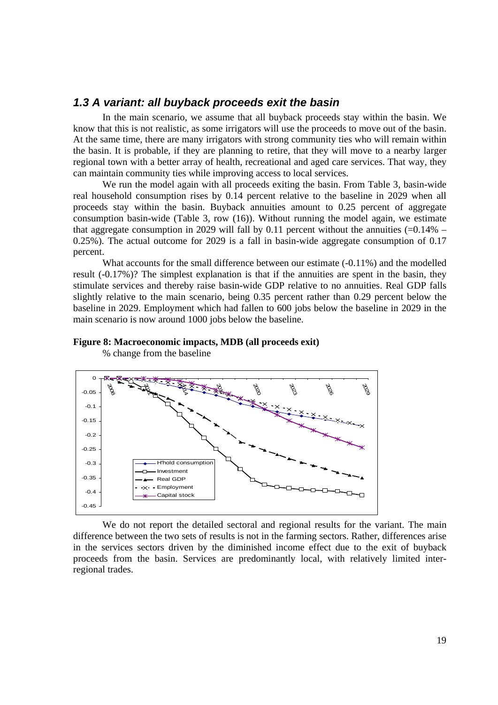### *1.3 A variant: all buyback proceeds exit the basin*

In the main scenario, we assume that all buyback proceeds stay within the basin. We know that this is not realistic, as some irrigators will use the proceeds to move out of the basin. At the same time, there are many irrigators with strong community ties who will remain within the basin. It is probable, if they are planning to retire, that they will move to a nearby larger regional town with a better array of health, recreational and aged care services. That way, they can maintain community ties while improving access to local services.

We run the model again with all proceeds exiting the basin. From Table 3, basin-wide real household consumption rises by 0.14 percent relative to the baseline in 2029 when all proceeds stay within the basin. Buyback annuities amount to 0.25 percent of aggregate consumption basin-wide (Table 3, row  $(16)$ ). Without running the model again, we estimate that aggregate consumption in 2029 will fall by 0.11 percent without the annuities  $(=0.14\% -$ 0.25%). The actual outcome for 2029 is a fall in basin-wide aggregate consumption of 0.17 percent.

What accounts for the small difference between our estimate (-0.11%) and the modelled result (-0.17%)? The simplest explanation is that if the annuities are spent in the basin, they stimulate services and thereby raise basin-wide GDP relative to no annuities. Real GDP falls slightly relative to the main scenario, being 0.35 percent rather than 0.29 percent below the baseline in 2029. Employment which had fallen to 600 jobs below the baseline in 2029 in the main scenario is now around 1000 jobs below the baseline.

### **Figure 8: Macroeconomic impacts, MDB (all proceeds exit)**



% change from the baseline

We do not report the detailed sectoral and regional results for the variant. The main difference between the two sets of results is not in the farming sectors. Rather, differences arise in the services sectors driven by the diminished income effect due to the exit of buyback proceeds from the basin. Services are predominantly local, with relatively limited interregional trades.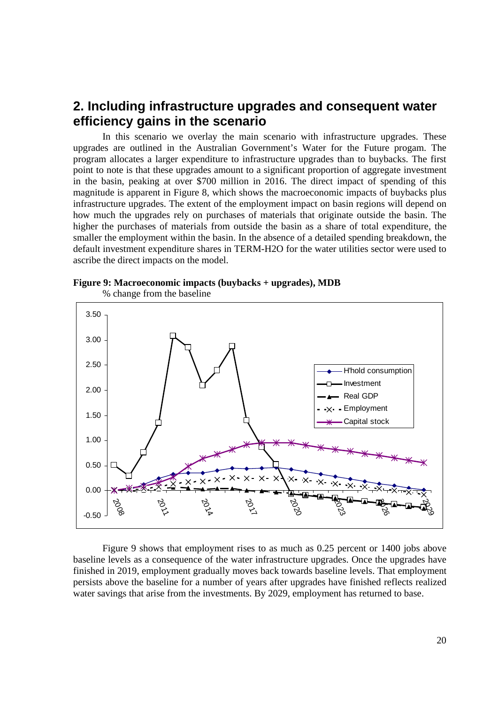# **2. Including infrastructure upgrades and consequent water efficiency gains in the scenario**

In this scenario we overlay the main scenario with infrastructure upgrades. These upgrades are outlined in the Australian Government's Water for the Future progam. The program allocates a larger expenditure to infrastructure upgrades than to buybacks. The first point to note is that these upgrades amount to a significant proportion of aggregate investment in the basin, peaking at over \$700 million in 2016. The direct impact of spending of this magnitude is apparent in Figure 8, which shows the macroeconomic impacts of buybacks plus infrastructure upgrades. The extent of the employment impact on basin regions will depend on how much the upgrades rely on purchases of materials that originate outside the basin. The higher the purchases of materials from outside the basin as a share of total expenditure, the smaller the employment within the basin. In the absence of a detailed spending breakdown, the default investment expenditure shares in TERM-H2O for the water utilities sector were used to ascribe the direct impacts on the model.



**Figure 9: Macroeconomic impacts (buybacks + upgrades), MDB** 

Figure 9 shows that employment rises to as much as 0.25 percent or 1400 jobs above baseline levels as a consequence of the water infrastructure upgrades. Once the upgrades have finished in 2019, employment gradually moves back towards baseline levels. That employment persists above the baseline for a number of years after upgrades have finished reflects realized water savings that arise from the investments. By 2029, employment has returned to base.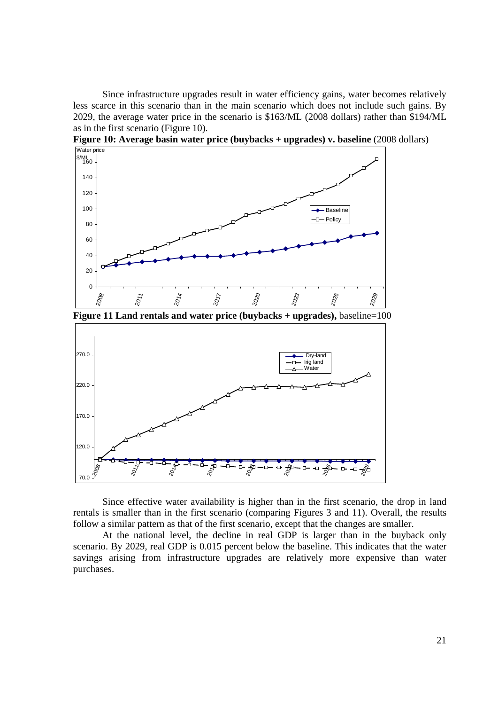Since infrastructure upgrades result in water efficiency gains, water becomes relatively less scarce in this scenario than in the main scenario which does not include such gains. By 2029, the average water price in the scenario is \$163/ML (2008 dollars) rather than \$194/ML as in the first scenario (Figure 10).



**Figure 10: Average basin water price (buybacks + upgrades) v. baseline** (2008 dollars)

**Figure 11 Land rentals and water price (buybacks + upgrades),** baseline=100



Since effective water availability is higher than in the first scenario, the drop in land rentals is smaller than in the first scenario (comparing Figures 3 and 11). Overall, the results follow a similar pattern as that of the first scenario, except that the changes are smaller.

At the national level, the decline in real GDP is larger than in the buyback only scenario. By 2029, real GDP is 0.015 percent below the baseline. This indicates that the water savings arising from infrastructure upgrades are relatively more expensive than water purchases.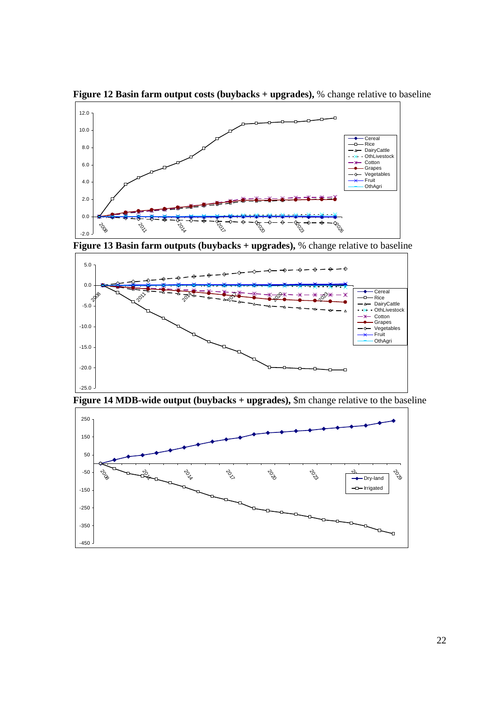

**Figure 12 Basin farm output costs (buybacks + upgrades),** % change relative to baseline

**Figure 13 Basin farm outputs (buybacks + upgrades),** % change relative to baseline





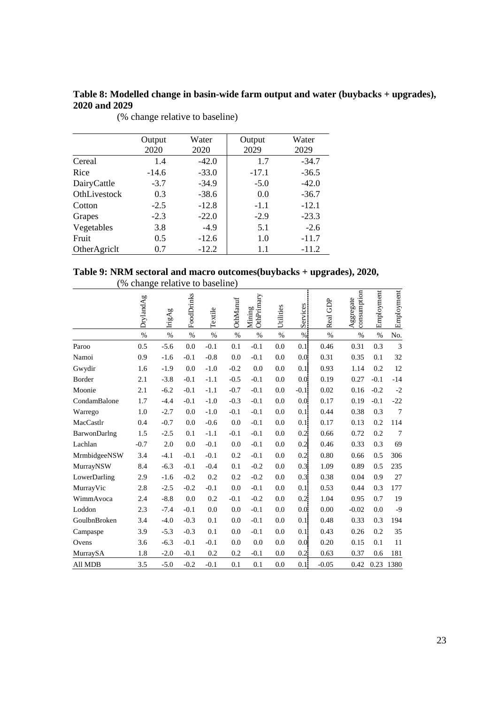# **Table 8: Modelled change in basin-wide farm output and water (buybacks + upgrades), 2020 and 2029**

|              | Output<br>2020 | Water<br>2020 | Output<br>2029 | Water<br>2029 |
|--------------|----------------|---------------|----------------|---------------|
|              |                |               |                |               |
| Cereal       | 1.4            | $-42.0$       | 1.7            | $-34.7$       |
| Rice         | $-14.6$        | $-33.0$       | $-17.1$        | $-36.5$       |
| DairyCattle  | $-3.7$         | $-34.9$       | $-5.0$         | $-42.0$       |
| OthLivestock | 0.3            | $-38.6$       | 0.0            | $-36.7$       |
| Cotton       | $-2.5$         | $-12.8$       | $-1.1$         | $-12.1$       |
| Grapes       | $-2.3$         | $-22.0$       | $-2.9$         | $-23.3$       |
| Vegetables   | 3.8            | $-4.9$        | 5.1            | $-2.6$        |
| Fruit        | 0.5            | $-12.6$       | 1.0            | $-11.7$       |
| OtherAgriclt | 0.7            | $-12.2$       | 1.1            | $-11.2$       |

(% change relative to baseline)

### **Table 9: NRM sectoral and macro outcomes(buybacks + upgrades), 2020,**  (% change relative to baseline)

|              | DrylandAg | IrigAg | FoodDrinks | Textile | OthManuf | OthPrimary<br>Mining | Utilities | Services | Real GDP | consumption<br>Aggregate | Employment | Employment |
|--------------|-----------|--------|------------|---------|----------|----------------------|-----------|----------|----------|--------------------------|------------|------------|
|              | $\%$      | $\%$   | %          | %       | $\%$     | $\%$                 | %         | %        | %        | $\%$                     | %          | No.        |
| Paroo        | 0.5       | $-5.6$ | 0.0        | $-0.1$  | 0.1      | $-0.1$               | 0.0       | 0.1      | 0.46     | 0.31                     | 0.3        | 3          |
| Namoi        | 0.9       | $-1.6$ | $-0.1$     | $-0.8$  | 0.0      | $-0.1$               | 0.0       | 0.0      | 0.31     | 0.35                     | 0.1        | 32         |
| Gwydir       | 1.6       | $-1.9$ | 0.0        | $-1.0$  | $-0.2$   | 0.0                  | 0.0       | 0.1      | 0.93     | 1.14                     | 0.2        | 12         |
| Border       | 2.1       | $-3.8$ | $-0.1$     | $-1.1$  | $-0.5$   | $-0.1$               | 0.0       | 0.0      | 0.19     | 0.27                     | $-0.1$     | $-14$      |
| Moonie       | 2.1       | $-6.2$ | $-0.1$     | $-1.1$  | $-0.7$   | $-0.1$               | 0.0       | $-0.1$   | 0.02     | 0.16                     | $-0.2$     | $-2$       |
| CondamBalone | 1.7       | $-4.4$ | $-0.1$     | $-1.0$  | $-0.3$   | $-0.1$               | 0.0       | 0.0      | 0.17     | 0.19                     | $-0.1$     | $-22$      |
| Warrego      | 1.0       | $-2.7$ | 0.0        | $-1.0$  | $-0.1$   | $-0.1$               | 0.0       | 0.1      | 0.44     | 0.38                     | 0.3        | 7          |
| MacCastlr    | 0.4       | $-0.7$ | 0.0        | $-0.6$  | 0.0      | $-0.1$               | 0.0       | 0.1      | 0.17     | 0.13                     | 0.2        | 114        |
| BarwonDarlng | 1.5       | $-2.5$ | 0.1        | $-1.1$  | $-0.1$   | $-0.1$               | 0.0       | 0.2      | 0.66     | 0.72                     | 0.2        | 7          |
| Lachlan      | $-0.7$    | 2.0    | 0.0        | $-0.1$  | 0.0      | $-0.1$               | 0.0       | 0.2      | 0.46     | 0.33                     | 0.3        | 69         |
| MrmbidgeeNSW | 3.4       | $-4.1$ | $-0.1$     | $-0.1$  | 0.2      | $-0.1$               | 0.0       | 0.2      | 0.80     | 0.66                     | 0.5        | 306        |
| MurrayNSW    | 8.4       | $-6.3$ | $-0.1$     | $-0.4$  | 0.1      | $-0.2$               | 0.0       | 0.3      | 1.09     | 0.89                     | 0.5        | 235        |
| LowerDarling | 2.9       | $-1.6$ | $-0.2$     | 0.2     | 0.2      | $-0.2$               | 0.0       | 0.3      | 0.38     | 0.04                     | 0.9        | 27         |
| MurrayVic    | 2.8       | $-2.5$ | $-0.2$     | $-0.1$  | 0.0      | $-0.1$               | 0.0       | 0.1      | 0.53     | 0.44                     | 0.3        | 177        |
| WimmAvoca    | 2.4       | $-8.8$ | 0.0        | 0.2     | $-0.1$   | $-0.2$               | 0.0       | 0.2      | 1.04     | 0.95                     | 0.7        | 19         |
| Loddon       | 2.3       | $-7.4$ | $-0.1$     | 0.0     | 0.0      | $-0.1$               | 0.0       | 0.0      | 0.00     | $-0.02$                  | 0.0        | $-9$       |
| GoulbnBroken | 3.4       | $-4.0$ | $-0.3$     | 0.1     | 0.0      | $-0.1$               | 0.0       | 0.1      | 0.48     | 0.33                     | 0.3        | 194        |
| Campaspe     | 3.9       | $-5.3$ | $-0.3$     | 0.1     | 0.0      | $-0.1$               | 0.0       | 0.11     | 0.43     | 0.26                     | 0.2        | 35         |
| Ovens        | 3.6       | $-6.3$ | $-0.1$     | $-0.1$  | 0.0      | 0.0                  | 0.0       | 0.0      | 0.20     | 0.15                     | 0.1        | 11         |
| MurraySA     | 1.8       | $-2.0$ | $-0.1$     | 0.2     | 0.2      | $-0.1$               | 0.0       | 0.2      | 0.63     | 0.37                     | 0.6        | 181        |
| All MDB      | 3.5       | $-5.0$ | $-0.2$     | $-0.1$  | 0.1      | 0.1                  | 0.0       | 0.1      | $-0.05$  | 0.42                     | 0.23       | 1380       |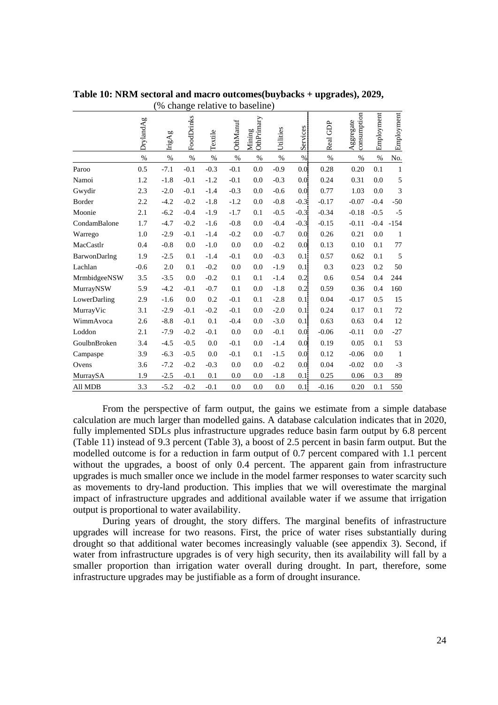|              | DrylandAg | IrigAg | FoodDrinks | Textile | OthManuf | OthPrimary<br>Mining | Utilities | Services         | Real GDP | consumption<br>Aggregate | Employment | Employment |
|--------------|-----------|--------|------------|---------|----------|----------------------|-----------|------------------|----------|--------------------------|------------|------------|
|              | $\%$      | %      | %          | %       | %        | %                    | $\%$      | %                | $\%$     | $\%$                     | %          | No.        |
| Paroo        | 0.5       | $-7.1$ | $-0.1$     | $-0.3$  | $-0.1$   | 0.0                  | $-0.9$    | 0.0              | 0.28     | 0.20                     | 0.1        | 1          |
| Namoi        | 1.2       | $-1.8$ | $-0.1$     | $-1.2$  | $-0.1$   | 0.0                  | $-0.3$    | 0.0              | 0.24     | 0.31                     | 0.0        | $\sqrt{5}$ |
| Gwydir       | 2.3       | $-2.0$ | $-0.1$     | $-1.4$  | $-0.3$   | 0.0                  | $-0.6$    | 0.0              | 0.77     | 1.03                     | 0.0        | 3          |
| Border       | 2.2       | $-4.2$ | $-0.2$     | $-1.8$  | $-1.2$   | 0.0                  | $-0.8$    | $-0.3$           | $-0.17$  | $-0.07$                  | $-0.4$     | $-50$      |
| Moonie       | 2.1       | $-6.2$ | $-0.4$     | $-1.9$  | $-1.7$   | 0.1                  | $-0.5$    | $-0.3$           | $-0.34$  | $-0.18$                  | $-0.5$     | $-5$       |
| CondamBalone | 1.7       | $-4.7$ | $-0.2$     | $-1.6$  | $-0.8$   | 0.0                  | $-0.4$    | $-0.3$           | $-0.15$  | $-0.11$                  | $-0.4$     | $-154$     |
| Warrego      | 1.0       | $-2.9$ | $-0.1$     | $-1.4$  | $-0.2$   | 0.0                  | $-0.7$    | 0.0 <sub>1</sub> | 0.26     | 0.21                     | 0.0        | -1         |
| MacCastlr    | 0.4       | $-0.8$ | 0.0        | $-1.0$  | 0.0      | 0.0                  | $-0.2$    | 0.0              | 0.13     | 0.10                     | 0.1        | 77         |
| BarwonDarlng | 1.9       | $-2.5$ | 0.1        | $-1.4$  | $-0.1$   | 0.0                  | $-0.3$    | 0.1              | 0.57     | 0.62                     | 0.1        | 5          |
| Lachlan      | $-0.6$    | 2.0    | 0.1        | $-0.2$  | 0.0      | 0.0                  | $-1.9$    | 0.1              | 0.3      | 0.23                     | 0.2        | 50         |
| MrmbidgeeNSW | 3.5       | $-3.5$ | 0.0        | $-0.2$  | 0.1      | 0.1                  | $-1.4$    | 0.2              | 0.6      | 0.54                     | 0.4        | 244        |
| MurrayNSW    | 5.9       | $-4.2$ | $-0.1$     | $-0.7$  | 0.1      | 0.0                  | $-1.8$    | 0.2              | 0.59     | 0.36                     | 0.4        | 160        |
| LowerDarling | 2.9       | $-1.6$ | 0.0        | 0.2     | $-0.1$   | 0.1                  | $-2.8$    | 0.1              | 0.04     | $-0.17$                  | 0.5        | 15         |
| MurrayVic    | 3.1       | $-2.9$ | $-0.1$     | $-0.2$  | $-0.1$   | 0.0                  | $-2.0$    | 0.1              | 0.24     | 0.17                     | 0.1        | 72         |
| WimmAvoca    | 2.6       | $-8.8$ | $-0.1$     | 0.1     | $-0.4$   | 0.0                  | $-3.0$    | 0.1              | 0.63     | 0.63                     | 0.4        | 12         |
| Loddon       | 2.1       | $-7.9$ | $-0.2$     | $-0.1$  | 0.0      | 0.0                  | $-0.1$    | 0.0              | $-0.06$  | $-0.11$                  | 0.0        | $-27$      |
| GoulbnBroken | 3.4       | $-4.5$ | $-0.5$     | 0.0     | $-0.1$   | 0.0                  | $-1.4$    | 0.0              | 0.19     | 0.05                     | 0.1        | 53         |
| Campaspe     | 3.9       | $-6.3$ | $-0.5$     | 0.0     | $-0.1$   | 0.1                  | $-1.5$    | 0.0              | 0.12     | $-0.06$                  | 0.0        | -1         |
| Ovens        | 3.6       | $-7.2$ | $-0.2$     | $-0.3$  | 0.0      | 0.0                  | $-0.2$    | 0.0              | 0.04     | $-0.02$                  | 0.0        | $-3$       |
| MurraySA     | 1.9       | $-2.5$ | $-0.1$     | 0.1     | 0.0      | 0.0                  | $-1.8$    | 0.1:             | 0.25     | 0.06                     | 0.3        | 89         |
| All MDB      | 3.3       | $-5.2$ | $-0.2$     | $-0.1$  | 0.0      | 0.0                  | 0.0       | 0.1              | $-0.16$  | 0.20                     | 0.1        | 550        |

**Table 10: NRM sectoral and macro outcomes(buybacks + upgrades), 2029,**  (% change relative to baseline)

From the perspective of farm output, the gains we estimate from a simple database calculation are much larger than modelled gains. A database calculation indicates that in 2020, fully implemented SDLs plus infrastructure upgrades reduce basin farm output by 6.8 percent (Table 11) instead of 9.3 percent (Table 3), a boost of 2.5 percent in basin farm output. But the modelled outcome is for a reduction in farm output of 0.7 percent compared with 1.1 percent without the upgrades, a boost of only 0.4 percent. The apparent gain from infrastructure upgrades is much smaller once we include in the model farmer responses to water scarcity such as movements to dry-land production. This implies that we will overestimate the marginal impact of infrastructure upgrades and additional available water if we assume that irrigation output is proportional to water availability.

During years of drought, the story differs. The marginal benefits of infrastructure upgrades will increase for two reasons. First, the price of water rises substantially during drought so that additional water becomes increasingly valuable (see appendix 3). Second, if water from infrastructure upgrades is of very high security, then its availability will fall by a smaller proportion than irrigation water overall during drought. In part, therefore, some infrastructure upgrades may be justifiable as a form of drought insurance.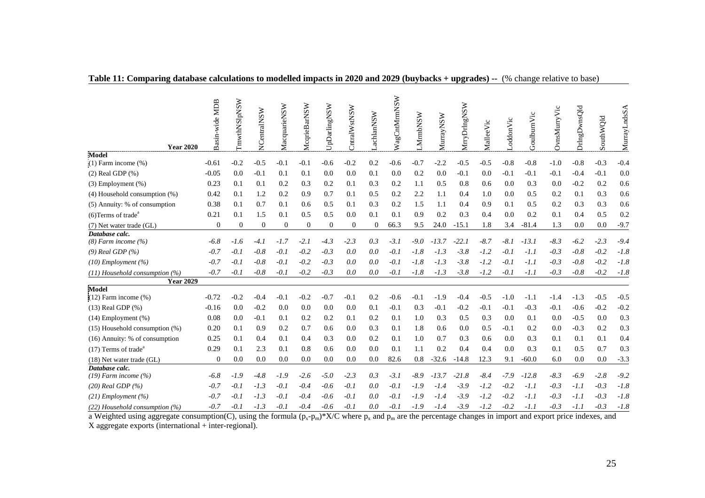| <b>Year 2020</b>                            | Basin-wide MDB | <b>ImwthNSIpNSW</b> | NCentralNSW    | MacquarieNSW | McqrieBarNSW     | UpDarlingNSW   | CntralWstNSW     | achlanNSW      | WagCntMrmNSW | <b>MrmbNSW</b> | MurrayNSW | MrryDrIngNSW | MalleeVic | oddonVic | GoulburnVic | OvnsMurryVic | DringDwnsQld | SouthWQld | MurrayLndsSA |
|---------------------------------------------|----------------|---------------------|----------------|--------------|------------------|----------------|------------------|----------------|--------------|----------------|-----------|--------------|-----------|----------|-------------|--------------|--------------|-----------|--------------|
| <b>Model</b>                                |                |                     |                |              |                  |                |                  |                |              |                |           |              |           |          |             |              |              |           |              |
| $\ddot{\cdot}$ (1) Farm income (%)          | $-0.61$        | $-0.2$              | $-0.5$         | $-0.1$       | $-0.1$           | $-0.6$         | $-0.2$           | 0.2            | $-0.6$       | $-0.7$         | $-2.2$    | $-0.5$       | $-0.5$    | $-0.8$   | $-0.8$      | $-1.0$       | $-0.8$       | $-0.3$    | $-0.4$       |
| $(2)$ Real GDP $(\% )$                      | $-0.05$        | 0.0                 | $-0.1$         | 0.1          | 0.1              | 0.0            | 0.0              | 0.1            | 0.0          | 0.2            | 0.0       | $-0.1$       | 0.0       | $-0.1$   | $-0.1$      | $-0.1$       | $-0.4$       | $-0.1$    | 0.0          |
| $(3)$ Employment $(\%)$                     | 0.23           | 0.1                 | 0.1            | 0.2          | 0.3              | 0.2            | 0.1              | 0.3            | 0.2          | 1.1            | 0.5       | 0.8          | 0.6       | 0.0      | 0.3         | 0.0          | $-0.2$       | 0.2       | 0.6          |
| $(4)$ Household consumption $(\%)$          | 0.42           | 0.1                 | 1.2            | 0.2          | 0.9              | 0.7            | 0.1              | 0.5            | 0.2          | 2.2            | 1.1       | 0.4          | 1.0       | 0.0      | 0.5         | 0.2          | 0.1          | 0.3       | 0.6          |
| (5) Annuity: % of consumption               | 0.38           | 0.1                 | 0.7            | 0.1          | 0.6              | 0.5            | 0.1              | 0.3            | 0.2          | 1.5            | 1.1       | 0.4          | 0.9       | 0.1      | 0.5         | 0.2          | 0.3          | 0.3       | 0.6          |
| $(6)$ Terms of trade <sup>a</sup>           | 0.21           | 0.1                 | 1.5            | 0.1          | 0.5              | 0.5            | 0.0              | 0.1            | 0.1          | 0.9            | 0.2       | 0.3          | 0.4       | 0.0      | 0.2         | 0.1          | 0.4          | 0.5       | 0.2          |
| (7) Net water trade (GL)                    | $\overline{0}$ | $\theta$            | $\overline{0}$ | $\Omega$     | $\boldsymbol{0}$ | $\overline{0}$ | $\boldsymbol{0}$ | $\overline{0}$ | 66.3         | 9.5            | 24.0      | $-15.1$      | 1.8       | 3.4      | $-81.4$     | 1.3          | 0.0          | 0.0       | $-9.7$       |
| Database calc.<br>$(8)$ Farm income $(%$ )  | $-6.8$         | $-1.6$              | $-4.1$         | -1.7         | $-2.1$           | $-4.3$         | $-2.3$           | 0.3            | $-3.1$       | $-9.0$         | $-13.7$   | $-22.1$      | $-8.7$    | $-8.1$   | $-13.1$     | $-8.3$       | $-6.2$       | $-2.3$    | $-9.4$       |
| $(9)$ Real GDP $(%$                         | $-0.7$         | $-0.1$              | $-0.8$         | $-0.1$       | $-0.2$           | $-0.3$         | 0.0              | 0.0            | $-0.1$       | $-1.8$         | $-1.3$    | $-3.8$       | $-1.2$    | $-0.1$   | $-1.1$      | $-0.3$       | $-0.8$       | $-0.2$    | $-1.8$       |
| $(10)$ Employment $(%)$                     | $-0.7$         | $-0.1$              | $-0.8$         | $-0.1$       | $-0.2$           | $-0.3$         | 0.0              | 0.0            | $-0.1$       | $-1.8$         | $-1.3$    | $-3.8$       | $-1.2$    | $-0.1$   | $-1.1$      | $-0.3$       | $-0.8$       | $-0.2$    | $-1.8$       |
| $(11)$ Household consumption $(%)$          | $-0.7$         | $-0.1$              | $-0.8$         | $-0.1$       | $-0.2$           | $-0.3$         | 0.0              | 0.0            | $-0.1$       | $-1.8$         | $-1.3$    | $-3.8$       | $-1.2$    | $-0.1$   | $-1.1$      | $-0.3$       | $-0.8$       | $-0.2$    | $-1.8$       |
| <b>Year 2029</b>                            |                |                     |                |              |                  |                |                  |                |              |                |           |              |           |          |             |              |              |           |              |
| Model<br>$(12)$ Farm income $(\%)$          | $-0.72$        | $-0.2$              | $-0.4$         | $-0.1$       | $-0.2$           | $-0.7$         | $-0.1$           | 0.2            | $-0.6$       | $-0.1$         | $-1.9$    | $-0.4$       | $-0.5$    | $-1.0$   | $-1.1$      | $-1.4$       | $-1.3$       | $-0.5$    | $-0.5$       |
| $(13)$ Real GDP $(\%)$                      | $-0.16$        | 0.0                 | $-0.2$         | 0.0          | 0.0              | 0.0            | 0.0              | 0.1            | $-0.1$       | 0.3            | $-0.1$    | $-0.2$       | $-0.1$    | $-0.1$   | $-0.3$      | $-0.1$       | $-0.6$       | $-0.2$    | $-0.2$       |
| $(14)$ Employment $(\%)$                    | 0.08           | 0.0                 | $-0.1$         | 0.1          | 0.2              | 0.2            | 0.1              | 0.2            | 0.1          | 1.0            | 0.3       | 0.5          | 0.3       | 0.0      | 0.1         | 0.0          | $-0.5$       | 0.0       | 0.3          |
| $(15)$ Household consumption $(\%)$         | 0.20           | 0.1                 | 0.9            | 0.2          | 0.7              | 0.6            | 0.0              | 0.3            | 0.1          | 1.8            | 0.6       | 0.0          | 0.5       | $-0.1$   | 0.2         | 0.0          | $-0.3$       | 0.2       | 0.3          |
| (16) Annuity: % of consumption              | 0.25           | 0.1                 | 0.4            | 0.1          | 0.4              | 0.3            | 0.0              | 0.2            | 0.1          | 1.0            | 0.7       | 0.3          | 0.6       | 0.0      | 0.3         | 0.1          | 0.1          | 0.1       | 0.4          |
| $(17)$ Terms of trade <sup>a</sup>          | 0.29           | 0.1                 | 2.3            | 0.1          | 0.8              | 0.6            | 0.0              | 0.0            | 0.1          | 1.1            | 0.2       | 0.4          | 0.4       | 0.0      | 0.3         | 0.1          | 0.5          | 0.7       | 0.3          |
| $(18)$ Net water trade $(GL)$               | $\theta$       | 0.0                 | 0.0            | 0.0          | 0.0              | 0.0            | 0.0              | 0.0            | 82.6         | 0.8            | $-32.6$   | $-14.8$      | 12.3      | 9.1      | $-60.0$     | 6.0          | 0.0          | 0.0       | $-3.3$       |
| Database calc.<br>$(19)$ Farm income $(%$ ) | $-6.8$         | $-1.9$              | $-4.8$         | $-1.9$       | $-2.6$           | $-5.0$         | $-2.3$           | 0.3            | $-3.1$       | $-8.9$         | $-13.7$   | $-21.8$      | $-8.4$    | $-7.9$   | $-12.8$     | $-8.3$       | $-6.9$       | $-2.8$    | $-9.2$       |
| $(20)$ Real GDP $(%)$                       | $-0.7$         | $-0.1$              | $-1.3$         | $-0.1$       | $-0.4$           | $-0.6$         | $-0.1$           | 0.0            | $-0.1$       | $-1.9$         | $-1.4$    | $-3.9$       | $-1.2$    | $-0.2$   | $-1.1$      | $-0.3$       | $-1.1$       | $-0.3$    | $-1.8$       |
| $(21)$ Employment $(%)$                     | $-0.7$         | $-0.1$              | $-1.3$         | $-0.1$       | $-0.4$           | $-0.6$         | $-0.1$           | 0.0            | $-0.1$       | $-1.9$         | $-1.4$    | $-3.9$       | $-1.2$    | $-0.2$   | $-1.1$      | $-0.3$       | $-1.1$       | $-0.3$    | $-1.8$       |
| $(22)$ Household consumption $(%)$          | $-0.7$         | $-0.1$              | $-1.3$         | $-0.1$       | $-0.4$           | $-0.6$         | $-0.1$           | 0.0            | $-0.1$       | $-1.9$         | $-1.4$    | $-3.9$       | $-1.2$    | $-0.2$   | $-1.1$      | $-0.3$       | $-1.1$       | $-0.3$    | $-1.8$       |
|                                             |                |                     |                |              |                  |                |                  |                |              |                |           |              |           |          |             |              |              |           |              |

### **Table 11: Comparing database calculations to modelled impacts in 2020 and 2029 (buybacks + upgrades) --** (% change relative to base)

a Weighted using aggregate consumption(C), using the formula  $(p_x-p_m)^*X/C$  where  $p_x$  and  $p_m$  are the percentage changes in import and export price indexes, and X aggregate exports (international + inter-regional).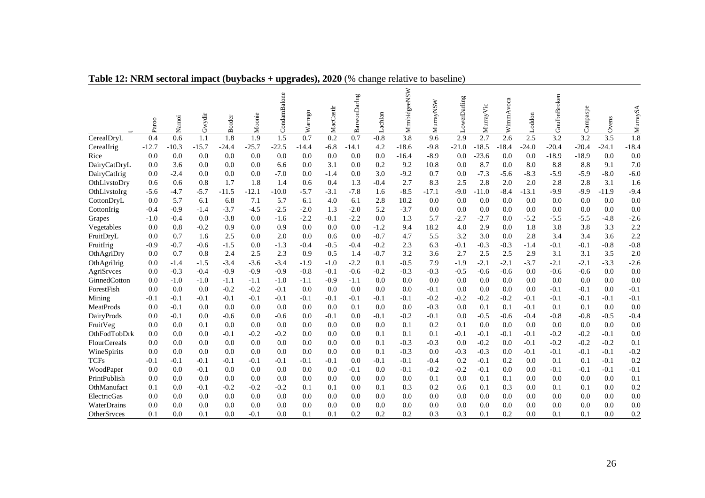|              | Paroo   | Namoi   | Gwydir  | <b>Border</b> | Moonie  | CondamBalone | Warrego | MacCastlr | BarwonDarlng | Lachlan | MrmbidgeeNSW | MurrayNSW | LowerDarling | MurrayVic | WimmAvoca | Loddon  | GoulbnBroken | Campaspe | Ovens   | MurraySA |
|--------------|---------|---------|---------|---------------|---------|--------------|---------|-----------|--------------|---------|--------------|-----------|--------------|-----------|-----------|---------|--------------|----------|---------|----------|
| CerealDryL   | 0.4     | 0.6     | 1.1     | 1.8           | 1.9     | 1.5          | 0.7     | 0.2       | 0.7          | $-0.8$  | 3.8          | 9.6       | 2.9          | 2.7       | 2.6       | 2.5     | 3.2          | 3.2      | 3.5     | 1.8      |
| CerealIrig   | $-12.7$ | $-10.3$ | $-15.7$ | $-24.4$       | $-25.7$ | $-22.5$      | $-14.4$ | $-6.8$    | $-14.1$      | 4.2     | $-18.6$      | $-9.8$    | $-21.0$      | $-18.5$   | $-18.4$   | $-24.0$ | $-20.4$      | $-20.4$  | $-24.1$ | $-18.4$  |
| Rice         | 0.0     | 0.0     | 0.0     | 0.0           | 0.0     | 0.0          | 0.0     | 0.0       | 0.0          | 0.0     | $-16.4$      | $-8.9$    | 0.0          | $-23.6$   | 0.0       | 0.0     | $-18.9$      | $-18.9$  | 0.0     | 0.0      |
| DairyCatDryL | 0.0     | 3.6     | 0.0     | 0.0           | 0.0     | 6.6          | 0.0     | 3.1       | 0.0          | 0.2     | 9.2          | 10.8      | 0.0          | 8.7       | 0.0       | 8.0     | 8.8          | 8.8      | 9.1     | 7.0      |
| DairyCatIrig | 0.0     | $-2.4$  | 0.0     | 0.0           | 0.0     | $-7.0$       | 0.0     | $-1.4$    | 0.0          | 3.0     | $-9.2$       | 0.7       | 0.0          | $-7.3$    | $-5.6$    | $-8.3$  | $-5.9$       | $-5.9$   | $-8.0$  | $-6.0$   |
| OthLivstoDry | 0.6     | 0.6     | 0.8     | 1.7           | 1.8     | 1.4          | 0.6     | 0.4       | 1.3          | $-0.4$  | 2.7          | 8.3       | 2.5          | 2.8       | 2.0       | 2.0     | 2.8          | 2.8      | 3.1     | 1.6      |
| OthLivstoIrg | $-5.6$  | $-4.7$  | $-5.7$  | $-11.5$       | $-12.1$ | $-10.0$      | $-5.7$  | $-3.1$    | $-7.8$       | 1.6     | $-8.5$       | $-17.1$   | $-9.0$       | $-11.0$   | $-8.4$    | $-13.1$ | $-9.9$       | $-9.9$   | $-11.9$ | $-9.4$   |
| CottonDryL   | 0.0     | 5.7     | 6.1     | 6.8           | 7.1     | 5.7          | 6.1     | 4.0       | 6.1          | 2.8     | 10.2         | 0.0       | 0.0          | 0.0       | 0.0       | 0.0     | 0.0          | 0.0      | 0.0     | 0.0      |
| CottonIrig   | $-0.4$  | $-0.9$  | $-1.4$  | $-3.7$        | $-4.5$  | $-2.5$       | $-2.0$  | 1.3       | $-2.0$       | 5.2     | $-3.7$       | 0.0       | 0.0          | 0.0       | 0.0       | 0.0     | 0.0          | 0.0      | 0.0     | 0.0      |
| Grapes       | $-1.0$  | $-0.4$  | 0.0     | $-3.8$        | 0.0     | $-1.6$       | $-2.2$  | $-0.1$    | $-2.2$       | 0.0     | 1.3          | 5.7       | $-2.7$       | $-2.7$    | 0.0       | $-5.2$  | $-5.5$       | $-5.5$   | $-4.8$  | $-2.6$   |
| Vegetables   | 0.0     | 0.8     | $-0.2$  | 0.9           | 0.0     | 0.9          | 0.0     | 0.0       | 0.0          | $-1.2$  | 9.4          | 18.2      | 4.0          | 2.9       | 0.0       | 1.8     | 3.8          | 3.8      | 3.3     | 2.2      |
| FruitDryL    | 0.0     | 0.7     | 1.6     | 2.5           | 0.0     | 2.0          | 0.0     | 0.6       | 0.0          | $-0.7$  | 4.7          | 5.5       | 3.2          | 3.0       | 0.0       | 2.8     | 3.4          | 3.4      | 3.6     | 2.2      |
| FruitIrig    | $-0.9$  | $-0.7$  | $-0.6$  | $-1.5$        | 0.0     | $-1.3$       | $-0.4$  | $-0.5$    | $-0.4$       | $-0.2$  | 2.3          | 6.3       | $-0.1$       | $-0.3$    | $-0.3$    | $-1.4$  | $-0.1$       | -0.1     | $-0.8$  | $-0.8$   |
| OthAgriDry   | 0.0     | 0.7     | 0.8     | 2.4           | 2.5     | 2.3          | 0.9     | 0.5       | 1.4          | $-0.7$  | 3.2          | 3.6       | 2.7          | 2.5       | 2.5       | 2.9     | 3.1          | 3.1      | 3.5     | 2.0      |
| OthAgriIrig  | 0.0     | $-1.4$  | $-1.5$  | $-3.4$        | $-3.6$  | $-3.4$       | $-1.9$  | $-1.0$    | $-2.2$       | 0.1     | $-0.5$       | 7.9       | $-1.9$       | $-2.1$    | $-2.1$    | $-3.7$  | $-2.1$       | $-2.1$   | $-3.3$  | $-2.6$   |
| AgriSrvces   | 0.0     | $-0.3$  | $-0.4$  | $-0.9$        | $-0.9$  | $-0.9$       | $-0.8$  | $-0.1$    | $-0.6$       | $-0.2$  | $-0.3$       | $-0.3$    | $-0.5$       | $-0.6$    | $-0.6$    | 0.0     | $-0.6$       | $-0.6$   | 0.0     | 0.0      |
| GinnedCotton | 0.0     | $-1.0$  | $-1.0$  | $-1.1$        | $-1.1$  | $-1.0$       | $-1.1$  | $-0.9$    | $-1.1$       | 0.0     | 0.0          | 0.0       | 0.0          | 0.0       | 0.0       | 0.0     | 0.0          | 0.0      | 0.0     | 0.0      |
| ForestFish   | 0.0     | 0.0     | 0.0     | $-0.2$        | $-0.2$  | $-0.1$       | 0.0     | 0.0       | 0.0          | 0.0     | 0.0          | $-0.1$    | 0.0          | 0.0       | 0.0       | 0.0     | $-0.1$       | -0.1     | 0.0     | $-0.1$   |
| Mining       | $-0.1$  | $-0.1$  | $-0.1$  | $-0.1$        | $-0.1$  | $-0.1$       | $-0.1$  | $-0.1$    | $-0.1$       | $-0.1$  | $-0.1$       | $-0.2$    | $-0.2$       | $-0.2$    | $-0.2$    | $-0.1$  | $-0.1$       | $-0.1$   | $-0.1$  | $-0.1$   |
| MeatProds    | 0.0     | $-0.1$  | 0.0     | 0.0           | 0.0     | 0.0          | 0.0     | 0.0       | 0.1          | 0.0     | 0.0          | $-0.3$    | 0.0          | 0.1       | 0.1       | $-0.1$  | 0.1          | 0.1      | 0.0     | 0.0      |
| DairyProds   | 0.0     | $-0.1$  | 0.0     | $-0.6$        | 0.0     | $-0.6$       | 0.0     | $-0.1$    | 0.0          | $-0.1$  | $-0.2$       | $-0.1$    | 0.0          | $-0.5$    | $-0.6$    | $-0.4$  | $-0.8$       | $-0.8$   | $-0.5$  | $-0.4$   |
| FruitVeg     | 0.0     | 0.0     | 0.1     | 0.0           | 0.0     | 0.0          | 0.0     | 0.0       | 0.0          | 0.0     | 0.1          | 0.2       | 0.1          | 0.0       | 0.0       | 0.0     | 0.0          | 0.0      | 0.0     | 0.0      |
| OthFodTobDrk | 0.0     | 0.0     | 0.0     | $-0.1$        | $-0.2$  | $-0.2$       | 0.0     | 0.0       | 0.0          | 0.1     | 0.1          | 0.1       | $-0.1$       | $-0.1$    | $-0.1$    | $-0.1$  | $-0.2$       | $-0.2$   | $-0.1$  | 0.0      |
| FlourCereals | 0.0     | 0.0     | 0.0     | 0.0           | 0.0     | 0.0          | 0.0     | 0.0       | 0.0          | 0.1     | $-0.3$       | $-0.3$    | 0.0          | $-0.2$    | 0.0       | $-0.1$  | $-0.2$       | $-0.2$   | $-0.2$  | 0.1      |
| WineSpirits  | 0.0     | 0.0     | 0.0     | 0.0           | 0.0     | 0.0          | 0.0     | 0.0       | 0.0          | 0.1     | $-0.3$       | 0.0       | $-0.3$       | $-0.3$    | 0.0       | $-0.1$  | $-0.1$       | $-0.1$   | $-0.1$  | $-0.2$   |
| <b>TCFs</b>  | $-0.1$  | $-0.1$  | $-0.1$  | $-0.1$        | $-0.1$  | $-0.1$       | $-0.1$  | $-0.1$    | 0.0          | $-0.1$  | $-0.1$       | $-0.4$    | 0.2          | $-0.1$    | 0.2       | 0.0     | 0.1          | 0.1      | $-0.1$  | 0.2      |
| WoodPaper    | 0.0     | 0.0     | $-0.1$  | 0.0           | 0.0     | 0.0          | 0.0     | 0.0       | $-0.1$       | 0.0     | $-0.1$       | $-0.2$    | $-0.2$       | $-0.1$    | 0.0       | 0.0     | $-0.1$       | $-0.1$   | $-0.1$  | $-0.1$   |
| PrintPublish | 0.0     | 0.0     | 0.0     | 0.0           | 0.0     | 0.0          | 0.0     | 0.0       | 0.0          | 0.0     | 0.0          | 0.1       | 0.0          | 0.1       | 0.1       | 0.0     | 0.0          | 0.0      | 0.0     | 0.1      |
| OthManufact  | 0.1     | 0.0     | $-0.1$  | $-0.2$        | $-0.2$  | $-0.2$       | 0.1     | 0.1       | 0.0          | 0.1     | 0.3          | 0.2       | 0.6          | 0.1       | 0.3       | 0.0     | 0.1          | 0.1      | 0.0     | 0.2      |
| ElectricGas  | 0.0     | 0.0     | 0.0     | 0.0           | 0.0     | 0.0          | 0.0     | 0.0       | 0.0          | 0.0     | 0.0          | 0.0       | 0.0          | 0.0       | 0.0       | 0.0     | 0.0          | 0.0      | 0.0     | 0.0      |
| WaterDrains  | 0.0     | 0.0     | 0.0     | 0.0           | 0.0     | 0.0          | 0.0     | 0.0       | 0.0          | 0.0     | 0.0          | 0.0       | 0.0          | 0.0       | 0.0       | 0.0     | 0.0          | 0.0      | 0.0     | 0.0      |
| OtherSrvces  | 0.1     | 0.0     | 0.1     | 0.0           | $-0.1$  | 0.0          | 0.1     | 0.1       | 0.2          | 0.2     | 0.2          | 0.3       | 0.3          | 0.1       | 0.2       | 0.0     | 0.1          | 0.1      | 0.0     | 0.2      |

# **Table 12: NRM sectoral impact (buybacks + upgrades), 2020** (% change relative to baseline)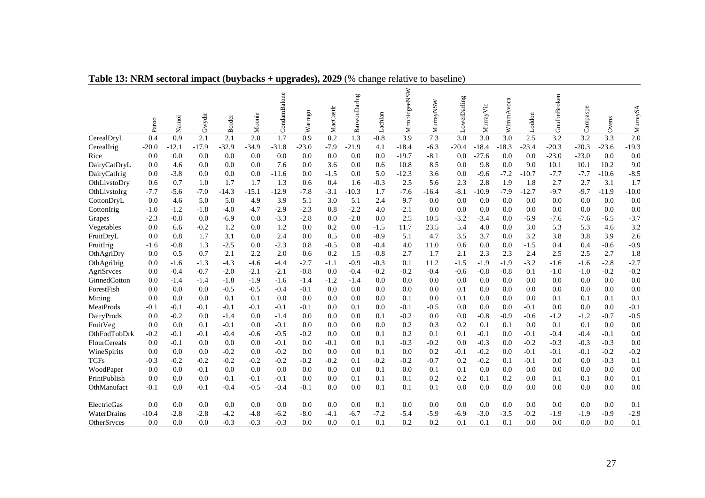|              | Paroo   | Namoi   | Gwydir  | <b>Border</b> | Moonie  | CondamBalone | arrego<br>⋧ | MacCastlr | BarwonDarlng | .achlan | MrmbidgeeNSW | MurrayNSW | owerDarling | MurrayVic | WimmAvoca | Loddon  | GoulbnBroken | ampaspe | Ovens   | MurraySA         |
|--------------|---------|---------|---------|---------------|---------|--------------|-------------|-----------|--------------|---------|--------------|-----------|-------------|-----------|-----------|---------|--------------|---------|---------|------------------|
| CerealDryL   | 0.4     | 0.9     | 2.1     | 2.1           | 2.0     | 1.7          | 0.9         | 0.2       | 1.3          | $-0.8$  | 3.9          | 7.3       | 3.0         | 3.0       | 3.0       | 2.5     | 3.2          | 3.2     | 3.3     | $\overline{2.0}$ |
| CerealIrig   | $-20.0$ | $-12.1$ | $-17.9$ | $-32.9$       | $-34.9$ | $-31.8$      | $-23.0$     | $-7.9$    | $-21.9$      | 4.1     | $-18.4$      | $-6.3$    | $-20.4$     | $-18.4$   | 18.3      | $-23.4$ | $-20.3$      | $-20.3$ | $-23.6$ | $-19.3$          |
| Rice         | 0.0     | 0.0     | 0.0     | 0.0           | 0.0     | 0.0          | 0.0         | 0.0       | 0.0          | 0.0     | $-19.7$      | $-8.1$    | 0.0         | $-27.6$   | 0.0       | 0.0     | $-23.0$      | $-23.0$ | 0.0     | 0.0              |
| DairyCatDryL | 0.0     | 4.6     | 0.0     | 0.0           | 0.0     | 7.6          | 0.0         | 3.6       | 0.0          | 0.6     | 10.8         | 8.5       | 0.0         | 9.8       | 0.0       | 9.0     | 10.1         | 10.1    | 10.2    | 9.0              |
| DairyCatIrig | 0.0     | $-3.8$  | 0.0     | 0.0           | 0.0     | $-11.6$      | 0.0         | $-1.5$    | 0.0          | 5.0     | $-12.3$      | 3.6       | 0.0         | $-9.6$    | $-7.2$    | $-10.7$ | $-7.7$       | $-7.7$  | $-10.6$ | $-8.5$           |
| OthLivstoDry | 0.6     | 0.7     | 1.0     | 1.7           | 1.7     | 1.3          | 0.6         | 0.4       | 1.6          | $-0.3$  | 2.5          | 5.6       | 2.3         | 2.8       | 1.9       | 1.8     | 2.7          | 2.7     | 3.1     | 1.7              |
| OthLivstoIrg | $-7.7$  | $-5.6$  | $-7.0$  | $-14.3$       | $-15.1$ | $-12.9$      | $-7.8$      | $-3.1$    | $-10.3$      | 1.7     | $-7.6$       | $-16.4$   | $-8.1$      | $-10.9$   | $-7.9$    | $-12.7$ | $-9.7$       | $-9.7$  | $-11.9$ | $-10.0$          |
| CottonDryL   | 0.0     | 4.6     | 5.0     | 5.0           | 4.9     | 3.9          | 5.1         | 3.0       | 5.1          | 2.4     | 9.7          | 0.0       | 0.0         | 0.0       | 0.0       | 0.0     | 0.0          | 0.0     | 0.0     | 0.0              |
| CottonIrig   | $-1.0$  | $-1.2$  | $-1.8$  | $-4.0$        | $-4.7$  | $-2.9$       | $-2.3$      | 0.8       | $-2.2$       | 4.0     | $-2.1$       | 0.0       | 0.0         | 0.0       | 0.0       | 0.0     | 0.0          | 0.0     | 0.0     | 0.0              |
| Grapes       | $-2.3$  | $-0.8$  | 0.0     | $-6.9$        | 0.0     | $-3.3$       | $-2.8$      | 0.0       | $-2.8$       | 0.0     | 2.5          | 10.5      | $-3.2$      | $-3.4$    | 0.0       | $-6.9$  | $-7.6$       | $-7.6$  | $-6.5$  | $-3.7$           |
| Vegetables   | 0.0     | 6.6     | $-0.2$  | 1.2           | 0.0     | 1.2          | 0.0         | 0.2       | 0.0          | $-1.5$  | 11.7         | 23.5      | 5.4         | 4.0       | 0.0       | 3.0     | 5.3          | 5.3     | 4.6     | 3.2              |
| FruitDryL    | 0.0     | 0.8     | 1.7     | 3.1           | 0.0     | 2.4          | 0.0         | 0.5       | 0.0          | $-0.9$  | 5.1          | 4.7       | 3.5         | 3.7       | 0.0       | 3.2     | 3.8          | 3.8     | 3.9     | 2.6              |
| FruitIrig    | $-1.6$  | $-0.8$  | 1.3     | $-2.5$        | 0.0     | $-2.3$       | 0.8         | $-0.5$    | 0.8          | $-0.4$  | 4.0          | 11.0      | 0.6         | 0.0       | 0.0       | $-1.5$  | 0.4          | 0.4     | $-0.6$  | $-0.9$           |
| OthAgriDry   | 0.0     | 0.5     | 0.7     | 2.1           | 2.2     | 2.0          | 0.6         | 0.2       | 1.5          | $-0.8$  | 2.7          | 1.7       | 2.1         | 2.3       | 2.3       | 2.4     | 2.5          | 2.5     | 2.7     | 1.8              |
| OthAgriIrig  | 0.0     | $-1.6$  | $-1.3$  | $-4.3$        | $-4.6$  | $-4.4$       | $-2.7$      | $-1.1$    | $-0.9$       | $-0.3$  | 0.1          | 11.2      | $-1.5$      | $-1.9$    | $-1.9$    | $-3.2$  | $-1.6$       | -1.6    | $-2.8$  | $-2.7$           |
| AgriSrvces   | 0.0     | $-0.4$  | $-0.7$  | $-2.0$        | $-2.1$  | $-2.1$       | $-0.8$      | 0.0       | $-0.4$       | $-0.2$  | $-0.2$       | $-0.4$    | $-0.6$      | $-0.8$    | $-0.8$    | 0.1     | $-1.0$       | $-1.0$  | $-0.2$  | $-0.2$           |
| GinnedCotton | 0.0     | $-1.4$  | $-1.4$  | $-1.8$        | $-1.9$  | $-1.6$       | $-1.4$      | $-1.2$    | $-1.4$       | 0.0     | 0.0          | 0.0       | 0.0         | 0.0       | 0.0       | 0.0     | 0.0          | 0.0     | 0.0     | 0.0              |
| ForestFish   | 0.0     | 0.0     | 0.0     | $-0.5$        | $-0.5$  | $-0.4$       | $-0.1$      | 0.0       | 0.0          | 0.0     | 0.0          | 0.0       | 0.1         | 0.0       | 0.0       | 0.0     | 0.0          | 0.0     | 0.0     | 0.0              |
| Mining       | 0.0     | 0.0     | 0.0     | 0.1           | 0.1     | 0.0          | 0.0         | 0.0       | 0.0          | 0.0     | 0.1          | 0.0       | 0.1         | 0.0       | 0.0       | 0.0     | 0.1          | 0.1     | 0.1     | 0.1              |
| MeatProds    | $-0.1$  | $-0.1$  | $-0.1$  | $-0.1$        | $-0.1$  | $-0.1$       | $-0.1$      | 0.0       | 0.1          | 0.0     | $-0.1$       | $-0.5$    | 0.0         | 0.0       | 0.0       | $-0.1$  | 0.0          | 0.0     | 0.0     | $-0.1$           |
| DairyProds   | 0.0     | $-0.2$  | 0.0     | $-1.4$        | 0.0     | $-1.4$       | 0.0         | 0.0       | 0.0          | 0.1     | $-0.2$       | 0.0       | 0.0         | $-0.8$    | $-0.9$    | $-0.6$  | $-1.2$       | $-1.2$  | $-0.7$  | $-0.5$           |
| FruitVeg     | 0.0     | 0.0     | 0.1     | $-0.1$        | 0.0     | $-0.1$       | 0.0         | 0.0       | 0.0          | 0.0     | 0.2          | 0.3       | 0.2         | 0.1       | 0.1       | 0.0     | 0.1          | 0.1     | 0.0     | 0.0              |
| OthFodTobDrk | $-0.2$  | $-0.1$  | $-0.1$  | $-0.4$        | $-0.6$  | $-0.5$       | $-0.2$      | 0.0       | 0.0          | 0.1     | 0.2          | 0.1       | 0.1         | $-0.1$    | 0.0       | $-0.1$  | $-0.4$       | $-0.4$  | $-0.1$  | 0.0              |
| FlourCereals | 0.0     | $-0.1$  | 0.0     | 0.0           | 0.0     | $-0.1$       | 0.0         | $-0.1$    | 0.0          | 0.1     | $-0.3$       | $-0.2$    | 0.0         | $-0.3$    | 0.0       | $-0.2$  | $-0.3$       | $-0.3$  | $-0.3$  | 0.0              |
| WineSpirits  | 0.0     | 0.0     | 0.0     | $-0.2$        | 0.0     | $-0.2$       | 0.0         | 0.0       | 0.0          | 0.1     | 0.0          | 0.2       | $-0.1$      | $-0.2$    | 0.0       | $-0.1$  | $-0.1$       | $-0.1$  | $-0.2$  | $-0.2$           |
| <b>TCFs</b>  | $-0.3$  | $-0.2$  | $-0.2$  | $-0.2$        | $-0.2$  | $-0.2$       | $-0.2$      | $-0.2$    | 0.1          | $-0.2$  | $-0.2$       | $-0.7$    | 0.2         | $-0.2$    | 0.1       | $-0.1$  | 0.0          | 0.0     | $-0.3$  | 0.1              |
| WoodPaper    | 0.0     | 0.0     | $-0.1$  | 0.0           | 0.0     | 0.0          | 0.0         | 0.0       | 0.0          | 0.1     | 0.0          | 0.1       | 0.1         | 0.0       | 0.0       | 0.0     | 0.0          | 0.0     | 0.0     | 0.0              |
| PrintPublish | 0.0     | 0.0     | 0.0     | $-0.1$        | $-0.1$  | $-0.1$       | 0.0         | 0.0       | 0.1          | 0.1     | 0.1          | 0.2       | 0.2         | 0.1       | 0.2       | 0.0     | 0.1          | 0.1     | 0.0     | 0.1              |
| OthManufact  | $-0.1$  | 0.0     | $-0.1$  | $-0.4$        | $-0.5$  | $-0.4$       | $-0.1$      | 0.0       | 0.0          | 0.1     | 0.1          | 0.1       | 0.0         | 0.0       | 0.0       | 0.0     | 0.0          | 0.0     | 0.0     | 0.0              |
| ElectricGas  | 0.0     | 0.0     | 0.0     | 0.0           | 0.0     | 0.0          | 0.0         | 0.0       | 0.0          | 0.1     | 0.0          | 0.0       | 0.0         | 0.0       | 0.0       | 0.0     | 0.0          | 0.0     | 0.0     | 0.1              |
| WaterDrains  | $-10.4$ | $-2.8$  | $-2.8$  | $-4.2$        | $-4.8$  | $-6.2$       | $-8.0$      | -4.1      | $-6.7$       | $-7.2$  | $-5.4$       | $-5.9$    | $-6.9$      | $-3.0$    | $-3.5$    | $-0.2$  | $-1.9$       | $-1.9$  | $-0.9$  | $-2.9$           |
| OtherSrvces  | 0.0     | 0.0     | 0.0     | $-0.3$        | $-0.3$  | $-0.3$       | 0.0         | 0.0       | 0.1          | 0.1     | 0.2          | 0.2       | 0.1         | 0.1       | 0.1       | 0.0     | 0.0          | 0.0     | 0.0     | 0.1              |

**Table 13: NRM sectoral impact (buybacks + upgrades), 2029** (% change relative to baseline)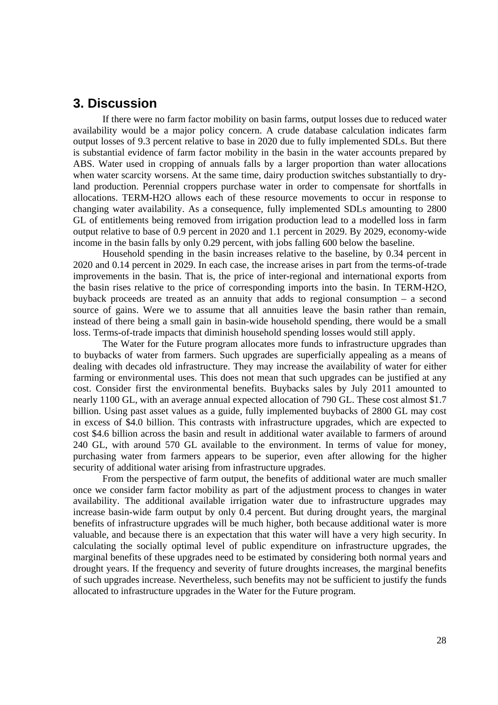# **3. Discussion**

If there were no farm factor mobility on basin farms, output losses due to reduced water availability would be a major policy concern. A crude database calculation indicates farm output losses of 9.3 percent relative to base in 2020 due to fully implemented SDLs. But there is substantial evidence of farm factor mobility in the basin in the water accounts prepared by ABS. Water used in cropping of annuals falls by a larger proportion than water allocations when water scarcity worsens. At the same time, dairy production switches substantially to dryland production. Perennial croppers purchase water in order to compensate for shortfalls in allocations. TERM-H2O allows each of these resource movements to occur in response to changing water availability. As a consequence, fully implemented SDLs amounting to 2800 GL of entitlements being removed from irrigation production lead to a modelled loss in farm output relative to base of 0.9 percent in 2020 and 1.1 percent in 2029. By 2029, economy-wide income in the basin falls by only 0.29 percent, with jobs falling 600 below the baseline.

Household spending in the basin increases relative to the baseline, by 0.34 percent in 2020 and 0.14 percent in 2029. In each case, the increase arises in part from the terms-of-trade improvements in the basin. That is, the price of inter-regional and international exports from the basin rises relative to the price of corresponding imports into the basin. In TERM-H2O, buyback proceeds are treated as an annuity that adds to regional consumption – a second source of gains. Were we to assume that all annuities leave the basin rather than remain, instead of there being a small gain in basin-wide household spending, there would be a small loss. Terms-of-trade impacts that diminish household spending losses would still apply.

The Water for the Future program allocates more funds to infrastructure upgrades than to buybacks of water from farmers. Such upgrades are superficially appealing as a means of dealing with decades old infrastructure. They may increase the availability of water for either farming or environmental uses. This does not mean that such upgrades can be justified at any cost. Consider first the environmental benefits. Buybacks sales by July 2011 amounted to nearly 1100 GL, with an average annual expected allocation of 790 GL. These cost almost \$1.7 billion. Using past asset values as a guide, fully implemented buybacks of 2800 GL may cost in excess of \$4.0 billion. This contrasts with infrastructure upgrades, which are expected to cost \$4.6 billion across the basin and result in additional water available to farmers of around 240 GL, with around 570 GL available to the environment. In terms of value for money, purchasing water from farmers appears to be superior, even after allowing for the higher security of additional water arising from infrastructure upgrades.

From the perspective of farm output, the benefits of additional water are much smaller once we consider farm factor mobility as part of the adjustment process to changes in water availability. The additional available irrigation water due to infrastructure upgrades may increase basin-wide farm output by only 0.4 percent. But during drought years, the marginal benefits of infrastructure upgrades will be much higher, both because additional water is more valuable, and because there is an expectation that this water will have a very high security. In calculating the socially optimal level of public expenditure on infrastructure upgrades, the marginal benefits of these upgrades need to be estimated by considering both normal years and drought years. If the frequency and severity of future droughts increases, the marginal benefits of such upgrades increase. Nevertheless, such benefits may not be sufficient to justify the funds allocated to infrastructure upgrades in the Water for the Future program.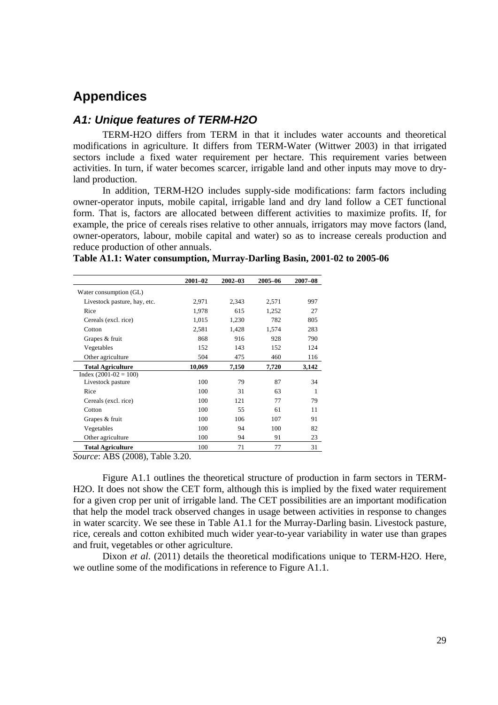# **Appendices**

### *A1: Unique features of TERM-H2O*

TERM-H2O differs from TERM in that it includes water accounts and theoretical modifications in agriculture. It differs from TERM-Water (Wittwer 2003) in that irrigated sectors include a fixed water requirement per hectare. This requirement varies between activities. In turn, if water becomes scarcer, irrigable land and other inputs may move to dryland production.

In addition, TERM-H2O includes supply-side modifications: farm factors including owner-operator inputs, mobile capital, irrigable land and dry land follow a CET functional form. That is, factors are allocated between different activities to maximize profits. If, for example, the price of cereals rises relative to other annuals, irrigators may move factors (land, owner-operators, labour, mobile capital and water) so as to increase cereals production and reduce production of other annuals.

|                              | 2001-02 | $2002 - 03$ | 2005-06 | 2007-08 |
|------------------------------|---------|-------------|---------|---------|
| Water consumption (GL)       |         |             |         |         |
| Livestock pasture, hay, etc. | 2,971   | 2,343       | 2,571   | 997     |
| Rice                         | 1,978   | 615         | 1,252   | 27      |
| Cereals (excl. rice)         | 1,015   | 1,230       | 782     | 805     |
| Cotton                       | 2,581   | 1,428       | 1,574   | 283     |
| Grapes & fruit               | 868     | 916         | 928     | 790     |
| Vegetables                   | 152     | 143         | 152     | 124     |
| Other agriculture            | 504     | 475         | 460     | 116     |
| <b>Total Agriculture</b>     | 10,069  | 7,150       | 7,720   | 3,142   |
| $Index (2001-02 = 100)$      |         |             |         |         |
| Livestock pasture            | 100     | 79          | 87      | 34      |
| Rice                         | 100     | 31          | 63      | 1       |
| Cereals (excl. rice)         | 100     | 121         | 77      | 79      |
| Cotton                       | 100     | 55          | 61      | 11      |
| Grapes & fruit               | 100     | 106         | 107     | 91      |
| Vegetables                   | 100     | 94          | 100     | 82      |
| Other agriculture            | 100     | 94          | 91      | 23      |
| <b>Total Agriculture</b>     | 100     | 71          | 77      | 31      |

**Table A1.1: Water consumption, Murray-Darling Basin, 2001-02 to 2005-06** 

*Source*: ABS (2008), Table 3.20.

Figure A1.1 outlines the theoretical structure of production in farm sectors in TERM-H2O. It does not show the CET form, although this is implied by the fixed water requirement for a given crop per unit of irrigable land. The CET possibilities are an important modification that help the model track observed changes in usage between activities in response to changes in water scarcity. We see these in Table A1.1 for the Murray-Darling basin. Livestock pasture, rice, cereals and cotton exhibited much wider year-to-year variability in water use than grapes and fruit, vegetables or other agriculture.

Dixon *et al*. (2011) details the theoretical modifications unique to TERM-H2O. Here, we outline some of the modifications in reference to Figure A1.1.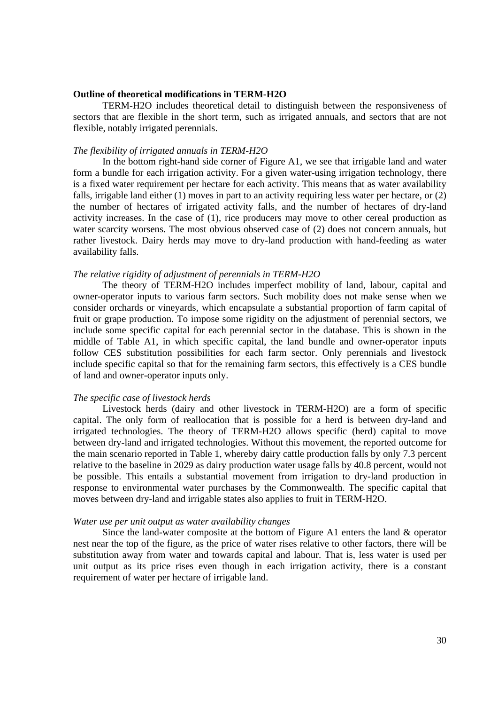#### **Outline of theoretical modifications in TERM-H2O**

TERM-H2O includes theoretical detail to distinguish between the responsiveness of sectors that are flexible in the short term, such as irrigated annuals, and sectors that are not flexible, notably irrigated perennials.

### *The flexibility of irrigated annuals in TERM-H2O*

In the bottom right-hand side corner of Figure A1, we see that irrigable land and water form a bundle for each irrigation activity. For a given water-using irrigation technology, there is a fixed water requirement per hectare for each activity. This means that as water availability falls, irrigable land either (1) moves in part to an activity requiring less water per hectare, or (2) the number of hectares of irrigated activity falls, and the number of hectares of dry-land activity increases. In the case of (1), rice producers may move to other cereal production as water scarcity worsens. The most obvious observed case of (2) does not concern annuals, but rather livestock. Dairy herds may move to dry-land production with hand-feeding as water availability falls.

#### *The relative rigidity of adjustment of perennials in TERM-H2O*

The theory of TERM-H2O includes imperfect mobility of land, labour, capital and owner-operator inputs to various farm sectors. Such mobility does not make sense when we consider orchards or vineyards, which encapsulate a substantial proportion of farm capital of fruit or grape production. To impose some rigidity on the adjustment of perennial sectors, we include some specific capital for each perennial sector in the database. This is shown in the middle of Table A1, in which specific capital, the land bundle and owner-operator inputs follow CES substitution possibilities for each farm sector. Only perennials and livestock include specific capital so that for the remaining farm sectors, this effectively is a CES bundle of land and owner-operator inputs only.

### *The specific case of livestock herds*

Livestock herds (dairy and other livestock in TERM-H2O) are a form of specific capital. The only form of reallocation that is possible for a herd is between dry-land and irrigated technologies. The theory of TERM-H2O allows specific (herd) capital to move between dry-land and irrigated technologies. Without this movement, the reported outcome for the main scenario reported in Table 1, whereby dairy cattle production falls by only 7.3 percent relative to the baseline in 2029 as dairy production water usage falls by 40.8 percent, would not be possible. This entails a substantial movement from irrigation to dry-land production in response to environmental water purchases by the Commonwealth. The specific capital that moves between dry-land and irrigable states also applies to fruit in TERM-H2O.

### *Water use per unit output as water availability changes*

Since the land-water composite at the bottom of Figure A1 enters the land & operator nest near the top of the figure, as the price of water rises relative to other factors, there will be substitution away from water and towards capital and labour. That is, less water is used per unit output as its price rises even though in each irrigation activity, there is a constant requirement of water per hectare of irrigable land.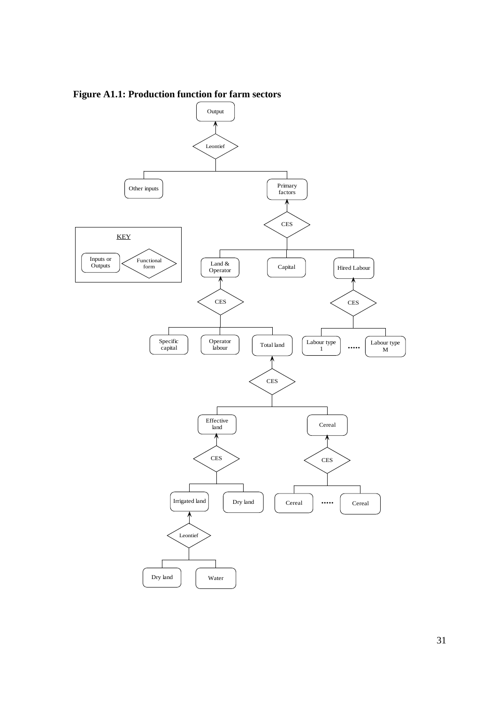

**Figure A1.1: Production function for farm sectors**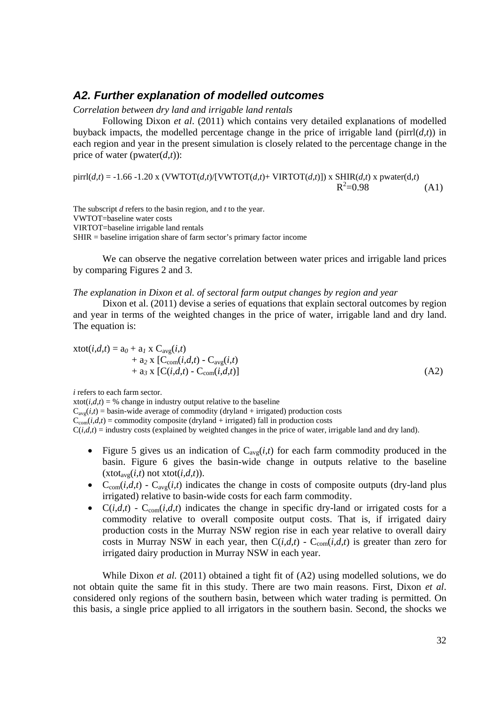### *A2. Further explanation of modelled outcomes*

### *Correlation between dry land and irrigable land rentals*

Following Dixon *et al*. (2011) which contains very detailed explanations of modelled buyback impacts, the modelled percentage change in the price of irrigable land ( $\text{pirl}(d,t)$ ) in each region and year in the present simulation is closely related to the percentage change in the price of water (pwater $(d,t)$ ):

 $\text{pirl}(d,t) = -1.66 - 1.20 \text{ x } (\text{VWTOT}(d,t)/[\text{VWTOT}(d,t)+ \text{VIRTOT}(d,t)]) \text{ x } \text{SHIR}(d,t) \text{ x } \text{ pwater}(d,t)$  $R^2$  $R^2 = 0.98$  (A1)

The subscript *d* refers to the basin region, and *t* to the year. VWTOT=baseline water costs VIRTOT=baseline irrigable land rentals SHIR = baseline irrigation share of farm sector's primary factor income

We can observe the negative correlation between water prices and irrigable land prices by comparing Figures 2 and 3.

*The explanation in Dixon et al. of sectoral farm output changes by region and year* 

Dixon et al. (2011) devise a series of equations that explain sectoral outcomes by region and year in terms of the weighted changes in the price of water, irrigable land and dry land. The equation is:

$$
\begin{aligned} \text{xtot}(i,d,t) &= a_0 + a_1 \times \text{C}_{\text{avg}}(i,t) \\ &+ a_2 \times [\text{C}_{\text{com}}(i,d,t) - \text{C}_{\text{avg}}(i,t) \\ &+ a_3 \times [\text{C}(i,d,t) - \text{C}_{\text{com}}(i,d,t)] \end{aligned} \tag{A2}
$$

*i* refers to each farm sector.

xtot( $i, d, t$ ) = % change in industry output relative to the baseline

 $C_{\text{ave}}(i,t)$  = basin-wide average of commodity (dryland + irrigated) production costs

 $C_{\text{com}}(i,d,t)$  = commodity composite (dryland + irrigated) fall in production costs

 $C(i, d, t)$  = industry costs (explained by weighted changes in the price of water, irrigable land and dry land).

- Figure 5 gives us an indication of  $C_{avg}(i,t)$  for each farm commodity produced in the basin. Figure 6 gives the basin-wide change in outputs relative to the baseline  $(x\text{tot}_{\text{ave}}(i,t))$  not  $x\text{tot}(i,d,t)$ ).
- $C_{com}(i,d,t)$   $C_{avg}(i,t)$  indicates the change in costs of composite outputs (dry-land plus irrigated) relative to basin-wide costs for each farm commodity.
- $C(i,d,t)$   $C_{com}(i,d,t)$  indicates the change in specific dry-land or irrigated costs for a commodity relative to overall composite output costs. That is, if irrigated dairy production costs in the Murray NSW region rise in each year relative to overall dairy costs in Murray NSW in each year, then  $C(i,d,t)$  -  $C_{com}(i,d,t)$  is greater than zero for irrigated dairy production in Murray NSW in each year.

While Dixon *et al.* (2011) obtained a tight fit of (A2) using modelled solutions, we do not obtain quite the same fit in this study. There are two main reasons. First, Dixon *et al*. considered only regions of the southern basin, between which water trading is permitted. On this basis, a single price applied to all irrigators in the southern basin. Second, the shocks we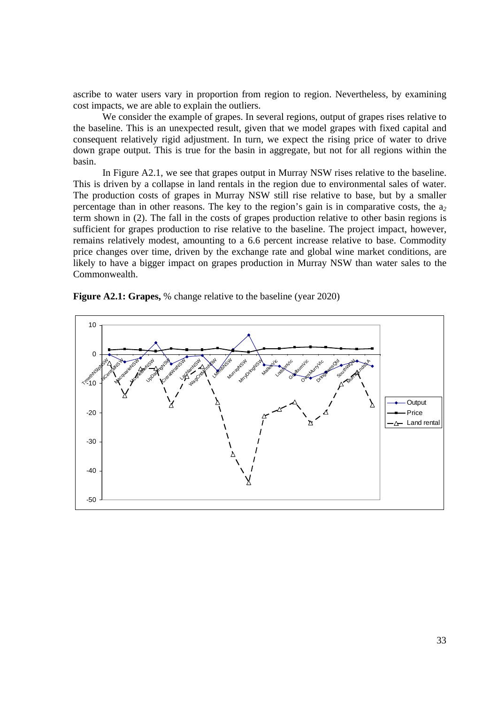ascribe to water users vary in proportion from region to region. Nevertheless, by examining cost impacts, we are able to explain the outliers.

We consider the example of grapes. In several regions, output of grapes rises relative to the baseline. This is an unexpected result, given that we model grapes with fixed capital and consequent relatively rigid adjustment. In turn, we expect the rising price of water to drive down grape output. This is true for the basin in aggregate, but not for all regions within the basin.

In Figure A2.1, we see that grapes output in Murray NSW rises relative to the baseline. This is driven by a collapse in land rentals in the region due to environmental sales of water. The production costs of grapes in Murray NSW still rise relative to base, but by a smaller percentage than in other reasons. The key to the region's gain is in comparative costs, the a*<sup>2</sup>* term shown in (2). The fall in the costs of grapes production relative to other basin regions is sufficient for grapes production to rise relative to the baseline. The project impact, however, remains relatively modest, amounting to a 6.6 percent increase relative to base. Commodity price changes over time, driven by the exchange rate and global wine market conditions, are likely to have a bigger impact on grapes production in Murray NSW than water sales to the Commonwealth.



**Figure A2.1: Grapes,** % change relative to the baseline (year 2020)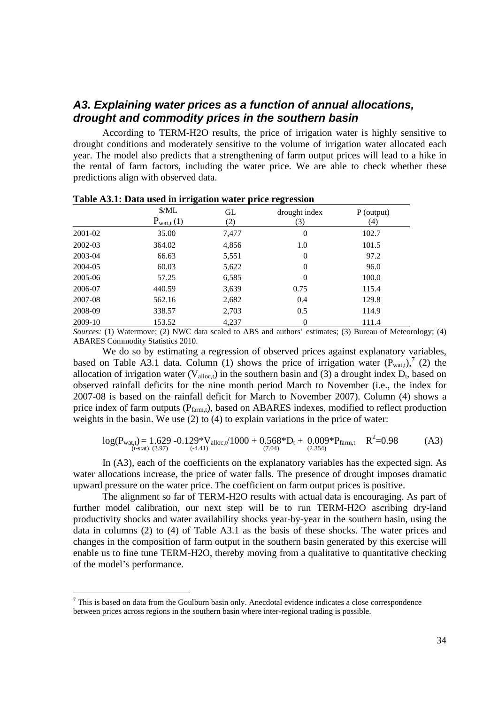# *A3. Explaining water prices as a function of annual allocations, drought and commodity prices in the southern basin*

According to TERM-H2O results, the price of irrigation water is highly sensitive to drought conditions and moderately sensitive to the volume of irrigation water allocated each year. The model also predicts that a strengthening of farm output prices will lead to a hike in the rental of farm factors, including the water price. We are able to check whether these predictions align with observed data.

|         | $M_{\rm L}$<br>$P_{\text{wat,t}}(1)$ | GL<br>(2) | drought index<br>(3) | $P$ (output)<br>(4) |
|---------|--------------------------------------|-----------|----------------------|---------------------|
| 2001-02 | 35.00                                | 7,477     | 0                    | 102.7               |
| 2002-03 | 364.02                               | 4,856     | 1.0                  | 101.5               |
| 2003-04 | 66.63                                | 5,551     | 0                    | 97.2                |
| 2004-05 | 60.03                                | 5,622     | 0                    | 96.0                |
| 2005-06 | 57.25                                | 6,585     | 0                    | 100.0               |
| 2006-07 | 440.59                               | 3,639     | 0.75                 | 115.4               |
| 2007-08 | 562.16                               | 2,682     | 0.4                  | 129.8               |
| 2008-09 | 338.57                               | 2,703     | 0.5                  | 114.9               |
| 2009-10 | 153.52                               | 4,237     | 0                    | 111.4               |

**Table A3.1: Data used in irrigation water price regression** 

*Sources:* (1) Watermove; (2) NWC data scaled to ABS and authors' estimates; (3) Bureau of Meteorology; (4) ABARES Commodity Statistics 2010.

We do so by estimating a regression of observed prices against explanatory variables, based on Table A3.1 data. Column (1) shows the price of irrigation water  $(P_{\text{wat},t})$ ,<sup>7</sup> (2) the allocation of irrigation water ( $V_{\text{alloc},t}$ ) in the southern basin and (3) a drought index  $D_t$ , based on observed rainfall deficits for the nine month period March to November (i.e., the index for 2007-08 is based on the rainfall deficit for March to November 2007). Column (4) shows a price index of farm outputs  $(P_{farmt})$ , based on ABARES indexes, modified to reflect production weights in the basin. We use (2) to (4) to explain variations in the price of water:

$$
log(P_{\text{wat},t}) = 1.629 - 0.129 \cdot V_{\text{alloc},t}/1000 + 0.568 \cdot V_{\text{t}} + 0.009 \cdot P_{\text{farm},t} \quad R^2 = 0.98 \tag{A3}
$$

In (A3), each of the coefficients on the explanatory variables has the expected sign. As water allocations increase, the price of water falls. The presence of drought imposes dramatic upward pressure on the water price. The coefficient on farm output prices is positive.

The alignment so far of TERM-H2O results with actual data is encouraging. As part of further model calibration, our next step will be to run TERM-H2O ascribing dry-land productivity shocks and water availability shocks year-by-year in the southern basin, using the data in columns (2) to (4) of Table A3.1 as the basis of these shocks. The water prices and changes in the composition of farm output in the southern basin generated by this exercise will enable us to fine tune TERM-H2O, thereby moving from a qualitative to quantitative checking of the model's performance.

 $7$  This is based on data from the Goulburn basin only. Anecdotal evidence indicates a close correspondence between prices across regions in the southern basin where inter-regional trading is possible.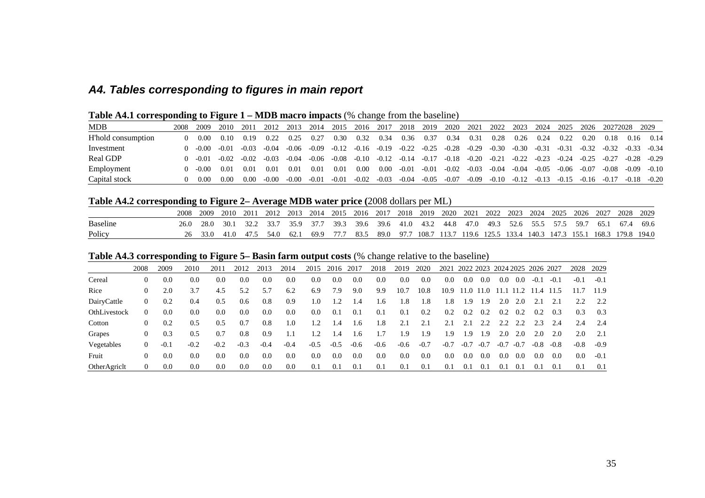# *A4. Tables corresponding to figures in main report*

|  | <b>Table A4.1 corresponding to Figure 1 – MDB macro impacts (% change from the baseline)</b> |  |  |
|--|----------------------------------------------------------------------------------------------|--|--|
|  |                                                                                              |  |  |

| <b>MDB</b>         | 2008 | 2009  | 2010    | 2011    | 2012          | 2013    | 2014    | 2015    | 2016    | 2017    | 2018    | 2019       | 2020    | 2021    | 2022    | 2023    | 2024    | 2025    | 2026    | 20272028 |         | 2029    |
|--------------------|------|-------|---------|---------|---------------|---------|---------|---------|---------|---------|---------|------------|---------|---------|---------|---------|---------|---------|---------|----------|---------|---------|
| H'hold consumption |      | 0.00  | 0.10    | 0.19    | 0.22          | 0.25    | 0.27    | 0.30    | 0.32    | 0.34    | 0.36    | 0.37       | 0.34    | 0.31    | 0.28    | 0.26    | 0.24    | 0.22    | 0.20    | 0.18     | 0.16    | 0.14    |
| Investment         |      | -0.00 | $-0.01$ | $-0.03$ | $-0.04$       | -0.06   | $-0.09$ | $-0.12$ | $-0.16$ | $-0.19$ | $-0.22$ | $-0.25$    | $-0.28$ | $-0.29$ | $-0.30$ | $-0.30$ | $-0.31$ | $-0.31$ | $-0.32$ | $-0.32$  | $-0.33$ | $-0.34$ |
| Real GDP           |      | -0.01 | $-0.02$ | $-0.02$ | -0.03         | $-0.04$ | $-0.06$ | -0.08   | $-0.10$ | $-0.12$ | $-0.14$ | $-0.1^{-}$ | $-0.18$ | $-0.20$ | $-0.21$ | $-0.22$ | $-0.23$ | $-0.24$ | $-0.25$ | $-0.27$  | $-0.28$ | $-0.29$ |
| Employment         |      | -0.00 | 0.01    | 0.01    | $0.0^{\circ}$ | 0.01    | 0.01    | 0.01    | 0.00    | 0.OC    | $-0.01$ | $-0.01$    | $-0.02$ | $-0.03$ | $-0.04$ | $-0.04$ | $-0.05$ | $-0.06$ | $-0.07$ | $-0.08$  | $-0.09$ | $-0.10$ |
| Capital stock      |      | 0.00  | 0.00    | 0.00    | $-0.00$       | -0.00   | $-0.01$ | $-0.01$ | $-0.02$ | $-0.03$ | $-0.04$ | $-0.05$    | $-0.07$ | $-0.09$ | $-0.10$ | $-0.12$ | $-0.13$ | $-0.15$ | $-0.16$ | $-0.17$  | $-0.18$ | $-0.20$ |

# **Table A4.2 corresponding to Figure 2– Average MDB water price (**2008 dollars per ML)

|                 | 2008  | 2009 | 2010 | 2011 | 2012 2013 2014 2015 2016 2017 2018 2019 2020 2021 2022 2023 2024 2025                     |      |  |  |                                                                                       |  |  |  | 2026 2027 | 2028 2029 |        |
|-----------------|-------|------|------|------|-------------------------------------------------------------------------------------------|------|--|--|---------------------------------------------------------------------------------------|--|--|--|-----------|-----------|--------|
| <b>Baseline</b> | 26.0. | 28.0 | 30.1 |      | 32.2 33.7 35.9 37.7 39.3 39.6 39.6 41.0 43.2 44.8 47.0 49.3 52.6 55.5 57.5 59.7 65.1 67.4 |      |  |  |                                                                                       |  |  |  |           |           | - 69.6 |
| Policy          |       | 33.0 | 41.0 | 475  | 54.0 62.1                                                                                 | 69.9 |  |  | 77.7 83.5 89.0 97.7 108.7 113.7 119.6 125.5 133.4 140.3 147.3 155.1 168.3 179.8 194.0 |  |  |  |           |           |        |

# **Table A4.3 corresponding to Figure 5– Basin farm output costs** (% change relative to the baseline)

|              | 2008     | 2009   | 2010   | 2011   | 2012   | 2013   | 2014   | 2015   | 2016   | 2017   | 2018   | 2019   | 2020   | 2021   | 2022 2023 2024 2025 2026 2027 |           |        |        |        |        | 2028   | 2029   |
|--------------|----------|--------|--------|--------|--------|--------|--------|--------|--------|--------|--------|--------|--------|--------|-------------------------------|-----------|--------|--------|--------|--------|--------|--------|
| Cereal       | 0        | 0.0    | 0.0    | 0.0    | 0.0    | 0.0    | 0.0    | 0.0    | 0.0    | 0.0    | 0.0    | 0.0    | 0.0    | 0.0    | 0.0                           | 0.0       | 0.0    | 0.0    | $-0.1$ | $-0.1$ | $-0.1$ | $-0.1$ |
| Rice         | $\theta$ | 2.0    | 3.7    | 4.5    | 5.2    | 5.7    | 6.2    | 6.9    | 7.9    | 9.0    | 9.9    | 10.7   | 10.8   | 10.9   |                               | 11.0 11.0 | 11.1   | 11.2   | 11.4   | 11.5   | 11.7   | 11.9   |
| DairyCattle  | 0        | 0.2    | 0.4    | 0.5    | 0.6    | 0.8    | 0.9    | 1.0    |        | 1.4    | 1.6    | .8     | 1.8    | 1.8    | 1.9                           | . 9       | 2.0    | 2.0    | 2.1    | 2.1    | 2.2    | 2.2    |
| OthLivestock | 0        | 0.0    | 0.0    | 0.0    | 0.0    | 0.0    | 0.0    | 0.0    | 0.1    | 0.1    | 0.1    | 0.1    | 0.2    | 0.2    | 0.2                           | 0.2       | 0.2    | 0.2    | 0.2    | 0.3    | 0.3    | 0.3    |
| Cotton       | $\theta$ | 0.2    | 0.5    | 0.5    | 0.7    | 0.8    | 1.0    | 1.2    | 1.4    | 1.6    | 1.8    | 2.1    | 2.1    | 2.1    | 2.1                           | 2.2       | 2.2    | 2.2    | 2.3    | 2.4    | 2.4    | -2.4   |
| Grapes       | $\theta$ | 0.3    | 0.5    | 0.7    | 0.8    | 0.9    |        |        | 1.4    | 1.6    | 1.7    | .9     | 1.9    | 1.9    | 1.9                           | ∣.9       | 2.0    | 2.0    | 2.0    | 2.0    | 2.0    | 2.1    |
| Vegetables   | 0        | $-0.1$ | $-0.2$ | $-0.2$ | $-0.3$ | $-0.4$ | $-0.4$ | $-0.5$ | $-0.5$ | $-0.6$ | $-0.6$ | $-0.6$ | $-0.7$ | $-0.7$ | $-0.7$                        | $-0.7$    | $-0.7$ | $-0.7$ | $-0.8$ | $-0.8$ | $-0.8$ | $-0.9$ |
| Fruit        | 0        | 0.0    | 0.0    | 0.0    | 0.0    | 0.0    | 0.0    | 0.0    | 0.0    | 0.0    | 0.0    | 0.0    | 0.0    | 0.0    | 0.0                           | 0.0       | 0.0    | -0.0   | 0.0    | 0.0    | 0.0    | $-0.1$ |
| OtherAgricht | 0        | 0.0    | 0.0    | 0.0    | 0.0    | 0.0    | 0.0    | 0.1    | 0.1    | 0.1    | 0.1    | 0.1    | 0.1    | 0.1    | 0.1                           | 0.1       | 0.1    | -0.1   | 0.1    | -0.1   | 0.1    | 0.1    |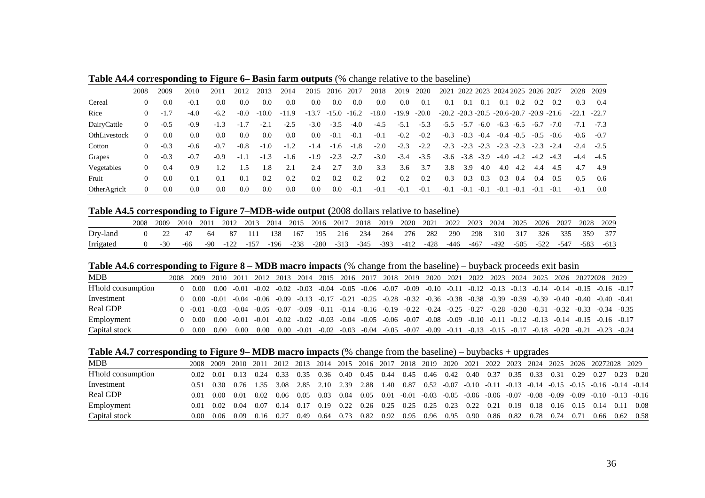|              | 2008           | 2009   | 2010   | 2011   | 2012                        | 2013    | 2014    | 2015    | 2016    | 2017    | 2018    | 2019    | 2020    | 2021                                                    | 2022 2023 2024 2025 2026 2027 |        |        |               |        |        | 2028    | 2029    |
|--------------|----------------|--------|--------|--------|-----------------------------|---------|---------|---------|---------|---------|---------|---------|---------|---------------------------------------------------------|-------------------------------|--------|--------|---------------|--------|--------|---------|---------|
| Cereal       | 0              | 0.0    | $-0.1$ | 0.0    | 0.0                         | 0.0     | 0.0     | 0.0     | 0.0     | 0.0     | 0.0     | 0.0     | 0.1     | 0.1                                                     | (0.1)                         | 0.1    | 0.1    | 0.2           | 0.2    | 0.2    | 0.3     | 0.4     |
| Rice         | $\theta$       | $-1.7$ | $-4.0$ | $-6.2$ | $-8.0$                      | $-10.0$ | $-11.9$ | $-13.7$ | $-15.0$ | $-16.2$ | $-18.0$ | $-19.9$ | $-20.0$ | $-20.2$ $-20.3$ $-20.5$ $-20.6$ $-20.7$ $-20.9$ $-21.6$ |                               |        |        |               |        |        | $-22.1$ | $-22.7$ |
| DairyCattle  | $\Omega$       | $-0.5$ | $-0.9$ | $-1.3$ | $-1.7$                      | $-2.1$  | $-2.5$  | $-3.0$  | $-3.5$  | $-4.0$  | $-4.5$  | $-5.1$  | $-5.3$  | $-5.5$                                                  | $-5.7$                        | $-6.0$ | $-6.3$ | $-6.5$        | $-6.7$ | $-7.0$ | $-7.1$  | $-7.3$  |
| OthLivestock | $\theta$       | 0.0    | 0.0    | 0.0    | 0.0                         | 0.0     | $0.0\,$ | 0.0     | $-0.1$  | $-0.1$  | $-0.1$  | $-0.2$  | $-0.2$  | $-0.3$                                                  | $-0.3$                        | $-0.4$ |        | $-0.4$ $-0.5$ | $-0.5$ | $-0.6$ | $-0.6$  | $-0.7$  |
| Cotton       | $_{0}$         | $-0.3$ | $-0.6$ | $-0.7$ | $-0.8$                      | $-1.0$  | $-1.2$  | $-1.4$  | $-1.6$  | $-1.8$  | $-2.0$  | $-2.3$  | $-2.2$  | $-2.3$                                                  | $-2.3$                        | $-2.3$ | $-2.3$ | $-2.3$        | $-2.3$ | $-2.4$ | $-2.4$  | $-2.5$  |
| Grapes       | $_{0}$         | $-0.3$ | $-0.7$ | $-0.9$ | $-1.1$                      | $-1.3$  | $-1.6$  | $-1.9$  | $-2.3$  | $-2.7$  | $-3.0$  | $-3.4$  | $-3.5$  | $-3.6$                                                  | $-3.8$                        | $-3.9$ | $-4.0$ | $-4.2$        | $-4.2$ | $-4.3$ | $-4.4$  |         |
| Vegetables   | $\theta$       | 0.4    | 0.9    | 1.2    | $\overline{\phantom{0}}$ .5 | .8      | 2.1     | 2.4     | 2.7     | 3.0     | 3.3     | 3.6     | 3.7     | 3.8                                                     | 3.9                           | 4.0    | 4.0    | 4.2           | 4.4    | 4.5    | 4.7     | 4.9     |
| Fruit        | 0              | 0.0    | 0.1    | 0.1    | 0.1                         | 0.2     | 0.2     | 0.2     | 0.2     | 0.2     | 0.2     | 0.2     | 0.2     | 0.3                                                     | 0.3                           | 0.3    | 0.3    | 0.4           | 0.4    | 0.5    | 0.5     | 0.6     |
| OtherAgricht | $\overline{0}$ | 0.0    | 0.0    | 0.0    | 0.0                         | 0.0     | 0.0     | 0.0     | 0.0     | $-0.1$  | $-0.1$  | $-0.1$  | $-0.1$  | $-0.1$                                                  | $-0.1$                        | $-0.1$ | $-0.1$ | $-0.1$        | $-0.1$ | $-0.1$ | $-0.1$  | 0.0     |

**Table A4.4 corresponding to Figure 6– Basin farm outputs** (% change relative to the baseline)

### **Table A4.5 corresponding to Figure 7–MDB-wide output (**2008 dollars relative to baseline)

|           | 2008 | 2009 | 2010 |     | 2011 2012 2013 2014 2015 2016 2017 2018 2019 2020 2021 2022 2023 2024 2025 2026 2027 2028 2029 |  |  |  |  |  |  |  |                                                                       |  |
|-----------|------|------|------|-----|------------------------------------------------------------------------------------------------|--|--|--|--|--|--|--|-----------------------------------------------------------------------|--|
| Dry-land  |      |      |      | -64 | 87                                                                                             |  |  |  |  |  |  |  | / 111 138 167 195 216 234 264 276 282 290 298 310 317 326 335 359 377 |  |
| Irrigated |      |      | -66  |     | -90 -122 -157 -196 -238 -280 -313 -345 -393 -412 -428 -446 -467                                |  |  |  |  |  |  |  | 492 -505 -522 -547 -583 -613                                          |  |

### **Table A4.6 corresponding to Figure 8 – MDB macro impacts** (% change from the baseline) – buyback proceeds exit basin

| <b>MDB</b>         | 2008. | 2009  | 2010    | 2011    | 2012    | 2013    | 2014    | 2015    | 2016    | 2017           | 2018           | 2019    | 2020           | 2021    | 2022    | 2023    | 2024    | 2025    | 2026                            |                       | 20272028 2029 |                                 |
|--------------------|-------|-------|---------|---------|---------|---------|---------|---------|---------|----------------|----------------|---------|----------------|---------|---------|---------|---------|---------|---------------------------------|-----------------------|---------------|---------------------------------|
| H'hold consumption |       | 0.00  | 0.00    | $-0.01$ | $-0.02$ | $-0.02$ | $-0.03$ | $-0.04$ |         | $-0.05 - 0.06$ | $-0.07$        | -0.09   | $-0.10 - 0.11$ |         | $-0.12$ | $-0.13$ | $-0.13$ | $-0.14$ | $-0.14$ $-0.15$ $-0.16$ $-0.17$ |                       |               |                                 |
| Investment         |       | 0.00  | $-0.01$ | $-0.04$ | -0.06   | -0.09   | $-0.13$ | $-0.17$ | $-0.21$ | $-0.25$        | $-0.28$        | $-0.32$ | $-0.36$        | $-0.38$ | $-0.38$ | $-0.39$ | $-0.39$ | $-0.39$ | $-0.40$                         | $-0.40 - 0.40 - 0.41$ |               |                                 |
| Real GDP           |       | -0.01 | -0.03   | $-0.04$ | -0.05   | -0.07   | -0.09   | $-0.11$ | $-0.14$ |                | $-0.16 - 0.19$ | $-0.22$ | $-0.24$        | $-0.25$ | $-0.27$ | $-0.28$ | $-0.30$ | $-0.31$ | $-0.32$                         |                       |               | $-0.33$ $-0.34$ $-0.35$         |
| Employment         |       | 0.00  | 0.00    | $-0.01$ | $-0.01$ | $-0.02$ | $-0.02$ | $-0.03$ | $-0.04$ | $-0.05$        | -0.06          | $-0.07$ | $-0.08$        | $-0.09$ | $-0.10$ | $-0.11$ | $-0.12$ | $-0.13$ |                                 |                       |               | $-0.14$ $-0.15$ $-0.16$ $-0.17$ |
| Capital stock      |       | 0.00  | 0.00    | 0.00    | 0.00    | 0.00    | $-0.01$ | $-0.02$ | $-0.03$ | $-0.04$        | $-0.05$        | $-0.07$ | $-0.09$        | $-0.11$ | $-0.13$ | $-0.15$ | $-0.17$ | $-0.18$ | $-0.20$                         | $-0.21$               | $-0.23$       | $-0.24$                         |

### **Table A4.7 corresponding to Figure 9– MDB macro impacts** (% change from the baseline) – buybacks + upgrades

| <b>MDB</b>         | 2008- | 2009 | 2010 | 2011 | 2012 2013 |      | 2014 | 2015 | 2016 2017 |      |      |      |               | 2018 2019 2020 2021 2022 2023                                   |      |      | 2024 2025 |      |      | 2026 20272028 2029                                                      |      |      |
|--------------------|-------|------|------|------|-----------|------|------|------|-----------|------|------|------|---------------|-----------------------------------------------------------------|------|------|-----------|------|------|-------------------------------------------------------------------------|------|------|
| H'hold consumption | 0.02  | 0.01 | 0.13 | 0.24 | 0.33      | 0.35 | 0.36 | 0.40 | 0.45      | 0.44 | 0.45 | 0.46 | 0.42          | 0.40                                                            | 0.37 | 0.35 | 0.33      | 0.31 | 0.29 | 0.27                                                                    | 0.23 | 0.20 |
| Investment         | 0.51  | 0.30 | 0.76 | 1 35 | 3.08      | 2.85 | 2.10 | 2.39 | 2.88      | L.40 | 0.87 |      | $0.52 - 0.07$ |                                                                 |      |      |           |      |      | $-0.10$ $-0.11$ $-0.13$ $-0.14$ $-0.15$ $-0.15$ $-0.16$ $-0.14$ $-0.14$ |      |      |
| Real GDP           | 0.01  | 0.00 | 0.01 | 0.02 | 0.06      | 0.05 | 0.03 | 0.04 | 0.05      | 0.01 |      |      |               | $-0.01$ $-0.03$ $-0.05$ $-0.06$ $-0.06$ $-0.07$ $-0.08$ $-0.09$ |      |      |           |      |      | $-0.09$ $-0.10$ $-0.13$ $-0.16$                                         |      |      |
| Employment         | 0.01  | 0.02 | 0.04 | 0.07 | 0.14      | 0.17 | 0.19 | 0.22 | 0.26      | 0.25 | 0.25 | 0.25 | 0.23          | 0.22                                                            | 0.21 | 0.19 | 0.18      | 0.16 | 0.15 | 0.14                                                                    | 0.11 | 0.08 |
| Capital stock      | 0.00  | 0.06 | 0.09 | 0.16 | 0.27      | 0.49 | 0.64 | 0.73 | 0.82      | 0.92 | 0.95 | 0.96 | 0.95          | 0.90                                                            | 0.86 | 0.82 | 0.78      | 0.74 | 0.71 | 0.66                                                                    | 0.62 | 0.58 |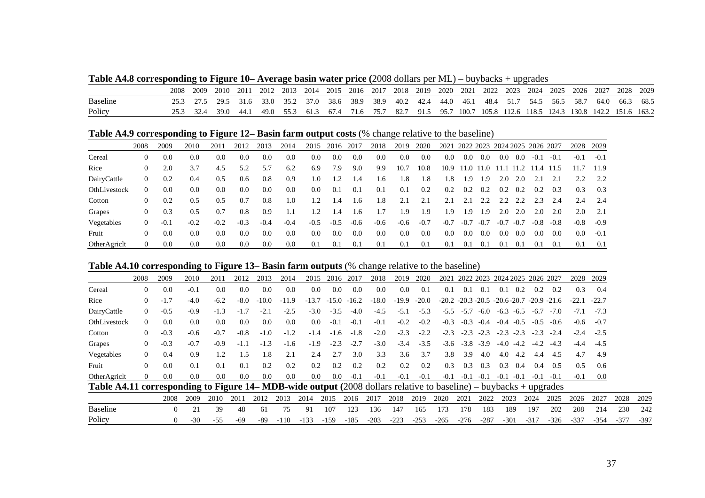**Table A4.8 corresponding to Figure 10– Average basin water price (**2008 dollars per ML) – buybacks + upgrades

|                 | 2008 | 2009 | 2010 | 2011  | 2012 | 2013 | 2014 | 2015 | 2016 2017 |           | 2018 | 2019              | 2020 | 2021  | 2022 | 2023                    | 2024 | 2025 | 2026                    | 2027 | 2028 | 2029 |
|-----------------|------|------|------|-------|------|------|------|------|-----------|-----------|------|-------------------|------|-------|------|-------------------------|------|------|-------------------------|------|------|------|
| <b>Baseline</b> |      |      |      | 31.6  | 33.0 | 35.2 | 37.0 | 38.6 |           | 38.9 38.9 |      | 40.2 42.4         | 44.0 | -46.1 | 48.4 | 51.7                    | 54.5 | 56.5 | 58.7                    | 64.0 | 66.3 | 68.5 |
| Policy          |      |      | 39.0 | -44.1 | 49.0 | 553  | 61.3 | 67.4 | 71.6      | 75.7      | 82.7 | $91.5$ 95.7 100.7 |      |       |      | 105.8 112.6 118.5 124.3 |      |      | 130.8 142.2 151.6 163.2 |      |      |      |

**Table A4.9 corresponding to Figure 12– Basin farm output costs** (% change relative to the baseline)

|              | 2008           | 2009   | 2010   | 2011   | 2012   | 2013   | 2014   | 2015   | 2016   | 2017   | 2018   | 2019   | 2020   | 2021   | 2022 2023 2024 2025 2026 2027 |           |        |           |        |        | 2028   | 2029   |
|--------------|----------------|--------|--------|--------|--------|--------|--------|--------|--------|--------|--------|--------|--------|--------|-------------------------------|-----------|--------|-----------|--------|--------|--------|--------|
| Cereal       | $\theta$       | 0.0    | 0.0    | 0.0    | 0.0    | 0.0    | 0.0    | 0.0    | 0.0    | 0.0    | 0.0    | 0.0    | 0.0    | 0.0    | 0.0                           | 0.0       | 0.0    | 0.0       | $-0.$  | $-0.1$ | $-0.1$ | $-0.1$ |
| Rice         | $\theta$       | 2.0    | 3.7    | 4.5    | 5.2    | 5.7    | 6.2    | 6.9    | 7.9    | 9.0    | 9.9    | 10.7   | 10.8   | 10.9   |                               | 11.0 11.0 |        | 11.1 11.2 | l 1.4  | 11.5   |        | 11.9   |
| DairyCattle  | $\theta$       | 0.2    | 0.4    | 0.5    | 0.6    | 0.8    | 0.9    | 1.0    | 1.2    | 1.4    | 1.6    | 1.8    | 1.8    | .8     | 1.9                           | 1.9       | 2.0    | 2.0       | 2.1    |        | 2.2    | 2.2    |
| OthLivestock | $\overline{0}$ | 0.0    | 0.0    | 0.0    | 0.0    | 0.0    | 0.0    | 0.0    | 0.1    | 0.1    | 0.1    | 0.1    | 0.2    | 0.2    | 0.2                           | 0.2       | 0.2    | 0.2       | 0.2    | 0.3    | 0.3    | 0.3    |
| Cotton       | $\theta$       | 0.2    | 0.5    | 0.5    | 0.7    | 0.8    | 1.0    | 1.2    | 1.4    | 1.6    | 1.8    | 2.1    | 2.1    | 2.1    | 2.1                           | 2.2       | 2.2    | 2.2       | 2.3    | 2.4    | 2.4    | -2.4   |
| Grapes       | $\theta$       | 0.3    | 0.5    | 0.7    | 0.8    | 0.9    | 1.1    | 1.2    | 1.4    | 1.6    | 1.7    | 1.9    | 1.9    | .9     | 1.9                           | 1.9       | 2.0    | 2.0       | 2.0    | 2.0    | 2.0    | 2.1    |
| Vegetables   | $\theta$       | $-0.1$ | $-0.2$ | $-0.2$ | $-0.3$ | $-0.4$ | $-0.4$ | $-0.5$ | $-0.5$ | $-0.6$ | $-0.6$ | $-0.6$ | $-0.7$ | $-0.7$ | $-0.7$                        | $-0.7$    | $-0.7$ | $-0.7$    | $-0.8$ | $-0.8$ | $-0.8$ | $-0.9$ |
| Fruit        | $\theta$       | 0.0    | 0.0    | 0.0    | 0.0    | 0.0    | 0.0    | 0.0    | 0.0    | 0.0    | 0.0    | 0.0    | 0.0    | 0.0    | 0.0                           | 0.0       | 0.0    | 0.0       | 0.0    | 0.0    | 0.0    | $-0.1$ |
| OtherAgricht | $\theta$       | 0.0    | 0.0    | 0.0    | 0.0    | 0.0    | 0.0    | 0.1    | 0.1    | 0.1    | 0.1    | 0.1    | 0.1    | 0.1    | 0.1                           | 0.1       | 0.1    | 0.1       | 0.1    | 0.1    | 0.1    | 0.1    |

### **Table A4.10 corresponding to Figure 13– Basin farm outputs** (% change relative to the baseline)

|                                                                                                                     | 2008     | 2009     | 2010   | 2011   | 2012   | 2013    | 2014          | 2015    | 2016   | 2017          | 2018    | 2019    | 2020    | 2021   |        |               | 2022 2023 2024 2025 2026 2027                           |        |        |        | 2028    | 2029    |        |        |
|---------------------------------------------------------------------------------------------------------------------|----------|----------|--------|--------|--------|---------|---------------|---------|--------|---------------|---------|---------|---------|--------|--------|---------------|---------------------------------------------------------|--------|--------|--------|---------|---------|--------|--------|
| Cereal                                                                                                              | $\Omega$ | 0.0      | $-0.1$ | 0.0    | 0.0    | 0.0     | $0.0^{\circ}$ | 0.0     | 0.0    | 0.0           | 0.0     | 0.0     | 0.1     | 0.1    | 0.1    | 0.1           | 0.1                                                     | 0.2    | 0.2    | 0.2    | 0.3     | 0.4     |        |        |
| Rice                                                                                                                | $\theta$ | $-1.7$   | $-4.0$ | $-6.2$ | $-8.0$ | $-10.0$ | $-11.9$       | $-13.7$ |        | $-15.0 -16.2$ | $-18.0$ | $-19.9$ | $-20.0$ |        |        |               | $-20.2$ $-20.3$ $-20.5$ $-20.6$ $-20.7$ $-20.9$ $-21.6$ |        |        |        | $-22.1$ | $-22.7$ |        |        |
| DairyCattle                                                                                                         | $\Omega$ | $-0.5$   | $-0.9$ | $-1.3$ | $-1.7$ | $-2.1$  | $-2.5$        | $-3.0$  | $-3.5$ | $-4.0$        | $-4.5$  | $-5.1$  | $-5.3$  | $-5.5$ | $-5.7$ | $-6.0$        | $-6.3$                                                  | $-6.5$ | $-6.7$ | $-7.0$ | $-7.1$  | $-7.3$  |        |        |
| OthLivestock                                                                                                        | $\Omega$ | 0.0      | 0.0    | 0.0    | 0.0    | 0.0     | 0.0           | 0.0     | $-0.1$ | $-0.1$        | $-0.1$  | $-0.2$  | $-0.2$  | $-0.3$ | $-0.3$ | $-0.4$        | $-0.4$                                                  | $-0.5$ | $-0.5$ | $-0.6$ | $-0.6$  | $-0.7$  |        |        |
| Cotton                                                                                                              | $\Omega$ | $-0.3$   | $-0.6$ | $-0.7$ | $-0.8$ | $-1.0$  | $-1.2$        | $-1.4$  | $-1.6$ | $-1.8$        | $-2.0$  | $-2.3$  | $-2.2$  | $-2.3$ | $-2.3$ | $-2.3$        | $-2.3$                                                  | $-2.3$ | $-2.3$ | $-2.4$ | $-2.4$  | $-2.5$  |        |        |
| Grapes                                                                                                              | $\theta$ | $-0.3$   | $-0.7$ | $-0.9$ | $-1.1$ | $-1.3$  | $-1.6$        | $-1.9$  | $-2.3$ | $-2.7$        | $-3.0$  | $-3.4$  | $-3.5$  | $-3.6$ |        | $-3.8$ $-3.9$ | $-4.0$                                                  | $-4.2$ | $-4.2$ | $-4.3$ | $-4.4$  | $-4.5$  |        |        |
| Vegetables                                                                                                          | $\Omega$ | 0.4      | 0.9    | 1.2    | 1.5    | 1.8     | 2.1           | 2.4     | 2.7    | 3.0           | 3.3     | 3.6     | 3.7     | 3.8    | 3.9    | 4.0           | 4.0                                                     | 4.2    | 4.4    | 4.5    | 4.7     | 4.9     |        |        |
| Fruit                                                                                                               | $\Omega$ | 0.0      | 0.1    | 0.1    | 0.1    | 0.2     | 0.2           | 0.2     | 0.2    | 0.2           | 0.2     | 0.2     | 0.2     | 0.3    | 0.3    | 0.3           | 0.3                                                     | 0.4    | 0.4    | 0.5    | 0.5     | 0.6     |        |        |
| OtherAgricht                                                                                                        | $\Omega$ | 0.0      | 0.0    | 0.0    | 0.0    | 0.0     | 0.0           | 0.0     | 0.0    | $-0.1$        | $-0.1$  | $-0.1$  | $-0.1$  | $-0.1$ | $-0.1$ | $-0.1$        | $-0.1$                                                  | $-0.1$ | $-0.1$ | $-0.1$ | $-0.1$  | $0.0\,$ |        |        |
| Table A4.11 corresponding to Figure 14– MDB-wide output $(2008$ dollars relative to baseline) – buybacks + upgrades |          |          |        |        |        |         |               |         |        |               |         |         |         |        |        |               |                                                         |        |        |        |         |         |        |        |
|                                                                                                                     |          | 2008     | 2009   | 2010   | 2011   | 2012    | 2013          | 2014    | 2015   | 2016          | 2017    | 2018    | 2019    | 2020   | 2021   | 2022          | 2023                                                    |        | 2024   | 2025   | 2026    | 2027    | 2028   | 2029   |
| <b>Baseline</b>                                                                                                     |          | $\Omega$ | 21     | 39     | 48     | 61      | 75            | 91      | 107    | 123           | 136     | 147     | 165     | 173    | 178    | 183           | 189                                                     |        | 197    | 202    | 208     | 214     | 230    | 242    |
| Policy                                                                                                              |          | $\Omega$ | $-30$  | $-55$  | $-69$  | $-89$   | $-110$        | $-133$  | $-159$ | $-185$        | $-203$  | $-223$  | $-253$  | $-265$ | $-276$ | $-287$        | $-301$                                                  |        | $-317$ | $-326$ | $-337$  | $-354$  | $-377$ | $-397$ |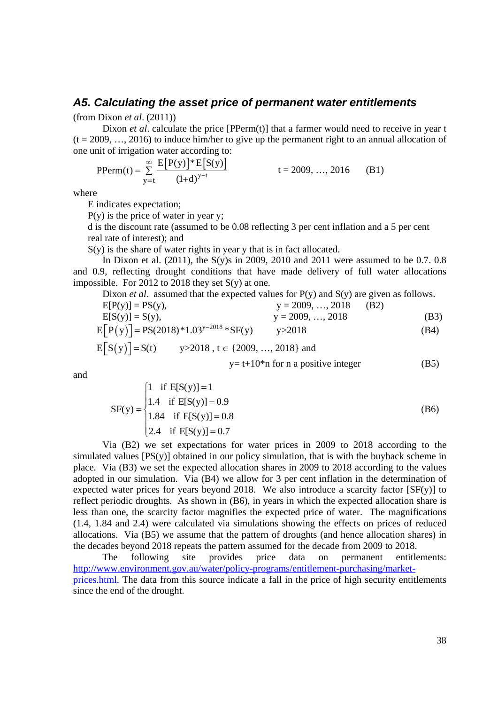### *A5. Calculating the asset price of permanent water entitlements*

(from Dixon *et al*. (2011))

Dixon *et al.* calculate the price [PPerm(t)] that a farmer would need to receive in year t  $(t = 2009, ..., 2016)$  to induce him/her to give up the permanent right to an annual allocation of one unit of irrigation water according to:  $\mathbf{r}$  [ $\mathbf{r}$   $\sim$  1.5  $\mathbf{r}$   $\sim$ 

$$
PPerm(t) = \sum_{y=t}^{\infty} \frac{E[P(y)]^* E[S(y)]}{(1+d)^{y-t}} \qquad t = 2009, ..., 2016 \qquad (B1)
$$

where

E indicates expectation;

 $P(y)$  is the price of water in year y;

d is the discount rate (assumed to be 0.08 reflecting 3 per cent inflation and a 5 per cent real rate of interest); and

 $S(y)$  is the share of water rights in year y that is in fact allocated.

In Dixon et al. (2011), the S(y)s in 2009, 2010 and 2011 were assumed to be 0.7. 0.8 and 0.9, reflecting drought conditions that have made delivery of full water allocations impossible. For 2012 to 2018 they set  $S(y)$  at one.

Dixon *et al*. assumed that the expected values for P(y) and S(y) are given as follows.

$$
E[P(y)] = PS(y), \t y = 2009, ..., 2018 \t (B2)
$$
  
\n
$$
E[S(y)] = S(y), \t y = 2009, ..., 2018 \t (B3)
$$
  
\n
$$
E[P(y)] = PS(2018)^*1.03^{y-2018} * SF(y) \t y > 2018 \t (B4)
$$
  
\n
$$
E[S(y)] = SS(2018)^*1.03^{y-2018} * SF(y) \t y > 2018 \t (B4)
$$

$$
E[S(y)] = S(t)
$$
  $y > 2018$ ,  $t \in \{2009, ..., 2018\}$  and  
  $y = t + 10^*n$  for n a positive integer (B5)

and

$$
SF(y) = \begin{cases} 1 & \text{if } E[S(y)] = 1 \\ 1.4 & \text{if } E[S(y)] = 0.9 \\ 1.84 & \text{if } E[S(y)] = 0.8 \\ 2.4 & \text{if } E[S(y)] = 0.7 \end{cases}
$$
 (B6)

Via (B2) we set expectations for water prices in 2009 to 2018 according to the simulated values [PS(y)] obtained in our policy simulation, that is with the buyback scheme in place. Via (B3) we set the expected allocation shares in 2009 to 2018 according to the values adopted in our simulation. Via (B4) we allow for 3 per cent inflation in the determination of expected water prices for years beyond 2018. We also introduce a scarcity factor  $[SF(y)]$  to reflect periodic droughts. As shown in (B6), in years in which the expected allocation share is less than one, the scarcity factor magnifies the expected price of water. The magnifications (1.4, 1.84 and 2.4) were calculated via simulations showing the effects on prices of reduced allocations. Via (B5) we assume that the pattern of droughts (and hence allocation shares) in the decades beyond 2018 repeats the pattern assumed for the decade from 2009 to 2018.

The following site provides price data on permanent entitlements: http://www.environment.gov.au/water/policy-programs/entitlement-purchasing/marketprices.html. The data from this source indicate a fall in the price of high security entitlements since the end of the drought.